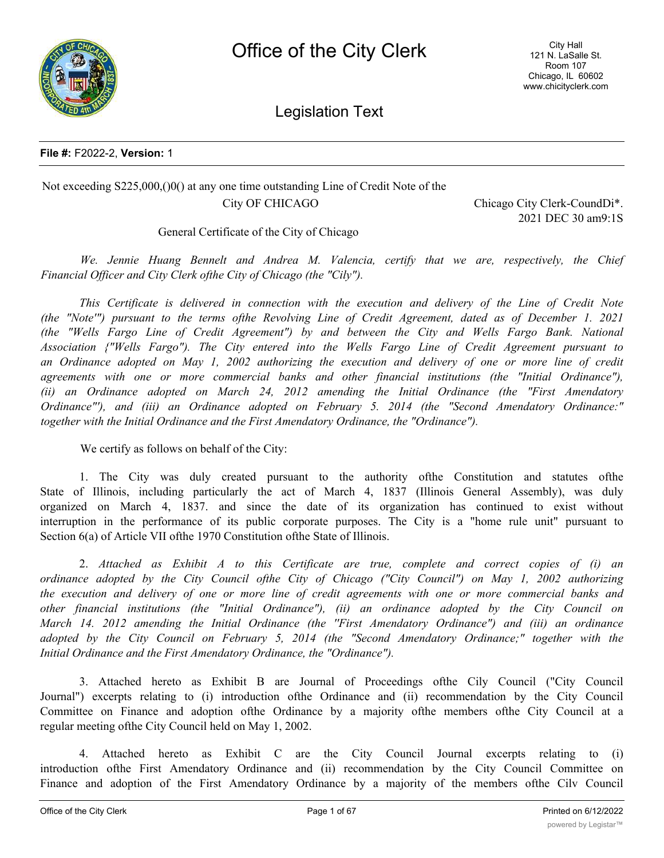



Legislation Text

#### **File #:** F2022-2, **Version:** 1

## Not exceeding S225,000,()0() at any one time outstanding Line of Credit Note of the City OF CHICAGO City Chicago City Clerk-CoundDi<sup>\*</sup>.

2021 DEC 30 am9:1S

General Certificate of the City of Chicago

*We. Jennie Huang Bennelt and Andrea M. Valencia, certify that we are, respectively, the Chief Financial Officer and City Clerk ofthe City of Chicago (the "Cily").*

*This Certificate is delivered in connection with the execution and delivery of the Line of Credit Note* (the "Note"") pursuant to the terms of the Revolving Line of Credit Agreement, dated as of December 1. 2021 *(the "Wells Fargo Line of Credit Agreement") by and between the City and Wells Fargo Bank. National Association {"Wells Fargo"). The City entered into the Wells Fargo Line of Credit Agreement pursuant to* an Ordinance adopted on May 1, 2002 authorizing the execution and delivery of one or more line of credit *agreements with one or more commercial banks and other financial institutions (the "Initial Ordinance"), (ii) an Ordinance adopted on March 24, 2012 amending the Initial Ordinance (the "First Amendatory Ordinance"'), and (iii) an Ordinance adopted on February 5. 2014 (the "Second Amendatory Ordinance:" together with the Initial Ordinance and the First Amendatory Ordinance, the "Ordinance").*

We certify as follows on behalf of the City:

1. The City was duly created pursuant to the authority ofthe Constitution and statutes ofthe State of Illinois, including particularly the act of March 4, 1837 (Illinois General Assembly), was duly organized on March 4, 1837. and since the date of its organization has continued to exist without interruption in the performance of its public corporate purposes. The City is a "home rule unit" pursuant to Section 6(a) of Article VII ofthe 1970 Constitution ofthe State of Illinois.

2. *Attached as Exhibit A to this Certificate are true, complete and correct copies of (i) an ordinance adopted by the City Council ofthe City of Chicago ("City Council") on May 1, 2002 authorizing* the execution and delivery of one or more line of credit agreements with one or more commercial banks and *other financial institutions (the "Initial Ordinance"), (ii) an ordinance adopted by the City Council on March 14. 2012 amending the Initial Ordinance (the ''First Amendatory Ordinance") and (iii) an ordinance adopted by the City Council on February 5, 2014 (the "Second Amendatory Ordinance;" together with the Initial Ordinance and the First Amendatory Ordinance, the "Ordinance").*

3. Attached hereto as Exhibit B are Journal of Proceedings ofthe Cily Council ("City Council Journal") excerpts relating to (i) introduction ofthe Ordinance and (ii) recommendation by the City Council Committee on Finance and adoption ofthe Ordinance by a majority ofthe members ofthe City Council at a regular meeting ofthe City Council held on May 1, 2002.

4. Attached hereto as Exhibit C are the City Council Journal excerpts relating to (i) introduction ofthe First Amendatory Ordinance and (ii) recommendation by the City Council Committee on Finance and adoption of the First Amendatory Ordinance by a majority of the members ofthe Cilv Council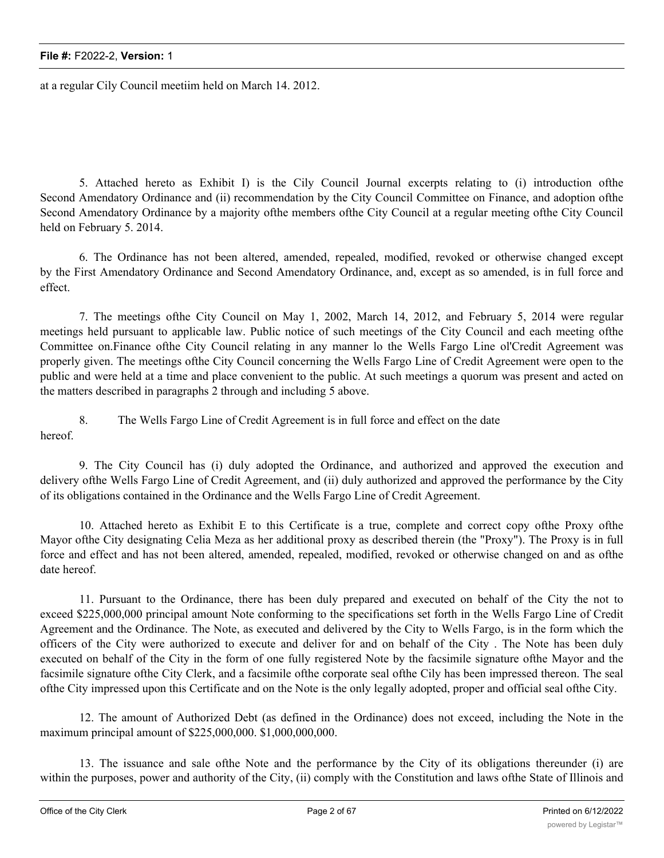at a regular Cily Council meetiim held on March 14. 2012.

5. Attached hereto as Exhibit I) is the Cily Council Journal excerpts relating to (i) introduction ofthe Second Amendatory Ordinance and (ii) recommendation by the City Council Committee on Finance, and adoption ofthe Second Amendatory Ordinance by a majority ofthe members ofthe City Council at a regular meeting ofthe City Council held on February 5. 2014.

6. The Ordinance has not been altered, amended, repealed, modified, revoked or otherwise changed except by the First Amendatory Ordinance and Second Amendatory Ordinance, and, except as so amended, is in full force and effect.

7. The meetings ofthe City Council on May 1, 2002, March 14, 2012, and February 5, 2014 were regular meetings held pursuant to applicable law. Public notice of such meetings of the City Council and each meeting ofthe Committee on.Finance ofthe City Council relating in any manner lo the Wells Fargo Line ol'Credit Agreement was properly given. The meetings ofthe City Council concerning the Wells Fargo Line of Credit Agreement were open to the public and were held at a time and place convenient to the public. At such meetings a quorum was present and acted on the matters described in paragraphs 2 through and including 5 above.

8. The Wells Fargo Line of Credit Agreement is in full force and effect on the date hereof.

9. The City Council has (i) duly adopted the Ordinance, and authorized and approved the execution and delivery ofthe Wells Fargo Line of Credit Agreement, and (ii) duly authorized and approved the performance by the City of its obligations contained in the Ordinance and the Wells Fargo Line of Credit Agreement.

10. Attached hereto as Exhibit E to this Certificate is a true, complete and correct copy ofthe Proxy ofthe Mayor ofthe City designating Celia Meza as her additional proxy as described therein (the "Proxy"). The Proxy is in full force and effect and has not been altered, amended, repealed, modified, revoked or otherwise changed on and as ofthe date hereof.

11. Pursuant to the Ordinance, there has been duly prepared and executed on behalf of the City the not to exceed \$225,000,000 principal amount Note conforming to the specifications set forth in the Wells Fargo Line of Credit Agreement and the Ordinance. The Note, as executed and delivered by the City to Wells Fargo, is in the form which the officers of the City were authorized to execute and deliver for and on behalf of the City . The Note has been duly executed on behalf of the City in the form of one fully registered Note by the facsimile signature ofthe Mayor and the facsimile signature ofthe City Clerk, and a facsimile ofthe corporate seal ofthe Cily has been impressed thereon. The seal ofthe City impressed upon this Certificate and on the Note is the only legally adopted, proper and official seal ofthe City.

12. The amount of Authorized Debt (as defined in the Ordinance) does not exceed, including the Note in the maximum principal amount of \$225,000,000. \$1,000,000,000.

13. The issuance and sale ofthe Note and the performance by the City of its obligations thereunder (i) are within the purposes, power and authority of the City, (ii) comply with the Constitution and laws ofthe State of Illinois and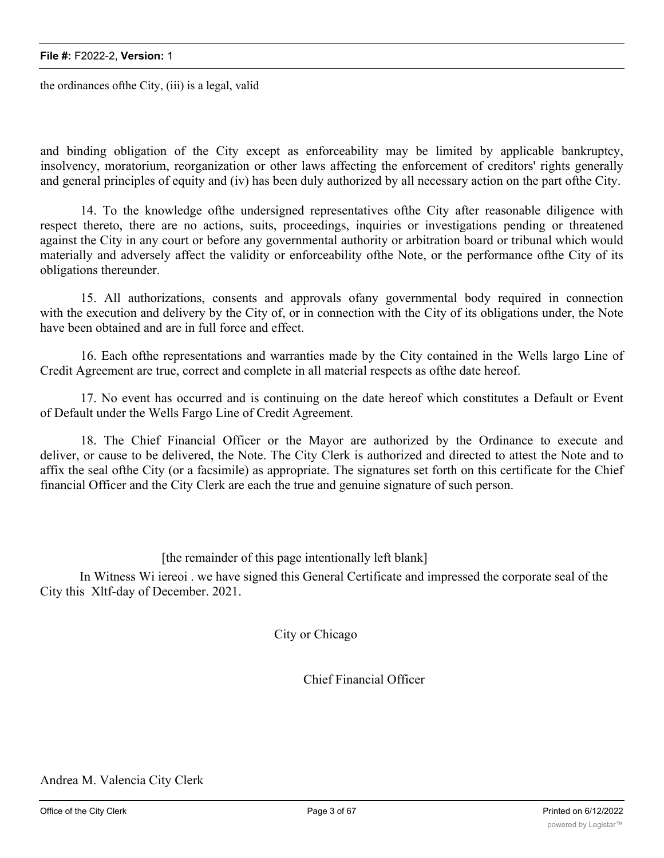the ordinances ofthe City, (iii) is a legal, valid

and binding obligation of the City except as enforceability may be limited by applicable bankruptcy, insolvency, moratorium, reorganization or other laws affecting the enforcement of creditors' rights generally and general principles of equity and (iv) has been duly authorized by all necessary action on the part ofthe City.

14. To the knowledge ofthe undersigned representatives ofthe City after reasonable diligence with respect thereto, there are no actions, suits, proceedings, inquiries or investigations pending or threatened against the City in any court or before any governmental authority or arbitration board or tribunal which would materially and adversely affect the validity or enforceability ofthe Note, or the performance ofthe City of its obligations thereunder.

15. All authorizations, consents and approvals ofany governmental body required in connection with the execution and delivery by the City of, or in connection with the City of its obligations under, the Note have been obtained and are in full force and effect.

16. Each ofthe representations and warranties made by the City contained in the Wells largo Line of Credit Agreement are true, correct and complete in all material respects as ofthe date hereof.

17. No event has occurred and is continuing on the date hereof which constitutes a Default or Event of Default under the Wells Fargo Line of Credit Agreement.

18. The Chief Financial Officer or the Mayor are authorized by the Ordinance to execute and deliver, or cause to be delivered, the Note. The City Clerk is authorized and directed to attest the Note and to affix the seal ofthe City (or a facsimile) as appropriate. The signatures set forth on this certificate for the Chief financial Officer and the City Clerk are each the true and genuine signature of such person.

[the remainder of this page intentionally left blank]

In Witness Wi iereoi . we have signed this General Certificate and impressed the corporate seal of the City this Xltf-day of December. 2021.

City or Chicago

Chief Financial Officer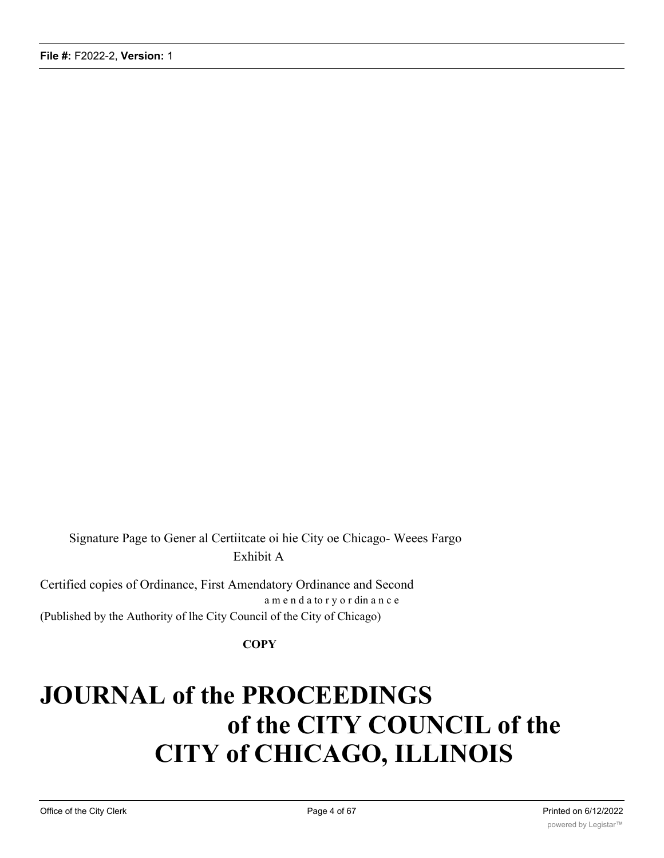Signature Page to Gener al Certiitcate oi hie City oe Chicago- Weees Fargo Exhibit A

Certified copies of Ordinance, First Amendatory Ordinance and Second a m e n d a to r y o r din a n c e (Published by the Authority of lhe City Council of the City of Chicago)

#### **COPY**

# **JOURNAL of the PROCEEDINGS of the CITY COUNCIL of the CITY of CHICAGO, ILLINOIS**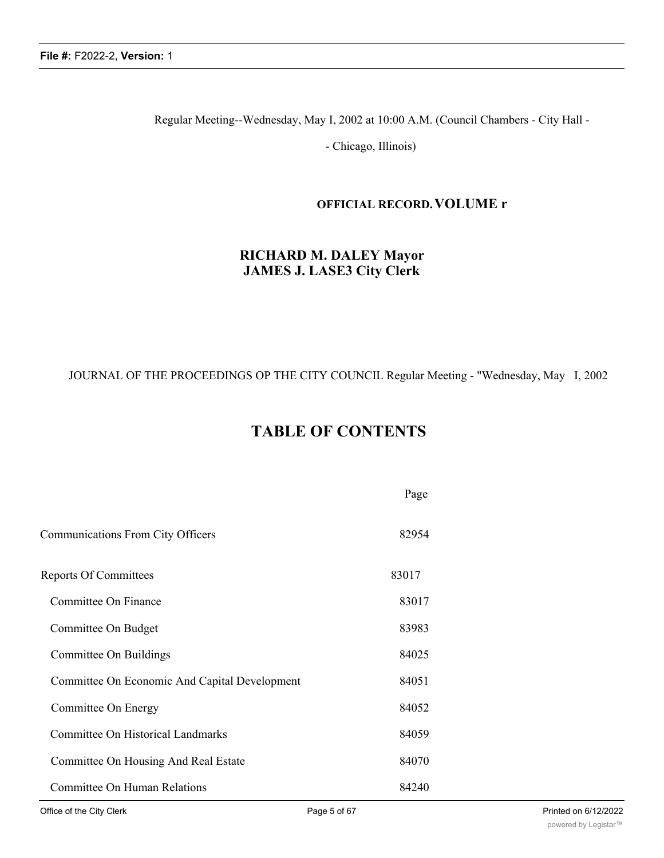Regular Meeting--Wednesday, May I, 2002 at 10:00 A.M. (Council Chambers - City Hall -

- Chicago, Illinois)

#### **OFFICIAL RECORD.VOLUME r**

## **RICHARD M. DALEY Mayor JAMES J. LASE3 City Clerk**

#### JOURNAL OF THE PROCEEDINGS OP THE CITY COUNCIL Regular Meeting - "Wednesday, May I, 2002

## **TABLE OF CONTENTS**

|                                               | Page  |
|-----------------------------------------------|-------|
| Communications From City Officers             | 82954 |
| <b>Reports Of Committees</b>                  | 83017 |
| Committee On Finance                          | 83017 |
| Committee On Budget                           | 83983 |
| Committee On Buildings                        | 84025 |
| Committee On Economic And Capital Development | 84051 |
| Committee On Energy                           | 84052 |
| Committee On Historical Landmarks             | 84059 |
| Committee On Housing And Real Estate          | 84070 |
| <b>Committee On Human Relations</b>           | 84240 |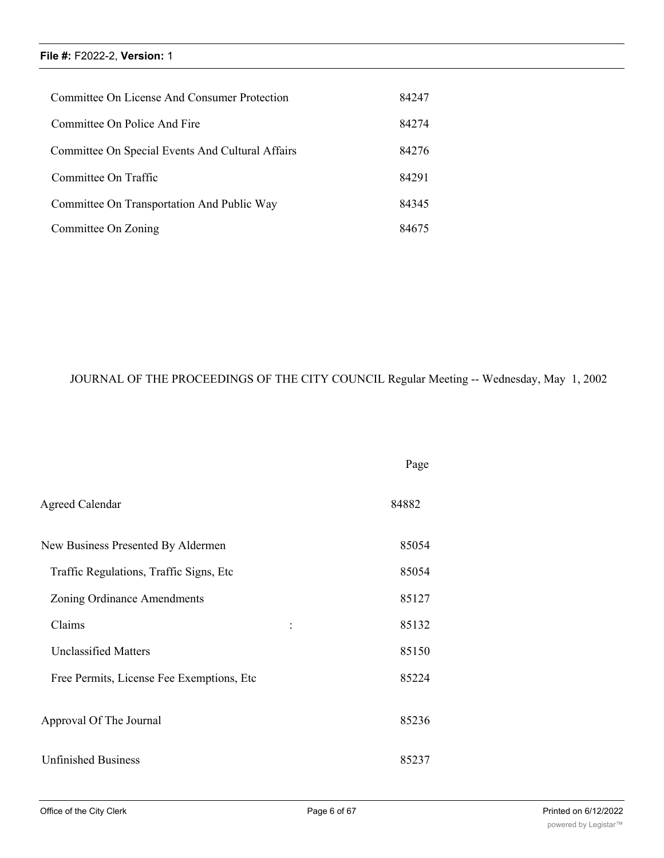| Committee On License And Consumer Protection     | 84247 |
|--------------------------------------------------|-------|
| Committee On Police And Fire                     | 84274 |
| Committee On Special Events And Cultural Affairs | 84276 |
| Committee On Traffic                             | 84291 |
| Committee On Transportation And Public Way       | 84345 |
| Committee On Zoning                              | 84675 |

## JOURNAL OF THE PROCEEDINGS OF THE CITY COUNCIL Regular Meeting -- Wednesday, May 1, 2002

|                                            | Page  |
|--------------------------------------------|-------|
| <b>Agreed Calendar</b>                     | 84882 |
| New Business Presented By Aldermen         | 85054 |
| Traffic Regulations, Traffic Signs, Etc    | 85054 |
| Zoning Ordinance Amendments                | 85127 |
| Claims                                     | 85132 |
| <b>Unclassified Matters</b>                | 85150 |
| Free Permits, License Fee Exemptions, Etc. | 85224 |
| Approval Of The Journal                    | 85236 |
| <b>Unfinished Business</b>                 | 85237 |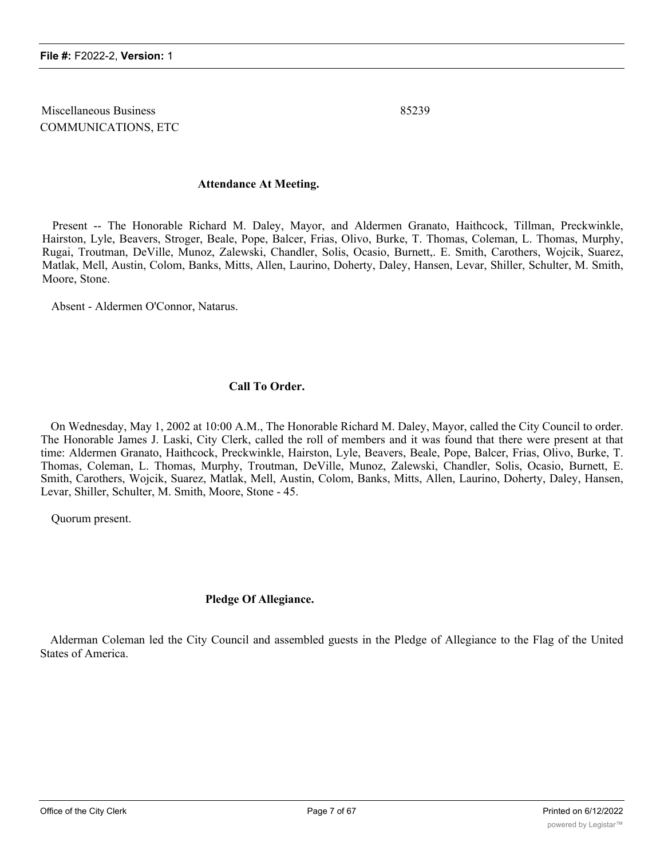Miscellaneous Business 85239 COMMUNICATIONS, ETC

#### **Attendance At Meeting.**

Present -- The Honorable Richard M. Daley, Mayor, and Aldermen Granato, Haithcock, Tillman, Preckwinkle, Hairston, Lyle, Beavers, Stroger, Beale, Pope, Balcer, Frias, Olivo, Burke, T. Thomas, Coleman, L. Thomas, Murphy, Rugai, Troutman, DeVille, Munoz, Zalewski, Chandler, Solis, Ocasio, Burnett,. E. Smith, Carothers, Wojcik, Suarez, Matlak, Mell, Austin, Colom, Banks, Mitts, Allen, Laurino, Doherty, Daley, Hansen, Levar, Shiller, Schulter, M. Smith, Moore, Stone.

Absent - Aldermen O'Connor, Natarus.

#### **Call To Order.**

On Wednesday, May 1, 2002 at 10:00 A.M., The Honorable Richard M. Daley, Mayor, called the City Council to order. The Honorable James J. Laski, City Clerk, called the roll of members and it was found that there were present at that time: Aldermen Granato, Haithcock, Preckwinkle, Hairston, Lyle, Beavers, Beale, Pope, Balcer, Frias, Olivo, Burke, T. Thomas, Coleman, L. Thomas, Murphy, Troutman, DeVille, Munoz, Zalewski, Chandler, Solis, Ocasio, Burnett, E. Smith, Carothers, Wojcik, Suarez, Matlak, Mell, Austin, Colom, Banks, Mitts, Allen, Laurino, Doherty, Daley, Hansen, Levar, Shiller, Schulter, M. Smith, Moore, Stone - 45.

Quorum present.

#### **Pledge Of Allegiance.**

Alderman Coleman led the City Council and assembled guests in the Pledge of Allegiance to the Flag of the United States of America.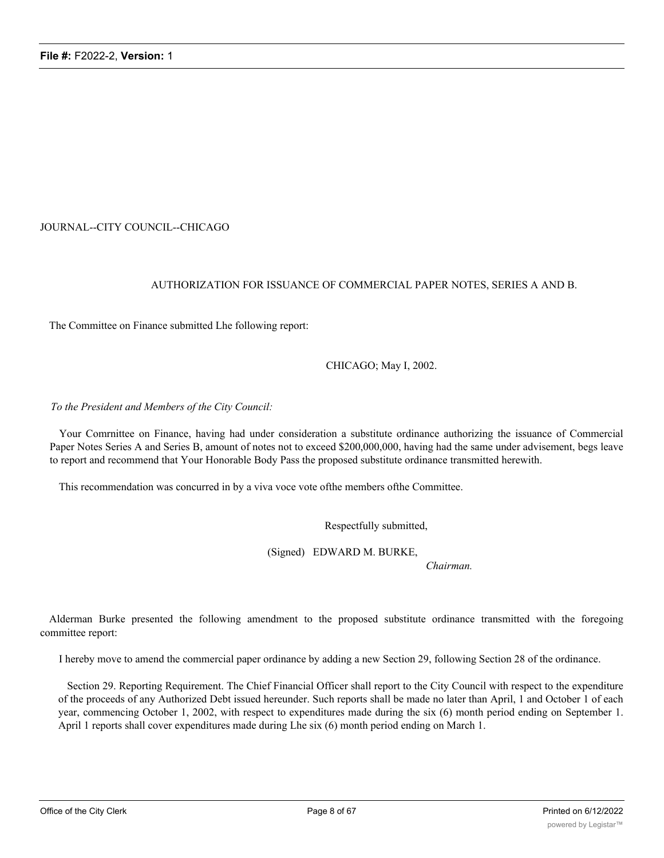#### JOURNAL--CITY COUNCIL--CHICAGO

#### AUTHORIZATION FOR ISSUANCE OF COMMERCIAL PAPER NOTES, SERIES A AND B.

The Committee on Finance submitted Lhe following report:

CHICAGO; May I, 2002.

#### *To the President and Members of the City Council:*

Your Comrnittee on Finance, having had under consideration a substitute ordinance authorizing the issuance of Commercial Paper Notes Series A and Series B, amount of notes not to exceed \$200,000,000, having had the same under advisement, begs leave to report and recommend that Your Honorable Body Pass the proposed substitute ordinance transmitted herewith.

This recommendation was concurred in by a viva voce vote ofthe members ofthe Committee.

Respectfully submitted,

(Signed) EDWARD M. BURKE,

*Chairman.*

Alderman Burke presented the following amendment to the proposed substitute ordinance transmitted with the foregoing committee report:

I hereby move to amend the commercial paper ordinance by adding a new Section 29, following Section 28 of the ordinance.

Section 29. Reporting Requirement. The Chief Financial Officer shall report to the City Council with respect to the expenditure of the proceeds of any Authorized Debt issued hereunder. Such reports shall be made no later than April, 1 and October 1 of each year, commencing October 1, 2002, with respect to expenditures made during the six (6) month period ending on September 1. April 1 reports shall cover expenditures made during Lhe six (6) month period ending on March 1.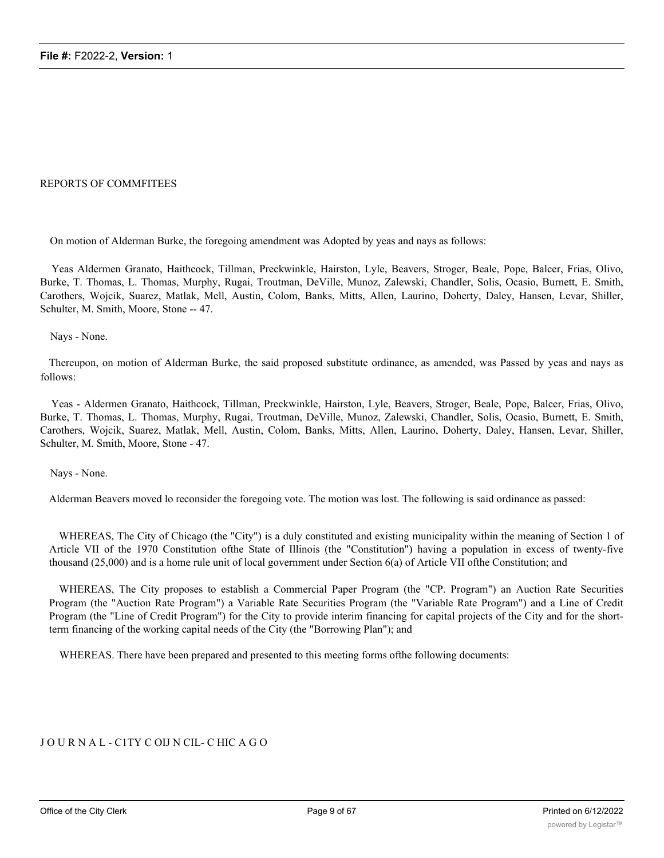#### REPORTS OF COMMFITEES

On motion of Alderman Burke, the foregoing amendment was Adopted by yeas and nays as follows:

Yeas Aldermen Granato, Haithcock, Tillman, Preckwinkle, Hairston, Lyle, Beavers, Stroger, Beale, Pope, Balcer, Frias, Olivo, Burke, T. Thomas, L. Thomas, Murphy, Rugai, Troutman, DeVille, Munoz, Zalewski, Chandler, Solis, Ocasio, Burnett, E. Smith, Carothers, Wojcik, Suarez, Matlak, Mell, Austin, Colom, Banks, Mitts, Allen, Laurino, Doherty, Daley, Hansen, Levar, Shiller, Schulter, M. Smith, Moore, Stone -- 47.

Nays - None.

Thereupon, on motion of Alderman Burke, the said proposed substitute ordinance, as amended, was Passed by yeas and nays as follows:

Yeas - Aldermen Granato, Haithcock, Tillman, Preckwinkle, Hairston, Lyle, Beavers, Stroger, Beale, Pope, Balcer, Frias, Olivo, Burke, T. Thomas, L. Thomas, Murphy, Rugai, Troutman, DeVille, Munoz, Zalewski, Chandler, Solis, Ocasio, Burnett, E. Smith, Carothers, Wojcik, Suarez, Matlak, Mell, Austin, Colom, Banks, Mitts, Allen, Laurino, Doherty, Daley, Hansen, Levar, Shiller, Schulter, M. Smith, Moore, Stone - 47.

Nays - None.

Alderman Beavers moved lo reconsider the foregoing vote. The motion was lost. The following is said ordinance as passed:

WHEREAS, The City of Chicago (the "City") is a duly constituted and existing municipality within the meaning of Section 1 of Article VII of the 1970 Constitution ofthe State of Illinois (the "Constitution") having a population in excess of twenty-five thousand (25,000) and is a home rule unit of local government under Section 6(a) of Article VII ofthe Constitution; and

WHEREAS, The City proposes to establish a Commercial Paper Program (the "CP. Program") an Auction Rate Securities Program (the "Auction Rate Program") a Variable Rate Securities Program (the "Variable Rate Program") and a Line of Credit Program (the "Line of Credit Program") for the City to provide interim financing for capital projects of the City and for the shortterm financing of the working capital needs of the City (the "Borrowing Plan"); and

WHEREAS. There have been prepared and presented to this meeting forms ofthe following documents:

#### J O U R N A L - C1TY C OIJ N CIL- C HIC A G O

1) Commercial Paper Trust Indenture (Lhe "CP. Indenture") between the City and a bank or trust company to be designated as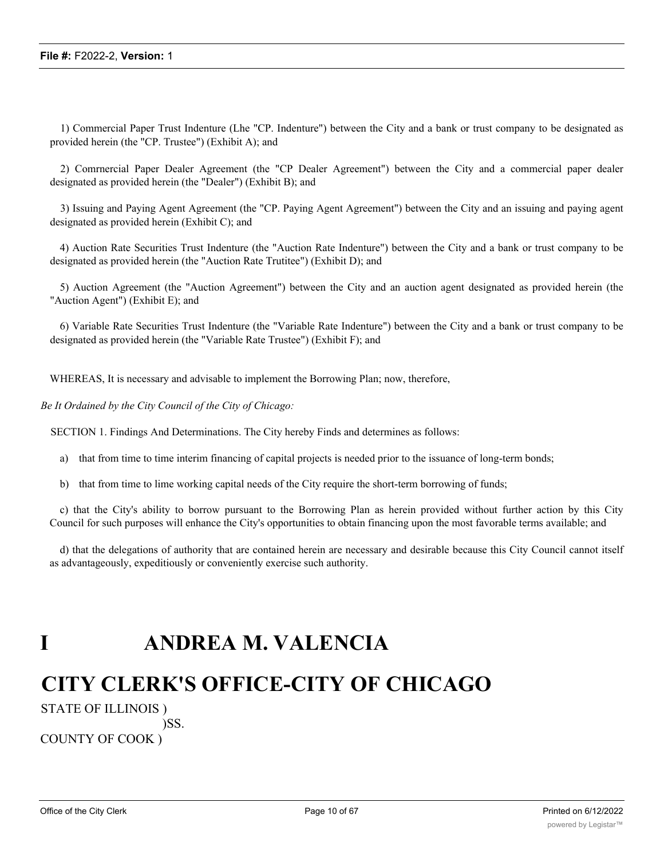1) Commercial Paper Trust Indenture (Lhe "CP. Indenture") between the City and a bank or trust company to be designated as provided herein (the "CP. Trustee") (Exhibit A); and

2) Comrnercial Paper Dealer Agreement (the "CP Dealer Agreement") between the City and a commercial paper dealer designated as provided herein (the "Dealer") (Exhibit B); and

3) Issuing and Paying Agent Agreement (the "CP. Paying Agent Agreement") between the City and an issuing and paying agent designated as provided herein (Exhibit C); and

4) Auction Rate Securities Trust Indenture (the "Auction Rate Indenture") between the City and a bank or trust company to be designated as provided herein (the "Auction Rate Trutitee") (Exhibit D); and

5) Auction Agreement (the "Auction Agreement") between the City and an auction agent designated as provided herein (the "Auction Agent") (Exhibit E); and

6) Variable Rate Securities Trust Indenture (the "Variable Rate Indenture") between the City and a bank or trust company to be designated as provided herein (the "Variable Rate Trustee") (Exhibit F); and

WHEREAS, It is necessary and advisable to implement the Borrowing Plan; now, therefore,

*Be It Ordained by the City Council of the City of Chicago:*

SECTION 1. Findings And Determinations. The City hereby Finds and determines as follows:

- a) that from time to time interim financing of capital projects is needed prior to the issuance of long-term bonds;
- b) that from time to lime working capital needs of the City require the short-term borrowing of funds;

c) that the City's ability to borrow pursuant to the Borrowing Plan as herein provided without further action by this City Council for such purposes will enhance the City's opportunities to obtain financing upon the most favorable terms available; and

d) that the delegations of authority that are contained herein are necessary and desirable because this City Council cannot itself as advantageously, expeditiously or conveniently exercise such authority.

## **I ANDREA M. VALENCIA**

## **CITY CLERK'S OFFICE-CITY OF CHICAGO**

STATE OF ILLINOIS ) )SS.

COUNTY OF COOK )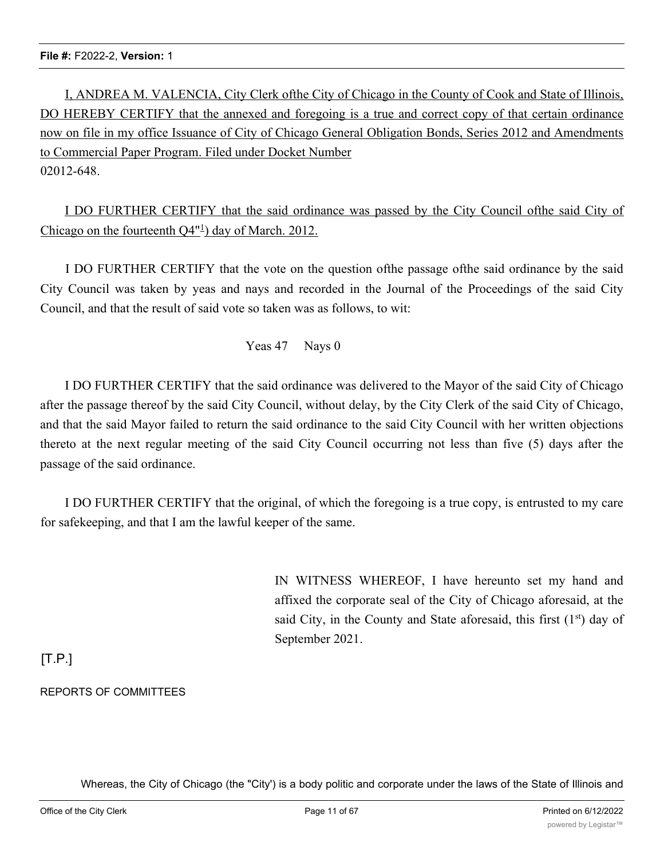I, ANDREA M. VALENCIA, City Clerk ofthe City of Chicago in the County of Cook and State of Illinois, DO HEREBY CERTIFY that the annexed and foregoing is a true and correct copy of that certain ordinance now on file in my office Issuance of City of Chicago General Obligation Bonds, Series 2012 and Amendments to Commercial Paper Program. Filed under Docket Number 02012-648.

I DO FURTHER CERTIFY that the said ordinance was passed by the City Council ofthe said City of Chicago on the fourteenth  $Q4^{\text{nl}}$ ) day of March. 2012.

I DO FURTHER CERTIFY that the vote on the question ofthe passage ofthe said ordinance by the said City Council was taken by yeas and nays and recorded in the Journal of the Proceedings of the said City Council, and that the result of said vote so taken was as follows, to wit:

Yeas 47 Nays 0

I DO FURTHER CERTIFY that the said ordinance was delivered to the Mayor of the said City of Chicago after the passage thereof by the said City Council, without delay, by the City Clerk of the said City of Chicago, and that the said Mayor failed to return the said ordinance to the said City Council with her written objections thereto at the next regular meeting of the said City Council occurring not less than five (5) days after the passage of the said ordinance.

I DO FURTHER CERTIFY that the original, of which the foregoing is a true copy, is entrusted to my care for safekeeping, and that I am the lawful keeper of the same.

> IN WITNESS WHEREOF, I have hereunto set my hand and affixed the corporate seal of the City of Chicago aforesaid, at the said City, in the County and State aforesaid, this first  $(1<sup>st</sup>)$  day of September 2021.

## $[T.P.]$

## REPORTS OF COMMITTEES

Whereas, the City of Chicago (the "City') is a body politic and corporate under the laws of the State of Illinois and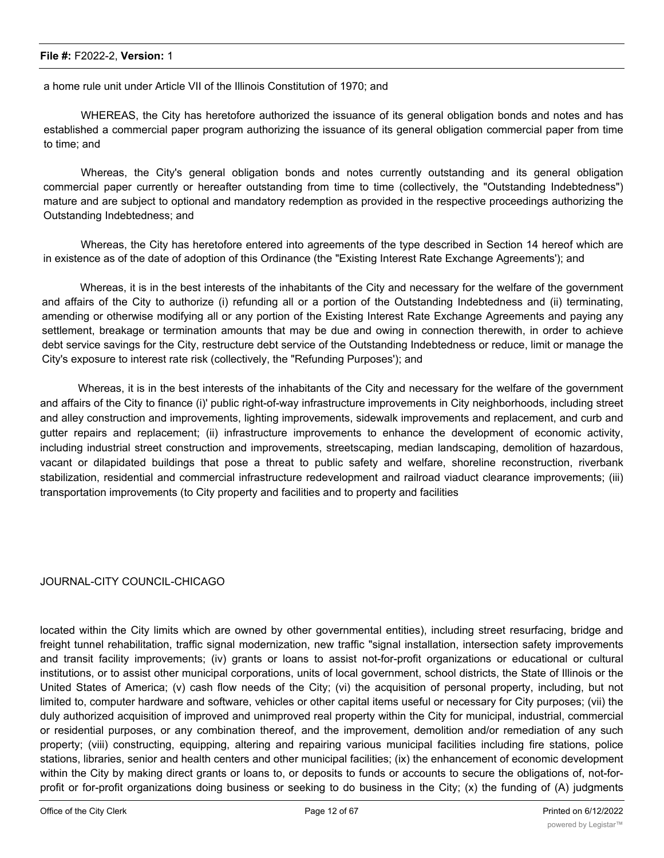a home rule unit under Article VII of the Illinois Constitution of 1970; and

WHEREAS, the City has heretofore authorized the issuance of its general obligation bonds and notes and has established a commercial paper program authorizing the issuance of its general obligation commercial paper from time to time; and

Whereas, the City's general obligation bonds and notes currently outstanding and its general obligation commercial paper currently or hereafter outstanding from time to time (collectively, the "Outstanding Indebtedness") mature and are subject to optional and mandatory redemption as provided in the respective proceedings authorizing the Outstanding Indebtedness; and

Whereas, the City has heretofore entered into agreements of the type described in Section 14 hereof which are in existence as of the date of adoption of this Ordinance (the "Existing Interest Rate Exchange Agreements'); and

Whereas, it is in the best interests of the inhabitants of the City and necessary for the welfare of the government and affairs of the City to authorize (i) refunding all or a portion of the Outstanding Indebtedness and (ii) terminating, amending or otherwise modifying all or any portion of the Existing Interest Rate Exchange Agreements and paying any settlement, breakage or termination amounts that may be due and owing in connection therewith, in order to achieve debt service savings for the City, restructure debt service of the Outstanding Indebtedness or reduce, limit or manage the City's exposure to interest rate risk (collectively, the "Refunding Purposes'); and

Whereas, it is in the best interests of the inhabitants of the City and necessary for the welfare of the government and affairs of the City to finance (i)' public right-of-way infrastructure improvements in City neighborhoods, including street and alley construction and improvements, lighting improvements, sidewalk improvements and replacement, and curb and gutter repairs and replacement; (ii) infrastructure improvements to enhance the development of economic activity, including industrial street construction and improvements, streetscaping, median landscaping, demolition of hazardous, vacant or dilapidated buildings that pose a threat to public safety and welfare, shoreline reconstruction, riverbank stabilization, residential and commercial infrastructure redevelopment and railroad viaduct clearance improvements; (iii) transportation improvements (to City property and facilities and to property and facilities

#### JOURNAL-CITY COUNCIL-CHICAGO

located within the City limits which are owned by other governmental entities), including street resurfacing, bridge and freight tunnel rehabilitation, traffic signal modernization, new traffic "signal installation, intersection safety improvements and transit facility improvements; (iv) grants or loans to assist not-for-profit organizations or educational or cultural institutions, or to assist other municipal corporations, units of local government, school districts, the State of Illinois or the United States of America; (v) cash flow needs of the City; (vi) the acquisition of personal property, including, but not limited to, computer hardware and software, vehicles or other capital items useful or necessary for City purposes; (vii) the duly authorized acquisition of improved and unimproved real property within the City for municipal, industrial, commercial or residential purposes, or any combination thereof, and the improvement, demolition and/or remediation of any such property; (viii) constructing, equipping, altering and repairing various municipal facilities including fire stations, police stations, libraries, senior and health centers and other municipal facilities; (ix) the enhancement of economic development within the City by making direct grants or loans to, or deposits to funds or accounts to secure the obligations of, not-forprofit or for-profit organizations doing business or seeking to do business in the City; (x) the funding of (A) judgments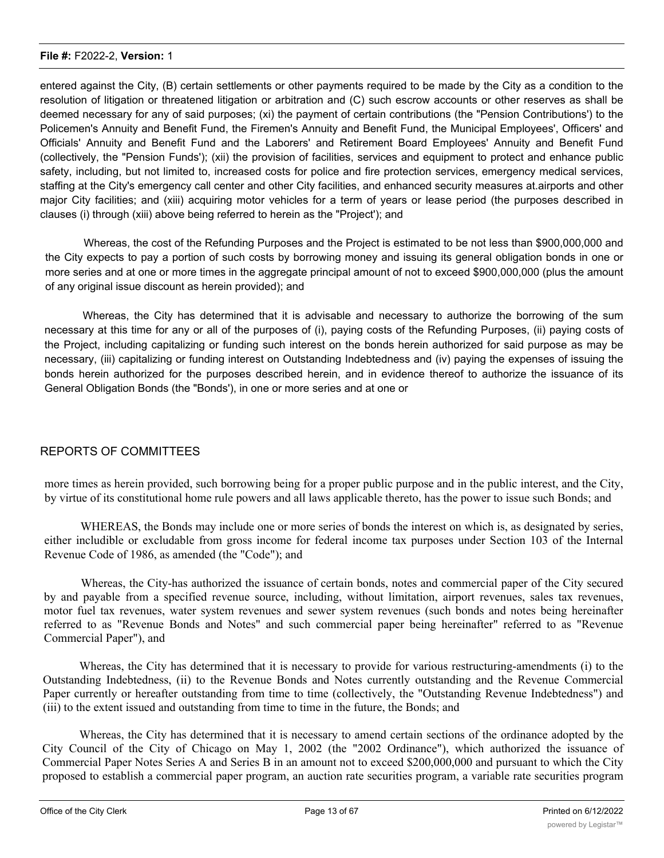entered against the City, (B) certain settlements or other payments required to be made by the City as a condition to the resolution of litigation or threatened litigation or arbitration and (C) such escrow accounts or other reserves as shall be deemed necessary for any of said purposes; (xi) the payment of certain contributions (the "Pension Contributions') to the Policemen's Annuity and Benefit Fund, the Firemen's Annuity and Benefit Fund, the Municipal Employees', Officers' and Officials' Annuity and Benefit Fund and the Laborers' and Retirement Board Employees' Annuity and Benefit Fund (collectively, the "Pension Funds'); (xii) the provision of facilities, services and equipment to protect and enhance public safety, including, but not limited to, increased costs for police and fire protection services, emergency medical services, staffing at the City's emergency call center and other City facilities, and enhanced security measures at.airports and other major City facilities; and (xiii) acquiring motor vehicles for a term of years or lease period (the purposes described in clauses (i) through (xiii) above being referred to herein as the "Project'); and

Whereas, the cost of the Refunding Purposes and the Project is estimated to be not less than \$900,000,000 and the City expects to pay a portion of such costs by borrowing money and issuing its general obligation bonds in one or more series and at one or more times in the aggregate principal amount of not to exceed \$900,000,000 (plus the amount of any original issue discount as herein provided); and

Whereas, the City has determined that it is advisable and necessary to authorize the borrowing of the sum necessary at this time for any or all of the purposes of (i), paying costs of the Refunding Purposes, (ii) paying costs of the Project, including capitalizing or funding such interest on the bonds herein authorized for said purpose as may be necessary, (iii) capitalizing or funding interest on Outstanding Indebtedness and (iv) paying the expenses of issuing the bonds herein authorized for the purposes described herein, and in evidence thereof to authorize the issuance of its General Obligation Bonds (the "Bonds'), in one or more series and at one or

#### REPORTS OF COMMITTEES

more times as herein provided, such borrowing being for a proper public purpose and in the public interest, and the City, by virtue of its constitutional home rule powers and all laws applicable thereto, has the power to issue such Bonds; and

WHEREAS, the Bonds may include one or more series of bonds the interest on which is, as designated by series, either includible or excludable from gross income for federal income tax purposes under Section 103 of the Internal Revenue Code of 1986, as amended (the "Code"); and

Whereas, the City-has authorized the issuance of certain bonds, notes and commercial paper of the City secured by and payable from a specified revenue source, including, without limitation, airport revenues, sales tax revenues, motor fuel tax revenues, water system revenues and sewer system revenues (such bonds and notes being hereinafter referred to as "Revenue Bonds and Notes" and such commercial paper being hereinafter" referred to as "Revenue Commercial Paper"), and

Whereas, the City has determined that it is necessary to provide for various restructuring-amendments (i) to the Outstanding Indebtedness, (ii) to the Revenue Bonds and Notes currently outstanding and the Revenue Commercial Paper currently or hereafter outstanding from time to time (collectively, the "Outstanding Revenue Indebtedness") and (iii) to the extent issued and outstanding from time to time in the future, the Bonds; and

Whereas, the City has determined that it is necessary to amend certain sections of the ordinance adopted by the City Council of the City of Chicago on May 1, 2002 (the "2002 Ordinance"), which authorized the issuance of Commercial Paper Notes Series A and Series B in an amount not to exceed \$200,000,000 and pursuant to which the City proposed to establish a commercial paper program, an auction rate securities program, a variable rate securities program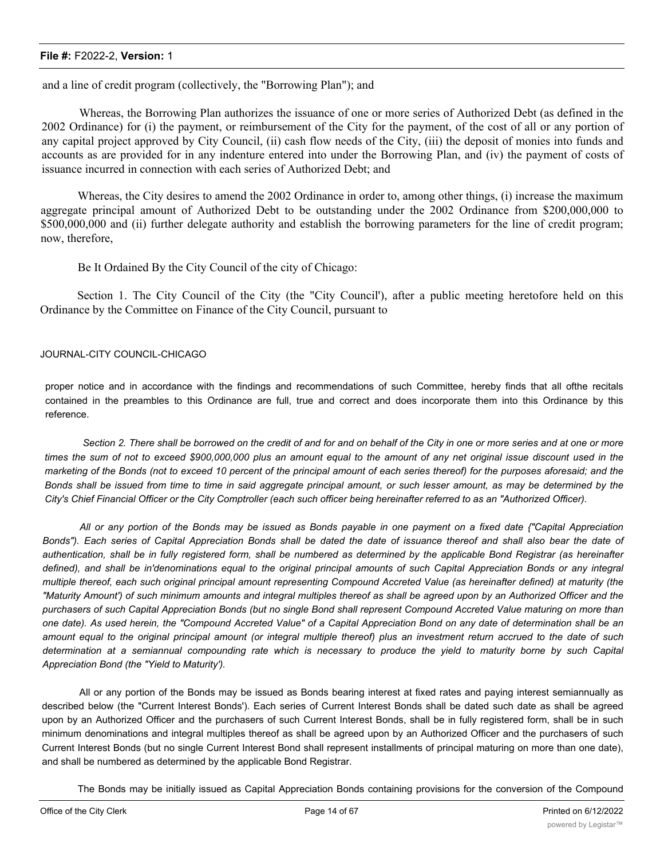and a line of credit program (collectively, the "Borrowing Plan"); and

Whereas, the Borrowing Plan authorizes the issuance of one or more series of Authorized Debt (as defined in the 2002 Ordinance) for (i) the payment, or reimbursement of the City for the payment, of the cost of all or any portion of any capital project approved by City Council, (ii) cash flow needs of the City, (iii) the deposit of monies into funds and accounts as are provided for in any indenture entered into under the Borrowing Plan, and (iv) the payment of costs of issuance incurred in connection with each series of Authorized Debt; and

Whereas, the City desires to amend the 2002 Ordinance in order to, among other things, (i) increase the maximum aggregate principal amount of Authorized Debt to be outstanding under the 2002 Ordinance from \$200,000,000 to \$500,000,000 and (ii) further delegate authority and establish the borrowing parameters for the line of credit program; now, therefore,

Be It Ordained By the City Council of the city of Chicago:

Section 1. The City Council of the City (the "City Council'), after a public meeting heretofore held on this Ordinance by the Committee on Finance of the City Council, pursuant to

#### JOURNAL-CITY COUNCIL-CHICAGO

proper notice and in accordance with the findings and recommendations of such Committee, hereby finds that all ofthe recitals contained in the preambles to this Ordinance are full, true and correct and does incorporate them into this Ordinance by this reference.

Section 2. There shall be borrowed on the credit of and for and on behalf of the City in one or more series and at one or more times the sum of not to exceed \$900,000,000 plus an amount equal to the amount of any net original issue discount used in the marketing of the Bonds (not to exceed 10 percent of the principal amount of each series thereof) for the purposes aforesaid; and the Bonds shall be issued from time to time in said aggregate principal amount, or such lesser amount, as may be determined by the *City's Chief Financial Officer or the City Comptroller (each such officer being hereinafter referred to as an "Authorized Officer).*

All or any portion of the Bonds may be issued as Bonds payable in one payment on a fixed date {"Capital Appreciation Bonds"). Each series of Capital Appreciation Bonds shall be dated the date of issuance thereof and shall also bear the date of authentication, shall be in fully registered form, shall be numbered as determined by the applicable Bond Registrar (as hereinafter defined), and shall be in'denominations equal to the original principal amounts of such Capital Appreciation Bonds or any integral multiple thereof, each such original principal amount representing Compound Accreted Value (as hereinafter defined) at maturity (the "Maturity Amount') of such minimum amounts and integral multiples thereof as shall be agreed upon by an Authorized Officer and the purchasers of such Capital Appreciation Bonds (but no single Bond shall represent Compound Accreted Value maturing on more than one date). As used herein, the "Compound Accreted Value" of a Capital Appreciation Bond on any date of determination shall be an amount equal to the original principal amount (or integral multiple thereof) plus an investment return accrued to the date of such determination at a semiannual compounding rate which is necessary to produce the yield to maturity borne by such Capital *Appreciation Bond (the "Yield to Maturity').*

All or any portion of the Bonds may be issued as Bonds bearing interest at fixed rates and paying interest semiannually as described below (the "Current Interest Bonds'). Each series of Current Interest Bonds shall be dated such date as shall be agreed upon by an Authorized Officer and the purchasers of such Current Interest Bonds, shall be in fully registered form, shall be in such minimum denominations and integral multiples thereof as shall be agreed upon by an Authorized Officer and the purchasers of such Current Interest Bonds (but no single Current Interest Bond shall represent installments of principal maturing on more than one date), and shall be numbered as determined by the applicable Bond Registrar.

The Bonds may be initially issued as Capital Appreciation Bonds containing provisions for the conversion of the Compound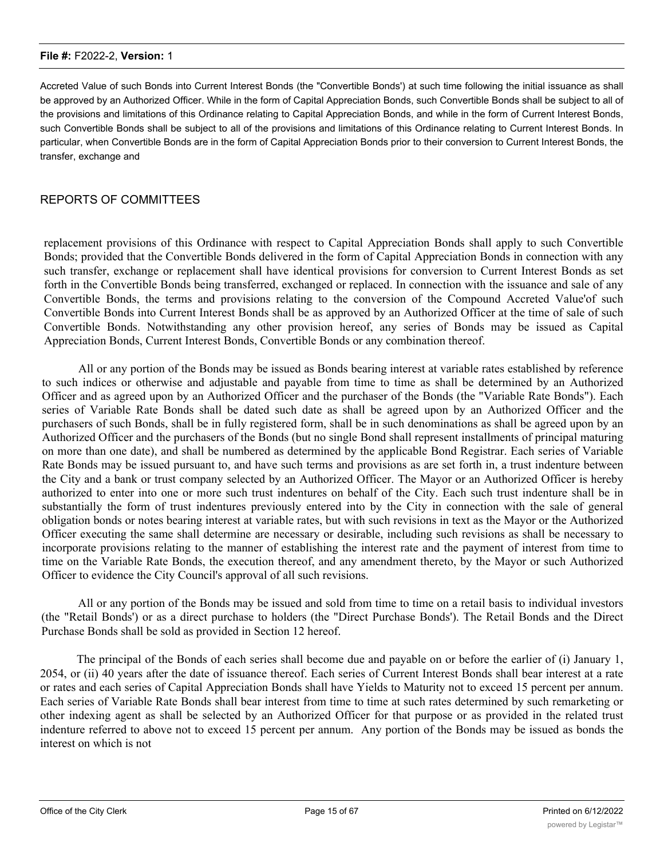Accreted Value of such Bonds into Current Interest Bonds (the "Convertible Bonds') at such time following the initial issuance as shall be approved by an Authorized Officer. While in the form of Capital Appreciation Bonds, such Convertible Bonds shall be subject to all of the provisions and limitations of this Ordinance relating to Capital Appreciation Bonds, and while in the form of Current Interest Bonds, such Convertible Bonds shall be subject to all of the provisions and limitations of this Ordinance relating to Current Interest Bonds. In particular, when Convertible Bonds are in the form of Capital Appreciation Bonds prior to their conversion to Current Interest Bonds, the transfer, exchange and

#### REPORTS OF COMMITTEES

replacement provisions of this Ordinance with respect to Capital Appreciation Bonds shall apply to such Convertible Bonds; provided that the Convertible Bonds delivered in the form of Capital Appreciation Bonds in connection with any such transfer, exchange or replacement shall have identical provisions for conversion to Current Interest Bonds as set forth in the Convertible Bonds being transferred, exchanged or replaced. In connection with the issuance and sale of any Convertible Bonds, the terms and provisions relating to the conversion of the Compound Accreted Value'of such Convertible Bonds into Current Interest Bonds shall be as approved by an Authorized Officer at the time of sale of such Convertible Bonds. Notwithstanding any other provision hereof, any series of Bonds may be issued as Capital Appreciation Bonds, Current Interest Bonds, Convertible Bonds or any combination thereof.

All or any portion of the Bonds may be issued as Bonds bearing interest at variable rates established by reference to such indices or otherwise and adjustable and payable from time to time as shall be determined by an Authorized Officer and as agreed upon by an Authorized Officer and the purchaser of the Bonds (the "Variable Rate Bonds"). Each series of Variable Rate Bonds shall be dated such date as shall be agreed upon by an Authorized Officer and the purchasers of such Bonds, shall be in fully registered form, shall be in such denominations as shall be agreed upon by an Authorized Officer and the purchasers of the Bonds (but no single Bond shall represent installments of principal maturing on more than one date), and shall be numbered as determined by the applicable Bond Registrar. Each series of Variable Rate Bonds may be issued pursuant to, and have such terms and provisions as are set forth in, a trust indenture between the City and a bank or trust company selected by an Authorized Officer. The Mayor or an Authorized Officer is hereby authorized to enter into one or more such trust indentures on behalf of the City. Each such trust indenture shall be in substantially the form of trust indentures previously entered into by the City in connection with the sale of general obligation bonds or notes bearing interest at variable rates, but with such revisions in text as the Mayor or the Authorized Officer executing the same shall determine are necessary or desirable, including such revisions as shall be necessary to incorporate provisions relating to the manner of establishing the interest rate and the payment of interest from time to time on the Variable Rate Bonds, the execution thereof, and any amendment thereto, by the Mayor or such Authorized Officer to evidence the City Council's approval of all such revisions.

All or any portion of the Bonds may be issued and sold from time to time on a retail basis to individual investors (the "Retail Bonds') or as a direct purchase to holders (the "Direct Purchase Bonds'). The Retail Bonds and the Direct Purchase Bonds shall be sold as provided in Section 12 hereof.

The principal of the Bonds of each series shall become due and payable on or before the earlier of (i) January 1, 2054, or (ii) 40 years after the date of issuance thereof. Each series of Current Interest Bonds shall bear interest at a rate or rates and each series of Capital Appreciation Bonds shall have Yields to Maturity not to exceed 15 percent per annum. Each series of Variable Rate Bonds shall bear interest from time to time at such rates determined by such remarketing or other indexing agent as shall be selected by an Authorized Officer for that purpose or as provided in the related trust indenture referred to above not to exceed 15 percent per annum. Any portion of the Bonds may be issued as bonds the interest on which is not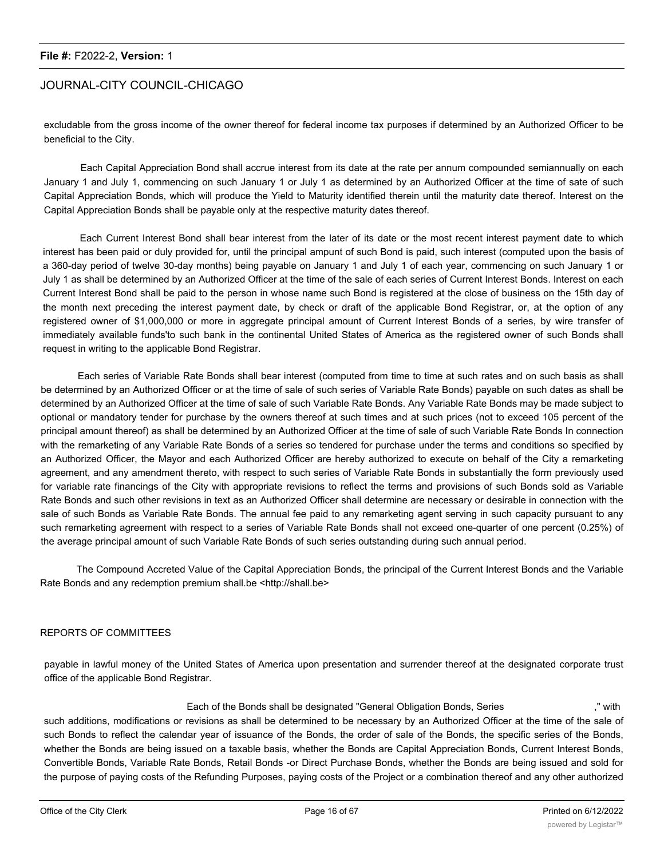#### JOURNAL-CITY COUNCIL-CHICAGO

excludable from the gross income of the owner thereof for federal income tax purposes if determined by an Authorized Officer to be beneficial to the City.

Each Capital Appreciation Bond shall accrue interest from its date at the rate per annum compounded semiannually on each January 1 and July 1, commencing on such January 1 or July 1 as determined by an Authorized Officer at the time of sate of such Capital Appreciation Bonds, which will produce the Yield to Maturity identified therein until the maturity date thereof. Interest on the Capital Appreciation Bonds shall be payable only at the respective maturity dates thereof.

Each Current Interest Bond shall bear interest from the later of its date or the most recent interest payment date to which interest has been paid or duly provided for, until the principal ampunt of such Bond is paid, such interest (computed upon the basis of a 360-day period of twelve 30-day months) being payable on January 1 and July 1 of each year, commencing on such January 1 or July 1 as shall be determined by an Authorized Officer at the time of the sale of each series of Current Interest Bonds. Interest on each Current Interest Bond shall be paid to the person in whose name such Bond is registered at the close of business on the 15th day of the month next preceding the interest payment date, by check or draft of the applicable Bond Registrar, or, at the option of any registered owner of \$1,000,000 or more in aggregate principal amount of Current Interest Bonds of a series, by wire transfer of immediately available funds'to such bank in the continental United States of America as the registered owner of such Bonds shall request in writing to the applicable Bond Registrar.

Each series of Variable Rate Bonds shall bear interest (computed from time to time at such rates and on such basis as shall be determined by an Authorized Officer or at the time of sale of such series of Variable Rate Bonds) payable on such dates as shall be determined by an Authorized Officer at the time of sale of such Variable Rate Bonds. Any Variable Rate Bonds may be made subject to optional or mandatory tender for purchase by the owners thereof at such times and at such prices (not to exceed 105 percent of the principal amount thereof) as shall be determined by an Authorized Officer at the time of sale of such Variable Rate Bonds In connection with the remarketing of any Variable Rate Bonds of a series so tendered for purchase under the terms and conditions so specified by an Authorized Officer, the Mayor and each Authorized Officer are hereby authorized to execute on behalf of the City a remarketing agreement, and any amendment thereto, with respect to such series of Variable Rate Bonds in substantially the form previously used for variable rate financings of the City with appropriate revisions to reflect the terms and provisions of such Bonds sold as Variable Rate Bonds and such other revisions in text as an Authorized Officer shall determine are necessary or desirable in connection with the sale of such Bonds as Variable Rate Bonds. The annual fee paid to any remarketing agent serving in such capacity pursuant to any such remarketing agreement with respect to a series of Variable Rate Bonds shall not exceed one-quarter of one percent (0.25%) of the average principal amount of such Variable Rate Bonds of such series outstanding during such annual period.

The Compound Accreted Value of the Capital Appreciation Bonds, the principal of the Current Interest Bonds and the Variable Rate Bonds and any redemption premium shall.be <http://shall.be>

#### REPORTS OF COMMITTEES

payable in lawful money of the United States of America upon presentation and surrender thereof at the designated corporate trust office of the applicable Bond Registrar.

Each of the Bonds shall be designated "General Obligation Bonds, Series ," with such additions, modifications or revisions as shall be determined to be necessary by an Authorized Officer at the time of the sale of such Bonds to reflect the calendar year of issuance of the Bonds, the order of sale of the Bonds, the specific series of the Bonds, whether the Bonds are being issued on a taxable basis, whether the Bonds are Capital Appreciation Bonds, Current Interest Bonds, Convertible Bonds, Variable Rate Bonds, Retail Bonds -or Direct Purchase Bonds, whether the Bonds are being issued and sold for the purpose of paying costs of the Refunding Purposes, paying costs of the Project or a combination thereof and any other authorized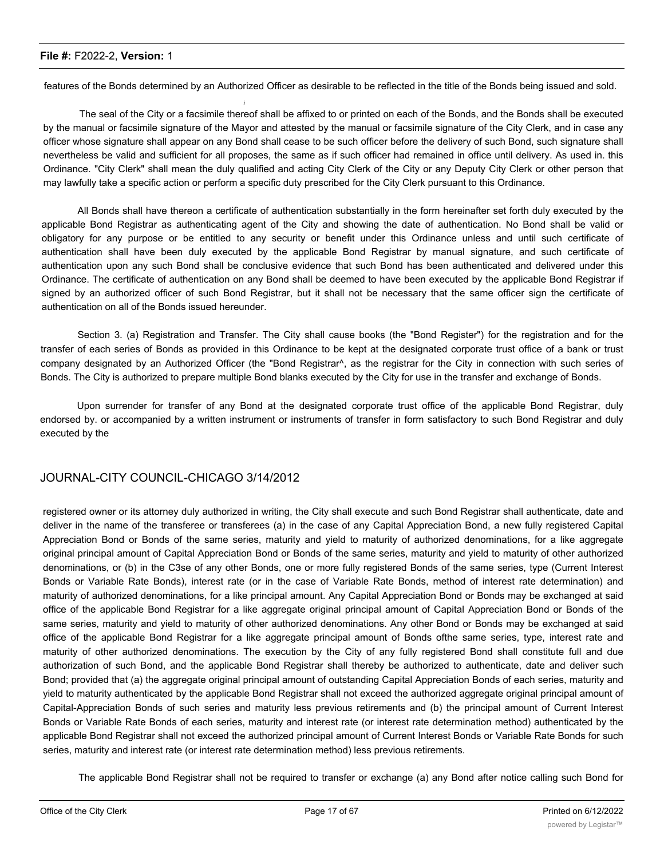features of the Bonds determined by an Authorized Officer as desirable to be reflected in the title of the Bonds being issued and sold.

*i*

The seal of the City or a facsimile thereof shall be affixed to or printed on each of the Bonds, and the Bonds shall be executed by the manual or facsimile signature of the Mayor and attested by the manual or facsimile signature of the City Clerk, and in case any officer whose signature shall appear on any Bond shall cease to be such officer before the delivery of such Bond, such signature shall nevertheless be valid and sufficient for all proposes, the same as if such officer had remained in office until delivery. As used in. this Ordinance. "City Clerk" shall mean the duly qualified and acting City Clerk of the City or any Deputy City Clerk or other person that may lawfully take a specific action or perform a specific duty prescribed for the City Clerk pursuant to this Ordinance.

All Bonds shall have thereon a certificate of authentication substantially in the form hereinafter set forth duly executed by the applicable Bond Registrar as authenticating agent of the City and showing the date of authentication. No Bond shall be valid or obligatory for any purpose or be entitled to any security or benefit under this Ordinance unless and until such certificate of authentication shall have been duly executed by the applicable Bond Registrar by manual signature, and such certificate of authentication upon any such Bond shall be conclusive evidence that such Bond has been authenticated and delivered under this Ordinance. The certificate of authentication on any Bond shall be deemed to have been executed by the applicable Bond Registrar if signed by an authorized officer of such Bond Registrar, but it shall not be necessary that the same officer sign the certificate of authentication on all of the Bonds issued hereunder.

Section 3. (a) Registration and Transfer. The City shall cause books (the "Bond Register") for the registration and for the transfer of each series of Bonds as provided in this Ordinance to be kept at the designated corporate trust office of a bank or trust company designated by an Authorized Officer (the "Bond Registrar^, as the registrar for the City in connection with such series of Bonds. The City is authorized to prepare multiple Bond blanks executed by the City for use in the transfer and exchange of Bonds.

Upon surrender for transfer of any Bond at the designated corporate trust office of the applicable Bond Registrar, duly endorsed by. or accompanied by a written instrument or instruments of transfer in form satisfactory to such Bond Registrar and duly executed by the

#### JOURNAL-CITY COUNCIL-CHICAGO 3/14/2012

registered owner or its attorney duly authorized in writing, the City shall execute and such Bond Registrar shall authenticate, date and deliver in the name of the transferee or transferees (a) in the case of any Capital Appreciation Bond, a new fully registered Capital Appreciation Bond or Bonds of the same series, maturity and yield to maturity of authorized denominations, for a like aggregate original principal amount of Capital Appreciation Bond or Bonds of the same series, maturity and yield to maturity of other authorized denominations, or (b) in the C3se of any other Bonds, one or more fully registered Bonds of the same series, type (Current Interest Bonds or Variable Rate Bonds), interest rate (or in the case of Variable Rate Bonds, method of interest rate determination) and maturity of authorized denominations, for a like principal amount. Any Capital Appreciation Bond or Bonds may be exchanged at said office of the applicable Bond Registrar for a like aggregate original principal amount of Capital Appreciation Bond or Bonds of the same series, maturity and yield to maturity of other authorized denominations. Any other Bond or Bonds may be exchanged at said office of the applicable Bond Registrar for a like aggregate principal amount of Bonds ofthe same series, type, interest rate and maturity of other authorized denominations. The execution by the City of any fully registered Bond shall constitute full and due authorization of such Bond, and the applicable Bond Registrar shall thereby be authorized to authenticate, date and deliver such Bond; provided that (a) the aggregate original principal amount of outstanding Capital Appreciation Bonds of each series, maturity and yield to maturity authenticated by the applicable Bond Registrar shall not exceed the authorized aggregate original principal amount of Capital-Appreciation Bonds of such series and maturity less previous retirements and (b) the principal amount of Current Interest Bonds or Variable Rate Bonds of each series, maturity and interest rate (or interest rate determination method) authenticated by the applicable Bond Registrar shall not exceed the authorized principal amount of Current Interest Bonds or Variable Rate Bonds for such series, maturity and interest rate (or interest rate determination method) less previous retirements.

The applicable Bond Registrar shall not be required to transfer or exchange (a) any Bond after notice calling such Bond for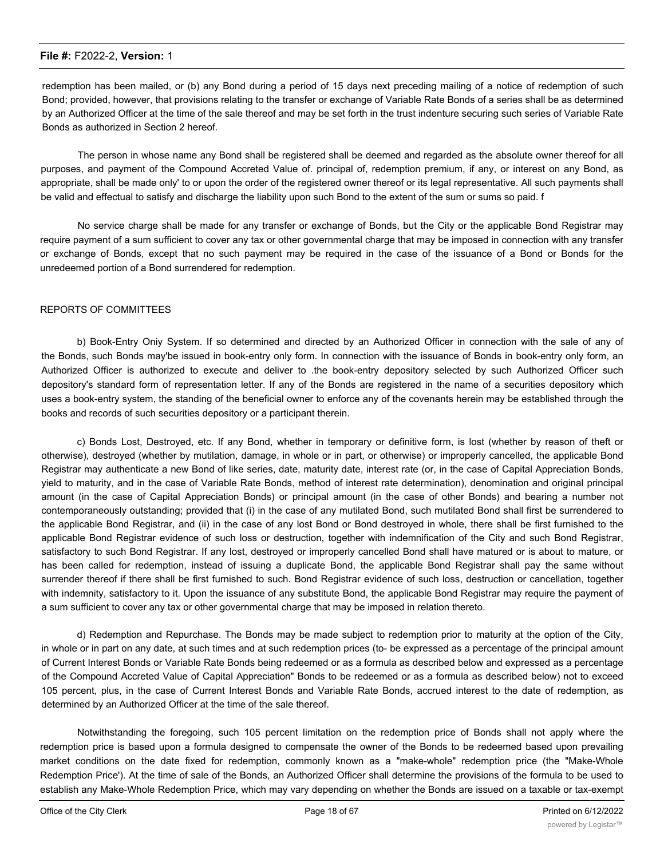redemption has been mailed, or (b) any Bond during a period of 15 days next preceding mailing of a notice of redemption of such Bond; provided, however, that provisions relating to the transfer or exchange of Variable Rate Bonds of a series shall be as determined by an Authorized Officer at the time of the sale thereof and may be set forth in the trust indenture securing such series of Variable Rate Bonds as authorized in Section 2 hereof.

The person in whose name any Bond shall be registered shall be deemed and regarded as the absolute owner thereof for all purposes, and payment of the Compound Accreted Value of. principal of, redemption premium, if any, or interest on any Bond, as appropriate, shall be made only' to or upon the order of the registered owner thereof or its legal representative. All such payments shall be valid and effectual to satisfy and discharge the liability upon such Bond to the extent of the sum or sums so paid. f

No service charge shall be made for any transfer or exchange of Bonds, but the City or the applicable Bond Registrar may require payment of a sum sufficient to cover any tax or other governmental charge that may be imposed in connection with any transfer or exchange of Bonds, except that no such payment may be required in the case of the issuance of a Bond or Bonds for the unredeemed portion of a Bond surrendered for redemption.

#### REPORTS OF COMMITTEES

b) Book-Entry Oniy System. If so determined and directed by an Authorized Officer in connection with the sale of any of the Bonds, such Bonds may'be issued in book-entry only form. In connection with the issuance of Bonds in book-entry only form, an Authorized Officer is authorized to execute and deliver to .the book-entry depository selected by such Authorized Officer such depository's standard form of representation letter. If any of the Bonds are registered in the name of a securities depository which uses a book-entry system, the standing of the beneficial owner to enforce any of the covenants herein may be established through the books and records of such securities depository or a participant therein.

c) Bonds Lost, Destroyed, etc. If any Bond, whether in temporary or definitive form, is lost (whether by reason of theft or otherwise), destroyed (whether by mutilation, damage, in whole or in part, or otherwise) or improperly cancelled, the applicable Bond Registrar may authenticate a new Bond of like series, date, maturity date, interest rate (or, in the case of Capital Appreciation Bonds, yield to maturity, and in the case of Variable Rate Bonds, method of interest rate determination), denomination and original principal amount (in the case of Capital Appreciation Bonds) or principal amount (in the case of other Bonds) and bearing a number not contemporaneously outstanding; provided that (i) in the case of any mutilated Bond, such mutilated Bond shall first be surrendered to the applicable Bond Registrar, and (ii) in the case of any lost Bond or Bond destroyed in whole, there shall be first furnished to the applicable Bond Registrar evidence of such loss or destruction, together with indemnification of the City and such Bond Registrar, satisfactory to such Bond Registrar. If any lost, destroyed or improperly cancelled Bond shall have matured or is about to mature, or has been called for redemption, instead of issuing a duplicate Bond, the applicable Bond Registrar shall pay the same without surrender thereof if there shall be first furnished to such. Bond Registrar evidence of such loss, destruction or cancellation, together with indemnity, satisfactory to it. Upon the issuance of any substitute Bond, the applicable Bond Registrar may require the payment of a sum sufficient to cover any tax or other governmental charge that may be imposed in relation thereto.

d) Redemption and Repurchase. The Bonds may be made subject to redemption prior to maturity at the option of the City, in whole or in part on any date, at such times and at such redemption prices (to- be expressed as a percentage of the principal amount of Current Interest Bonds or Variable Rate Bonds being redeemed or as a formula as described below and expressed as a percentage of the Compound Accreted Value of Capital Appreciation" Bonds to be redeemed or as a formula as described below) not to exceed 105 percent, plus, in the case of Current Interest Bonds and Variable Rate Bonds, accrued interest to the date of redemption, as determined by an Authorized Officer at the time of the sale thereof.

Notwithstanding the foregoing, such 105 percent limitation on the redemption price of Bonds shall not apply where the redemption price is based upon a formula designed to compensate the owner of the Bonds to be redeemed based upon prevailing market conditions on the date fixed for redemption, commonly known as a "make-whole" redemption price (the "Make-Whole Redemption Price'). At the time of sale of the Bonds, an Authorized Officer shall determine the provisions of the formula to be used to establish any Make-Whole Redemption Price, which may vary depending on whether the Bonds are issued on a taxable or tax-exempt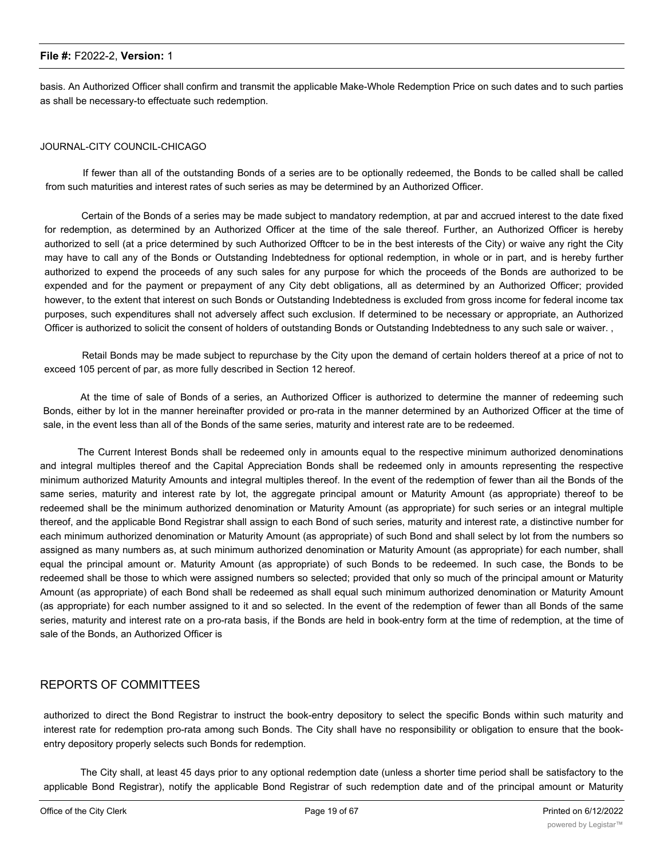basis. An Authorized Officer shall confirm and transmit the applicable Make-Whole Redemption Price on such dates and to such parties as shall be necessary-to effectuate such redemption.

#### JOURNAL-CITY COUNCIL-CHICAGO

If fewer than all of the outstanding Bonds of a series are to be optionally redeemed, the Bonds to be called shall be called from such maturities and interest rates of such series as may be determined by an Authorized Officer.

Certain of the Bonds of a series may be made subject to mandatory redemption, at par and accrued interest to the date fixed for redemption, as determined by an Authorized Officer at the time of the sale thereof. Further, an Authorized Officer is hereby authorized to sell (at a price determined by such Authorized Offtcer to be in the best interests of the City) or waive any right the City may have to call any of the Bonds or Outstanding Indebtedness for optional redemption, in whole or in part, and is hereby further authorized to expend the proceeds of any such sales for any purpose for which the proceeds of the Bonds are authorized to be expended and for the payment or prepayment of any City debt obligations, all as determined by an Authorized Officer; provided however, to the extent that interest on such Bonds or Outstanding Indebtedness is excluded from gross income for federal income tax purposes, such expenditures shall not adversely affect such exclusion. If determined to be necessary or appropriate, an Authorized Officer is authorized to solicit the consent of holders of outstanding Bonds or Outstanding Indebtedness to any such sale or waiver. ,

Retail Bonds may be made subject to repurchase by the City upon the demand of certain holders thereof at a price of not to exceed 105 percent of par, as more fully described in Section 12 hereof.

At the time of sale of Bonds of a series, an Authorized Officer is authorized to determine the manner of redeeming such Bonds, either by lot in the manner hereinafter provided or pro-rata in the manner determined by an Authorized Officer at the time of sale, in the event less than all of the Bonds of the same series, maturity and interest rate are to be redeemed.

The Current Interest Bonds shall be redeemed only in amounts equal to the respective minimum authorized denominations and integral multiples thereof and the Capital Appreciation Bonds shall be redeemed only in amounts representing the respective minimum authorized Maturity Amounts and integral multiples thereof. In the event of the redemption of fewer than ail the Bonds of the same series, maturity and interest rate by lot, the aggregate principal amount or Maturity Amount (as appropriate) thereof to be redeemed shall be the minimum authorized denomination or Maturity Amount (as appropriate) for such series or an integral multiple thereof, and the applicable Bond Registrar shall assign to each Bond of such series, maturity and interest rate, a distinctive number for each minimum authorized denomination or Maturity Amount (as appropriate) of such Bond and shall select by lot from the numbers so assigned as many numbers as, at such minimum authorized denomination or Maturity Amount (as appropriate) for each number, shall equal the principal amount or. Maturity Amount (as appropriate) of such Bonds to be redeemed. In such case, the Bonds to be redeemed shall be those to which were assigned numbers so selected; provided that only so much of the principal amount or Maturity Amount (as appropriate) of each Bond shall be redeemed as shall equal such minimum authorized denomination or Maturity Amount (as appropriate) for each number assigned to it and so selected. In the event of the redemption of fewer than all Bonds of the same series, maturity and interest rate on a pro-rata basis, if the Bonds are held in book-entry form at the time of redemption, at the time of sale of the Bonds, an Authorized Officer is

#### REPORTS OF COMMITTEES

authorized to direct the Bond Registrar to instruct the book-entry depository to select the specific Bonds within such maturity and interest rate for redemption pro-rata among such Bonds. The City shall have no responsibility or obligation to ensure that the bookentry depository properly selects such Bonds for redemption.

The City shall, at least 45 days prior to any optional redemption date (unless a shorter time period shall be satisfactory to the applicable Bond Registrar), notify the applicable Bond Registrar of such redemption date and of the principal amount or Maturity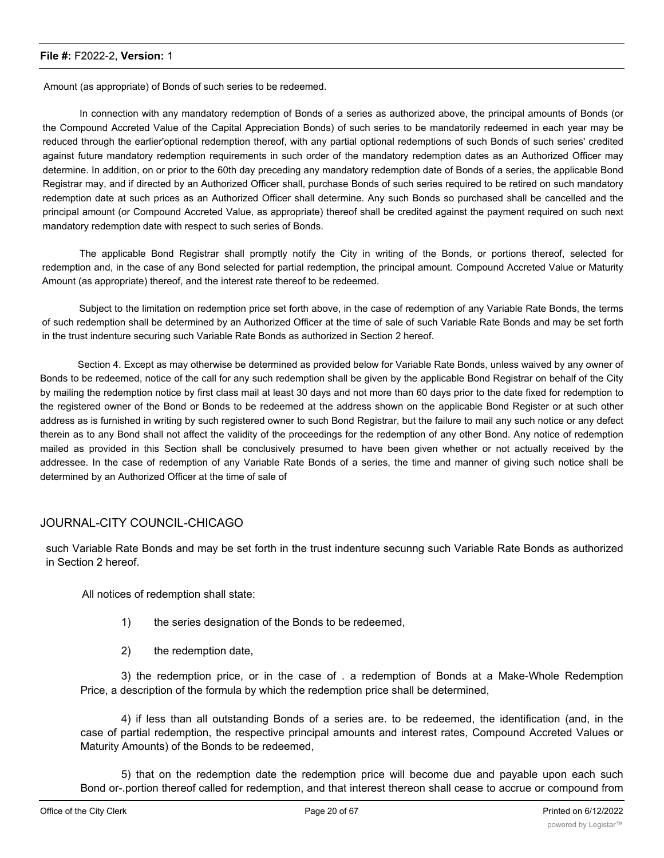Amount (as appropriate) of Bonds of such series to be redeemed.

In connection with any mandatory redemption of Bonds of a series as authorized above, the principal amounts of Bonds (or the Compound Accreted Value of the Capital Appreciation Bonds) of such series to be mandatorily redeemed in each year may be reduced through the earlier'optional redemption thereof, with any partial optional redemptions of such Bonds of such series' credited against future mandatory redemption requirements in such order of the mandatory redemption dates as an Authorized Officer may determine. In addition, on or prior to the 60th day preceding any mandatory redemption date of Bonds of a series, the applicable Bond Registrar may, and if directed by an Authorized Officer shall, purchase Bonds of such series required to be retired on such mandatory redemption date at such prices as an Authorized Officer shall determine. Any such Bonds so purchased shall be cancelled and the principal amount (or Compound Accreted Value, as appropriate) thereof shall be credited against the payment required on such next mandatory redemption date with respect to such series of Bonds.

The applicable Bond Registrar shall promptly notify the City in writing of the Bonds, or portions thereof, selected for redemption and, in the case of any Bond selected for partial redemption, the principal amount. Compound Accreted Value or Maturity Amount (as appropriate) thereof, and the interest rate thereof to be redeemed.

Subject to the limitation on redemption price set forth above, in the case of redemption of any Variable Rate Bonds, the terms of such redemption shall be determined by an Authorized Officer at the time of sale of such Variable Rate Bonds and may be set forth in the trust indenture securing such Variable Rate Bonds as authorized in Section 2 hereof.

Section 4. Except as may otherwise be determined as provided below for Variable Rate Bonds, unless waived by any owner of Bonds to be redeemed, notice of the call for any such redemption shall be given by the applicable Bond Registrar on behalf of the City by mailing the redemption notice by first class mail at least 30 days and not more than 60 days prior to the date fixed for redemption to the registered owner of the Bond or Bonds to be redeemed at the address shown on the applicable Bond Register or at such other address as is furnished in writing by such registered owner to such Bond Registrar, but the failure to mail any such notice or any defect therein as to any Bond shall not affect the validity of the proceedings for the redemption of any other Bond. Any notice of redemption mailed as provided in this Section shall be conclusively presumed to have been given whether or not actually received by the addressee. In the case of redemption of any Variable Rate Bonds of a series, the time and manner of giving such notice shall be determined by an Authorized Officer at the time of sale of

#### JOURNAL-CITY COUNCIL-CHICAGO

such Variable Rate Bonds and may be set forth in the trust indenture secunng such Variable Rate Bonds as authorized in Section 2 hereof.

All notices of redemption shall state:

- 1) the series designation of the Bonds to be redeemed,
- 2) the redemption date,

3) the redemption price, or in the case of . a redemption of Bonds at a Make-Whole Redemption Price, a description of the formula by which the redemption price shall be determined,

4) if less than all outstanding Bonds of a series are. to be redeemed, the identification (and, in the case of partial redemption, the respective principal amounts and interest rates, Compound Accreted Values or Maturity Amounts) of the Bonds to be redeemed,

5) that on the redemption date the redemption price will become due and payable upon each such Bond or-.portion thereof called for redemption, and that interest thereon shall cease to accrue or compound from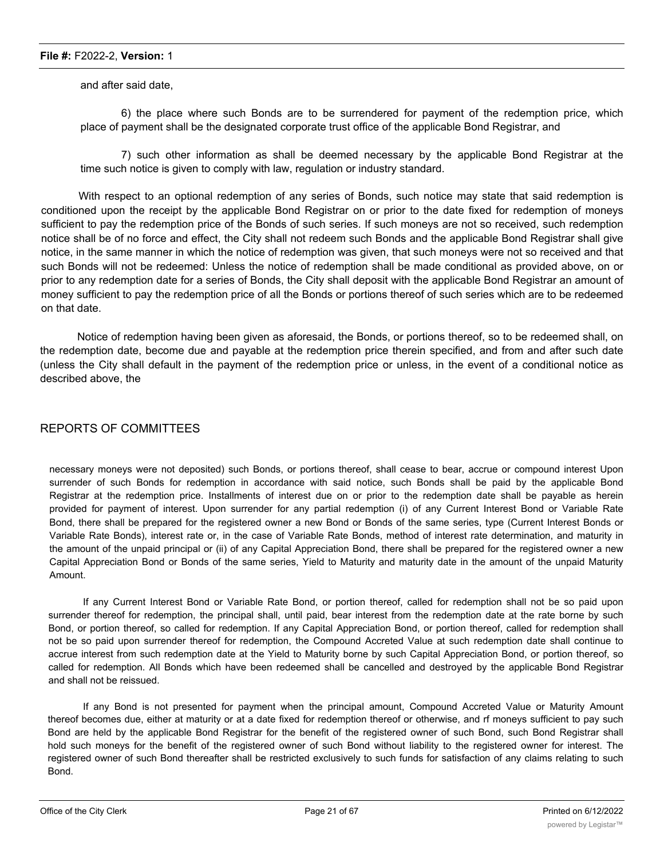and after said date,

6) the place where such Bonds are to be surrendered for payment of the redemption price, which place of payment shall be the designated corporate trust office of the applicable Bond Registrar, and

7) such other information as shall be deemed necessary by the applicable Bond Registrar at the time such notice is given to comply with law, regulation or industry standard.

With respect to an optional redemption of any series of Bonds, such notice may state that said redemption is conditioned upon the receipt by the applicable Bond Registrar on or prior to the date fixed for redemption of moneys sufficient to pay the redemption price of the Bonds of such series. If such moneys are not so received, such redemption notice shall be of no force and effect, the City shall not redeem such Bonds and the applicable Bond Registrar shall give notice, in the same manner in which the notice of redemption was given, that such moneys were not so received and that such Bonds will not be redeemed: Unless the notice of redemption shall be made conditional as provided above, on or prior to any redemption date for a series of Bonds, the City shall deposit with the applicable Bond Registrar an amount of money sufficient to pay the redemption price of all the Bonds or portions thereof of such series which are to be redeemed on that date.

Notice of redemption having been given as aforesaid, the Bonds, or portions thereof, so to be redeemed shall, on the redemption date, become due and payable at the redemption price therein specified, and from and after such date (unless the City shall default in the payment of the redemption price or unless, in the event of a conditional notice as described above, the

#### REPORTS OF COMMITTEES

necessary moneys were not deposited) such Bonds, or portions thereof, shall cease to bear, accrue or compound interest Upon surrender of such Bonds for redemption in accordance with said notice, such Bonds shall be paid by the applicable Bond Registrar at the redemption price. Installments of interest due on or prior to the redemption date shall be payable as herein provided for payment of interest. Upon surrender for any partial redemption (i) of any Current Interest Bond or Variable Rate Bond, there shall be prepared for the registered owner a new Bond or Bonds of the same series, type (Current Interest Bonds or Variable Rate Bonds), interest rate or, in the case of Variable Rate Bonds, method of interest rate determination, and maturity in the amount of the unpaid principal or (ii) of any Capital Appreciation Bond, there shall be prepared for the registered owner a new Capital Appreciation Bond or Bonds of the same series, Yield to Maturity and maturity date in the amount of the unpaid Maturity Amount.

If any Current Interest Bond or Variable Rate Bond, or portion thereof, called for redemption shall not be so paid upon surrender thereof for redemption, the principal shall, until paid, bear interest from the redemption date at the rate borne by such Bond, or portion thereof, so called for redemption. If any Capital Appreciation Bond, or portion thereof, called for redemption shall not be so paid upon surrender thereof for redemption, the Compound Accreted Value at such redemption date shall continue to accrue interest from such redemption date at the Yield to Maturity borne by such Capital Appreciation Bond, or portion thereof, so called for redemption. All Bonds which have been redeemed shall be cancelled and destroyed by the applicable Bond Registrar and shall not be reissued.

If any Bond is not presented for payment when the principal amount, Compound Accreted Value or Maturity Amount thereof becomes due, either at maturity or at a date fixed for redemption thereof or otherwise, and rf moneys sufficient to pay such Bond are held by the applicable Bond Registrar for the benefit of the registered owner of such Bond, such Bond Registrar shall hold such moneys for the benefit of the registered owner of such Bond without liability to the registered owner for interest. The registered owner of such Bond thereafter shall be restricted exclusively to such funds for satisfaction of any claims relating to such Bond.

Section 5. The Capital Appreciation Bonds and the Current Interest Bonds of each series shall be prepared in substantially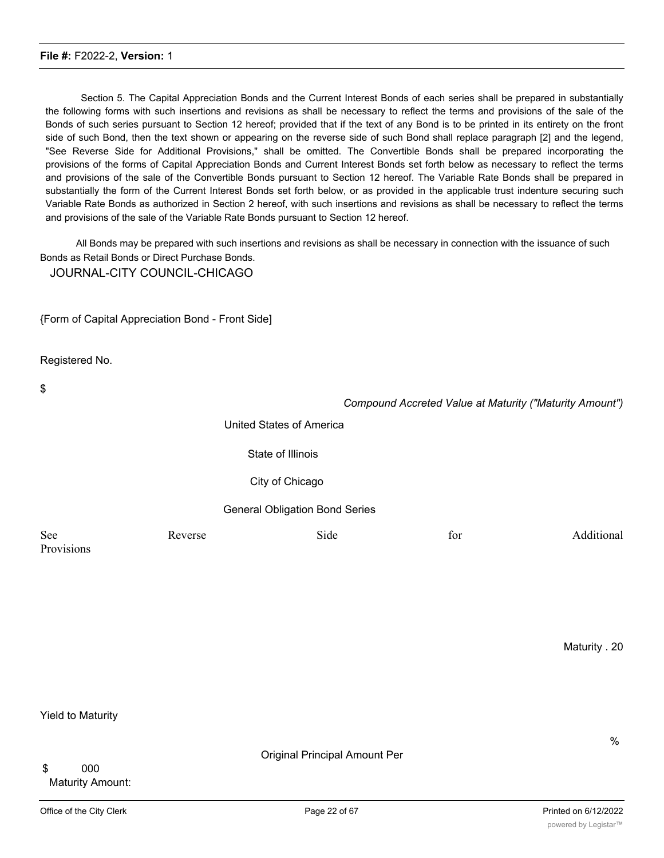Section 5. The Capital Appreciation Bonds and the Current Interest Bonds of each series shall be prepared in substantially the following forms with such insertions and revisions as shall be necessary to reflect the terms and provisions of the sale of the Bonds of such series pursuant to Section 12 hereof; provided that if the text of any Bond is to be printed in its entirety on the front side of such Bond, then the text shown or appearing on the reverse side of such Bond shall replace paragraph [2] and the legend, "See Reverse Side for Additional Provisions," shall be omitted. The Convertible Bonds shall be prepared incorporating the provisions of the forms of Capital Appreciation Bonds and Current Interest Bonds set forth below as necessary to reflect the terms and provisions of the sale of the Convertible Bonds pursuant to Section 12 hereof. The Variable Rate Bonds shall be prepared in substantially the form of the Current Interest Bonds set forth below, or as provided in the applicable trust indenture securing such Variable Rate Bonds as authorized in Section 2 hereof, with such insertions and revisions as shall be necessary to reflect the terms and provisions of the sale of the Variable Rate Bonds pursuant to Section 12 hereof.

All Bonds may be prepared with such insertions and revisions as shall be necessary in connection with the issuance of such Bonds as Retail Bonds or Direct Purchase Bonds.

JOURNAL-CITY COUNCIL-CHICAGO

{Form of Capital Appreciation Bond - Front Side]

Registered No.

| \$                |                                       |      | Compound Accreted Value at Maturity ("Maturity Amount") |            |
|-------------------|---------------------------------------|------|---------------------------------------------------------|------------|
|                   | United States of America              |      |                                                         |            |
|                   | State of Illinois                     |      |                                                         |            |
|                   | City of Chicago                       |      |                                                         |            |
|                   | <b>General Obligation Bond Series</b> |      |                                                         |            |
| See<br>Provisions | Reverse                               | Side | for                                                     | Additional |

Maturity . 20

Yield to Maturity

\$ 000 Maturity Amount: %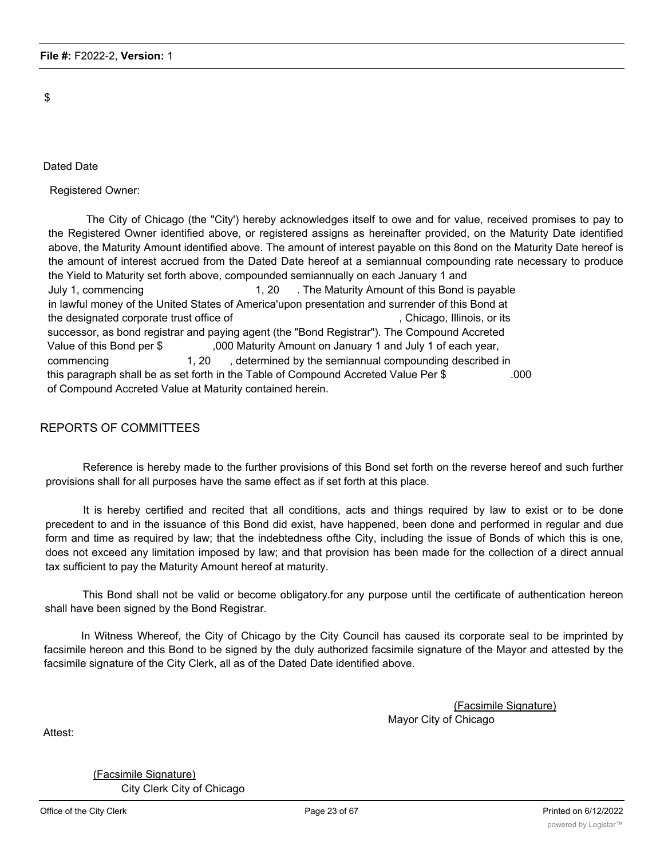\$

Dated Date

Registered Owner:

The City of Chicago (the "City') hereby acknowledges itself to owe and for value, received promises to pay to the Registered Owner identified above, or registered assigns as hereinafter provided, on the Maturity Date identified above, the Maturity Amount identified above. The amount of interest payable on this 8ond on the Maturity Date hereof is the amount of interest accrued from the Dated Date hereof at a semiannual compounding rate necessary to produce the Yield to Maturity set forth above, compounded semiannually on each January 1 and July 1, commencing 1, 20 . The Maturity Amount of this Bond is payable in lawful money of the United States of America'upon presentation and surrender of this Bond at the designated corporate trust office of  $\blacksquare$ , Chicago, Illinois, or its successor, as bond registrar and paying agent (the "Bond Registrar"). The Compound Accreted Value of this Bond per \$ ,000 Maturity Amount on January 1 and July 1 of each year, commencing 1, 20 , determined by the semiannual compounding described in this paragraph shall be as set forth in the Table of Compound Accreted Value Per \$ .000 of Compound Accreted Value at Maturity contained herein.

#### REPORTS OF COMMITTEES

Reference is hereby made to the further provisions of this Bond set forth on the reverse hereof and such further provisions shall for all purposes have the same effect as if set forth at this place.

It is hereby certified and recited that all conditions, acts and things required by law to exist or to be done precedent to and in the issuance of this Bond did exist, have happened, been done and performed in regular and due form and time as required by law; that the indebtedness ofthe City, including the issue of Bonds of which this is one, does not exceed any limitation imposed by law; and that provision has been made for the collection of a direct annual tax sufficient to pay the Maturity Amount hereof at maturity.

This Bond shall not be valid or become obligatory.for any purpose until the certificate of authentication hereon shall have been signed by the Bond Registrar.

In Witness Whereof, the City of Chicago by the City Council has caused its corporate seal to be imprinted by facsimile hereon and this Bond to be signed by the duly authorized facsimile signature of the Mayor and attested by the facsimile signature of the City Clerk, all as of the Dated Date identified above.

> (Facsimile Signature) Mayor City of Chicago

Attest:

(Facsimile Signature) City Clerk City of Chicago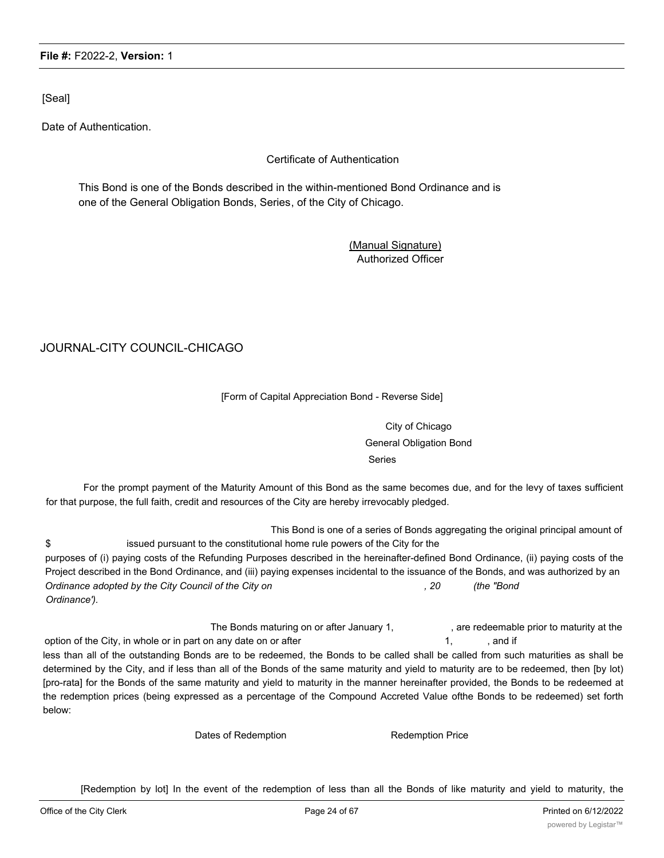[Seal]

Date of Authentication.

#### Certificate of Authentication

This Bond is one of the Bonds described in the within-mentioned Bond Ordinance and is one of the General Obligation Bonds, Series, of the City of Chicago.

> (Manual Signature) Authorized Officer

#### JOURNAL-CITY COUNCIL-CHICAGO

#### [Form of Capital Appreciation Bond - Reverse Side]

City of Chicago General Obligation Bond Series

For the prompt payment of the Maturity Amount of this Bond as the same becomes due, and for the levy of taxes sufficient for that purpose, the full faith, credit and resources of the City are hereby irrevocably pledged.

This Bond is one of a series of Bonds aggregating the original principal amount of \$ issued pursuant to the constitutional home rule powers of the City for the purposes of (i) paying costs of the Refunding Purposes described in the hereinafter-defined Bond Ordinance, (ii) paying costs of the Project described in the Bond Ordinance, and (iii) paying expenses incidental to the issuance of the Bonds, and was authorized by an *Ordinance adopted by the City Council of the City on , 20 (the "Bond Ordinance').*

The Bonds maturing on or after January 1, example are redeemable prior to maturity at the option of the City, in whole or in part on any date on or after 1, and if  $\sim$  1, and if

less than all of the outstanding Bonds are to be redeemed, the Bonds to be called shall be called from such maturities as shall be determined by the City, and if less than all of the Bonds of the same maturity and yield to maturity are to be redeemed, then [by lot) [pro-rata] for the Bonds of the same maturity and yield to maturity in the manner hereinafter provided, the Bonds to be redeemed at the redemption prices (being expressed as a percentage of the Compound Accreted Value ofthe Bonds to be redeemed) set forth below:

Dates of Redemption **Redemption** Redemption Price

[Redemption by lot] In the event of the redemption of less than all the Bonds of like maturity and yield to maturity, the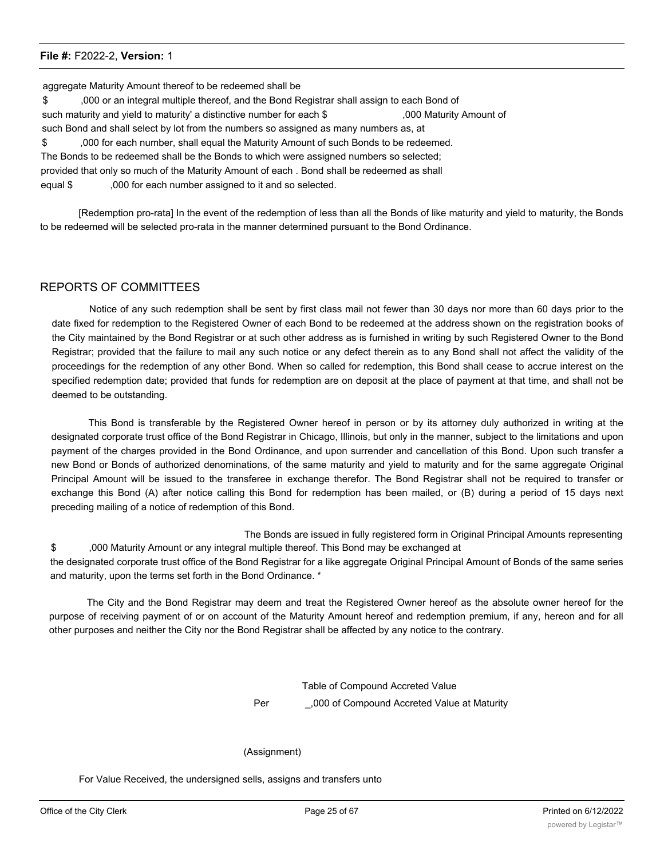aggregate Maturity Amount thereof to be redeemed shall be \$ ,000 or an integral multiple thereof, and the Bond Registrar shall assign to each Bond of such maturity and yield to maturity' a distinctive number for each \$ ,000 Maturity Amount of such Bond and shall select by lot from the numbers so assigned as many numbers as, at \$ ,000 for each number, shall equal the Maturity Amount of such Bonds to be redeemed. The Bonds to be redeemed shall be the Bonds to which were assigned numbers so selected; provided that only so much of the Maturity Amount of each . Bond shall be redeemed as shall equal \$ ,000 for each number assigned to it and so selected.

[Redemption pro-rata] In the event of the redemption of less than all the Bonds of like maturity and yield to maturity, the Bonds to be redeemed will be selected pro-rata in the manner determined pursuant to the Bond Ordinance.

#### REPORTS OF COMMITTEES

Notice of any such redemption shall be sent by first class mail not fewer than 30 days nor more than 60 days prior to the date fixed for redemption to the Registered Owner of each Bond to be redeemed at the address shown on the registration books of the City maintained by the Bond Registrar or at such other address as is furnished in writing by such Registered Owner to the Bond Registrar; provided that the failure to mail any such notice or any defect therein as to any Bond shall not affect the validity of the proceedings for the redemption of any other Bond. When so called for redemption, this Bond shall cease to accrue interest on the specified redemption date; provided that funds for redemption are on deposit at the place of payment at that time, and shall not be deemed to be outstanding.

This Bond is transferable by the Registered Owner hereof in person or by its attorney duly authorized in writing at the designated corporate trust office of the Bond Registrar in Chicago, Illinois, but only in the manner, subject to the limitations and upon payment of the charges provided in the Bond Ordinance, and upon surrender and cancellation of this Bond. Upon such transfer a new Bond or Bonds of authorized denominations, of the same maturity and yield to maturity and for the same aggregate Original Principal Amount will be issued to the transferee in exchange therefor. The Bond Registrar shall not be required to transfer or exchange this Bond (A) after notice calling this Bond for redemption has been mailed, or (B) during a period of 15 days next preceding mailing of a notice of redemption of this Bond.

The Bonds are issued in fully registered form in Original Principal Amounts representing \$ ,000 Maturity Amount or any integral multiple thereof. This Bond may be exchanged at the designated corporate trust office of the Bond Registrar for a like aggregate Original Principal Amount of Bonds of the same series and maturity, upon the terms set forth in the Bond Ordinance. \*

The City and the Bond Registrar may deem and treat the Registered Owner hereof as the absolute owner hereof for the purpose of receiving payment of or on account of the Maturity Amount hereof and redemption premium, if any, hereon and for all other purposes and neither the City nor the Bond Registrar shall be affected by any notice to the contrary.

> Table of Compound Accreted Value Per \_\_\_\_\_\_\_\_,000 of Compound Accreted Value at Maturity

#### (Assignment)

For Value Received, the undersigned sells, assigns and transfers unto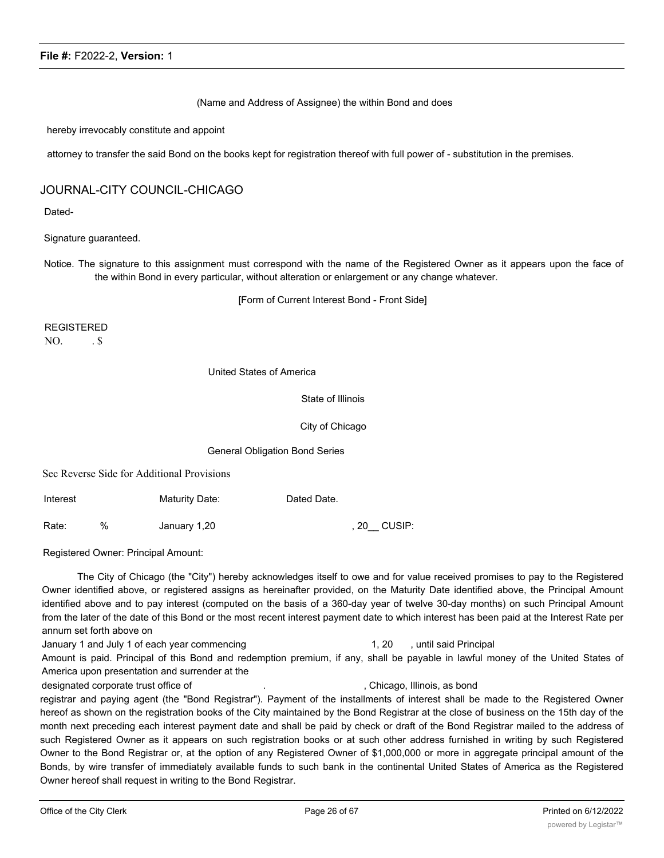(Name and Address of Assignee) the within Bond and does

hereby irrevocably constitute and appoint

attorney to transfer the said Bond on the books kept for registration thereof with full power of - substitution in the premises.

#### JOURNAL-CITY COUNCIL-CHICAGO

Dated-

Signature guaranteed.

Notice. The signature to this assignment must correspond with the name of the Registered Owner as it appears upon the face of the within Bond in every particular, without alteration or enlargement or any change whatever.

[Form of Current Interest Bond - Front Side]

REGISTERED  $NO.$   $.S.$ 

United States of America

State of Illinois

City of Chicago

General Obligation Bond Series

Sec Reverse Side for Additional Provisions

Interest Maturity Date: Dated Date. Rate: % January 1,20 , 20\_\_ CUSIP:

Registered Owner: Principal Amount:

The City of Chicago (the "City") hereby acknowledges itself to owe and for value received promises to pay to the Registered Owner identified above, or registered assigns as hereinafter provided, on the Maturity Date identified above, the Principal Amount identified above and to pay interest (computed on the basis of a 360-day year of twelve 30-day months) on such Principal Amount from the later of the date of this Bond or the most recent interest payment date to which interest has been paid at the Interest Rate per annum set forth above on

#### January 1 and July 1 of each year commencing 1, 20 , until said Principal

Amount is paid. Principal of this Bond and redemption premium, if any, shall be payable in lawful money of the United States of America upon presentation and surrender at the

designated corporate trust office of  $\qquad \qquad \ldots$  , Chicago, Illinois, as bond

registrar and paying agent (the "Bond Registrar"). Payment of the installments of interest shall be made to the Registered Owner hereof as shown on the registration books of the City maintained by the Bond Registrar at the close of business on the 15th day of the month next preceding each interest payment date and shall be paid by check or draft of the Bond Registrar mailed to the address of such Registered Owner as it appears on such registration books or at such other address furnished in writing by such Registered Owner to the Bond Registrar or, at the option of any Registered Owner of \$1,000,000 or more in aggregate principal amount of the Bonds, by wire transfer of immediately available funds to such bank in the continental United States of America as the Registered Owner hereof shall request in writing to the Bond Registrar.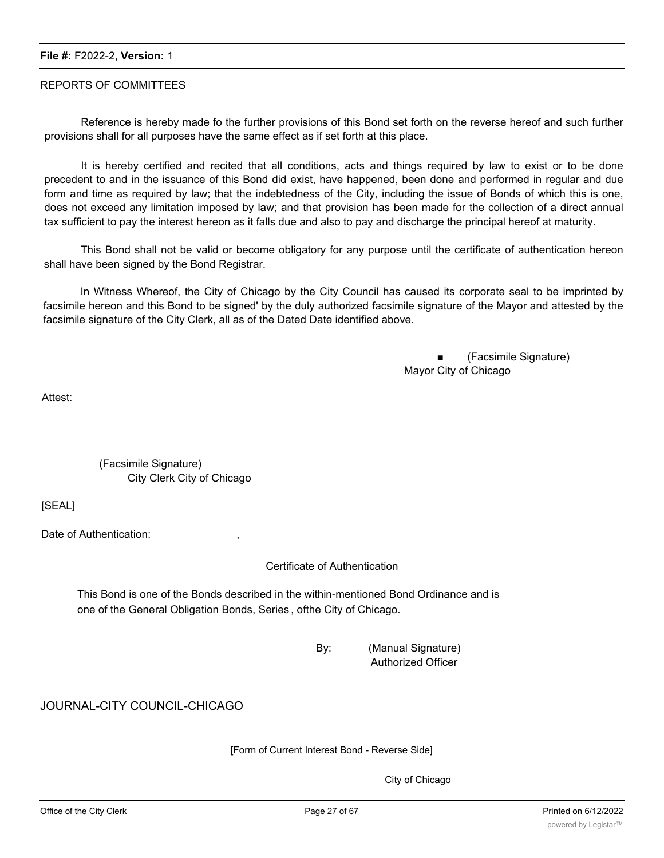#### REPORTS OF COMMITTEES

Reference is hereby made fo the further provisions of this Bond set forth on the reverse hereof and such further provisions shall for all purposes have the same effect as if set forth at this place.

It is hereby certified and recited that all conditions, acts and things required by law to exist or to be done precedent to and in the issuance of this Bond did exist, have happened, been done and performed in regular and due form and time as required by law; that the indebtedness of the City, including the issue of Bonds of which this is one, does not exceed any limitation imposed by law; and that provision has been made for the collection of a direct annual tax sufficient to pay the interest hereon as it falls due and also to pay and discharge the principal hereof at maturity.

This Bond shall not be valid or become obligatory for any purpose until the certificate of authentication hereon shall have been signed by the Bond Registrar.

In Witness Whereof, the City of Chicago by the City Council has caused its corporate seal to be imprinted by facsimile hereon and this Bond to be signed' by the duly authorized facsimile signature of the Mayor and attested by the facsimile signature of the City Clerk, all as of the Dated Date identified above.

> ■ (Facsimile Signature) Mayor City of Chicago

Attest:

(Facsimile Signature) City Clerk City of Chicago

[SEAL]

Date of Authentication:

Certificate of Authentication

This Bond is one of the Bonds described in the within-mentioned Bond Ordinance and is one of the General Obligation Bonds, Series , ofthe City of Chicago.

> By: (Manual Signature) Authorized Officer

JOURNAL-CITY COUNCIL-CHICAGO

[Form of Current Interest Bond - Reverse Side]

City of Chicago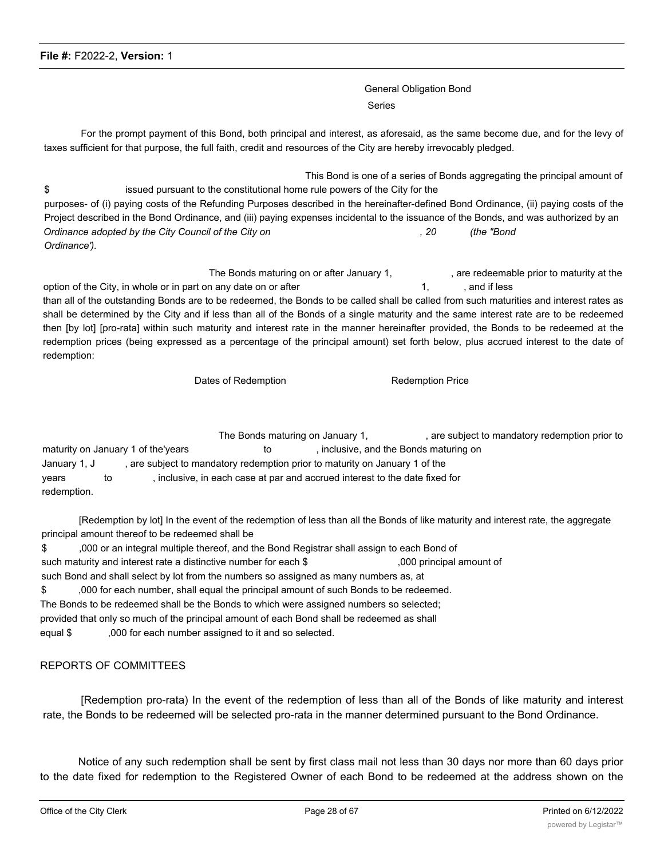General Obligation Bond Series

For the prompt payment of this Bond, both principal and interest, as aforesaid, as the same become due, and for the levy of taxes sufficient for that purpose, the full faith, credit and resources of the City are hereby irrevocably pledged.

This Bond is one of a series of Bonds aggregating the principal amount of \$ issued pursuant to the constitutional home rule powers of the City for the purposes- of (i) paying costs of the Refunding Purposes described in the hereinafter-defined Bond Ordinance, (ii) paying costs of the Project described in the Bond Ordinance, and (iii) paying expenses incidental to the issuance of the Bonds, and was authorized by an *Ordinance adopted by the City Council of the City on , 20 (the "Bond Ordinance').*

The Bonds maturing on or after January 1, example are redeemable prior to maturity at the option of the City, in whole or in part on any date on or after 1, and if less than all of the outstanding Bonds are to be redeemed, the Bonds to be called shall be called from such maturities and interest rates as shall be determined by the City and if less than all of the Bonds of a single maturity and the same interest rate are to be redeemed then [by lot] [pro-rata] within such maturity and interest rate in the manner hereinafter provided, the Bonds to be redeemed at the redemption prices (being expressed as a percentage of the principal amount) set forth below, plus accrued interest to the date of redemption:

Dates of Redemption **Redemption** Redemption Price

The Bonds maturing on January 1, The Bonds maturing on January 1, are subject to mandatory redemption prior to maturity on January 1 of the'years to the to help inclusive, and the Bonds maturing on January 1, J , are subject to mandatory redemption prior to maturity on January 1 of the years to ; inclusive, in each case at par and accrued interest to the date fixed for redemption.

[Redemption by lot] In the event of the redemption of less than all the Bonds of like maturity and interest rate, the aggregate principal amount thereof to be redeemed shall be

\$ ,000 or an integral multiple thereof, and the Bond Registrar shall assign to each Bond of such maturity and interest rate a distinctive number for each \$ ,000 principal amount of such Bond and shall select by lot from the numbers so assigned as many numbers as, at \$ ,000 for each number, shall equal the principal amount of such Bonds to be redeemed. The Bonds to be redeemed shall be the Bonds to which were assigned numbers so selected; provided that only so much of the principal amount of each Bond shall be redeemed as shall equal \$ ,000 for each number assigned to it and so selected.

#### REPORTS OF COMMITTEES

[Redemption pro-rata) In the event of the redemption of less than all of the Bonds of like maturity and interest rate, the Bonds to be redeemed will be selected pro-rata in the manner determined pursuant to the Bond Ordinance.

Notice of any such redemption shall be sent by first class mail not less than 30 days nor more than 60 days prior to the date fixed for redemption to the Registered Owner of each Bond to be redeemed at the address shown on the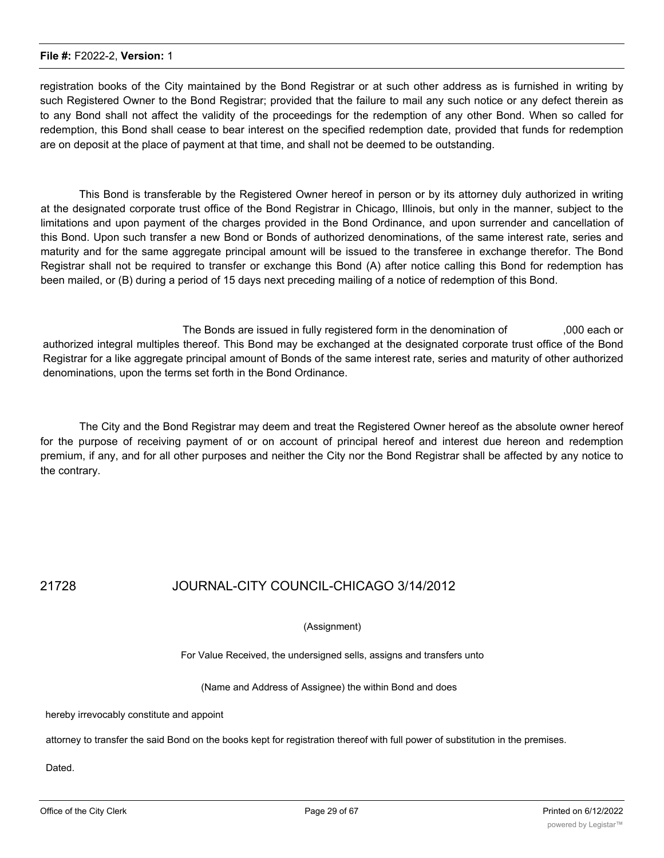registration books of the City maintained by the Bond Registrar or at such other address as is furnished in writing by such Registered Owner to the Bond Registrar; provided that the failure to mail any such notice or any defect therein as to any Bond shall not affect the validity of the proceedings for the redemption of any other Bond. When so called for redemption, this Bond shall cease to bear interest on the specified redemption date, provided that funds for redemption are on deposit at the place of payment at that time, and shall not be deemed to be outstanding.

This Bond is transferable by the Registered Owner hereof in person or by its attorney duly authorized in writing at the designated corporate trust office of the Bond Registrar in Chicago, Illinois, but only in the manner, subject to the limitations and upon payment of the charges provided in the Bond Ordinance, and upon surrender and cancellation of this Bond. Upon such transfer a new Bond or Bonds of authorized denominations, of the same interest rate, series and maturity and for the same aggregate principal amount will be issued to the transferee in exchange therefor. The Bond Registrar shall not be required to transfer or exchange this Bond (A) after notice calling this Bond for redemption has been mailed, or (B) during a period of 15 days next preceding mailing of a notice of redemption of this Bond.

The Bonds are issued in fully registered form in the denomination of ,000 each or authorized integral multiples thereof. This Bond may be exchanged at the designated corporate trust office of the Bond Registrar for a like aggregate principal amount of Bonds of the same interest rate, series and maturity of other authorized denominations, upon the terms set forth in the Bond Ordinance.

The City and the Bond Registrar may deem and treat the Registered Owner hereof as the absolute owner hereof for the purpose of receiving payment of or on account of principal hereof and interest due hereon and redemption premium, if any, and for all other purposes and neither the City nor the Bond Registrar shall be affected by any notice to the contrary.

## 21728 JOURNAL-CITY COUNCIL-CHICAGO 3/14/2012

#### (Assignment)

For Value Received, the undersigned sells, assigns and transfers unto

(Name and Address of Assignee) the within Bond and does

hereby irrevocably constitute and appoint

attorney to transfer the said Bond on the books kept for registration thereof with full power of substitution in the premises.

Dated.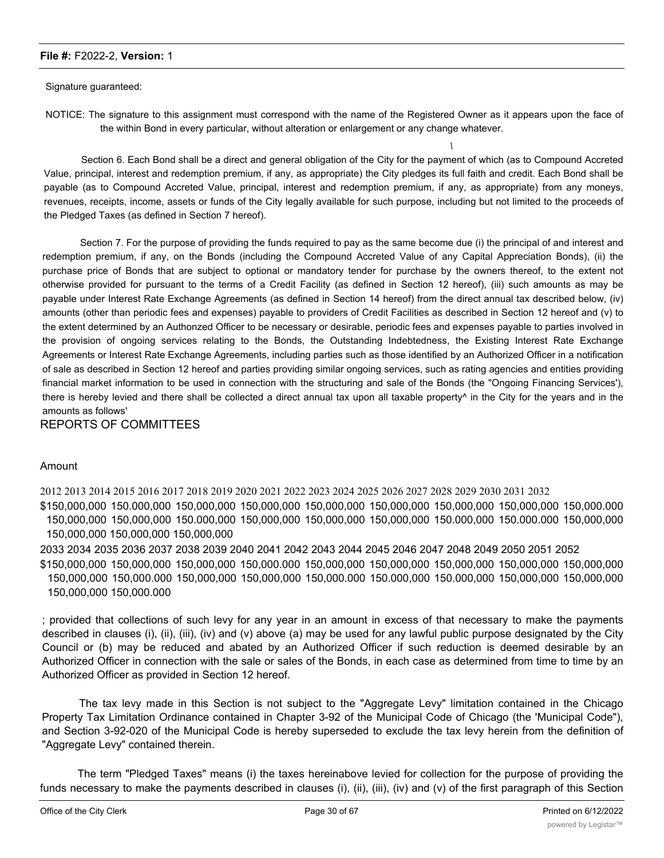Signature guaranteed:

NOTICE: The signature to this assignment must correspond with the name of the Registered Owner as it appears upon the face of the within Bond in every particular, without alteration or enlargement or any change whatever.

*\*

Section 6. Each Bond shall be a direct and general obligation of the City for the payment of which (as to Compound Accreted Value, principal, interest and redemption premium, if any, as appropriate) the City pledges its full faith and credit. Each Bond shall be payable (as to Compound Accreted Value, principal, interest and redemption premium, if any, as appropriate) from any moneys, revenues, receipts, income, assets or funds of the City legally available for such purpose, including but not limited to the proceeds of the Pledged Taxes (as defined in Section 7 hereof).

Section 7. For the purpose of providing the funds required to pay as the same become due (i) the principal of and interest and redemption premium, if any, on the Bonds (including the Compound Accreted Value of any Capital Appreciation Bonds), (ii) the purchase price of Bonds that are subject to optional or mandatory tender for purchase by the owners thereof, to the extent not otherwise provided for pursuant to the terms of a Credit Facility (as defined in Section 12 hereof), (iii) such amounts as may be payable under Interest Rate Exchange Agreements (as defined in Section 14 hereof) from the direct annual tax described below, (iv) amounts (other than periodic fees and expenses) payable to providers of Credit Facilities as described in Section 12 hereof and (v) to the extent determined by an Authonzed Officer to be necessary or desirable, periodic fees and expenses payable to parties involved in the provision of ongoing services relating to the Bonds, the Outstanding Indebtedness, the Existing Interest Rate Exchange Agreements or Interest Rate Exchange Agreements, including parties such as those identified by an Authorized Officer in a notification of sale as described in Section 12 hereof and parties providing similar ongoing services, such as rating agencies and entities providing financial market information to be used in connection with the structuring and sale of the Bonds (the "Ongoing Financing Services'), there is hereby levied and there shall be collected a direct annual tax upon all taxable property<sup>^</sup> in the City for the years and in the amounts as follows'

#### REPORTS OF COMMITTEES

#### Amount

2012 2013 2014 2015 2016 2017 2018 2019 2020 2021 2022 2023 2024 2025 2026 2027 2028 2029 2030 2031 2032 \$150,000,000 150.000,000 150,000,000 150,000,000 150,000,000 150,000,000 150,000,000 150,000,000 150,000.000 150,000,000 150,000,000 150.000,000 150,000,000 150,000,000 150,000,000 150.000,000 150.000.000 150,000,000 150,000,000 150,000,000 150,000,000

2033 2034 2035 2036 2037 2038 2039 2040 2041 2042 2043 2044 2045 2046 2047 2048 2049 2050 2051 2052 \$150,000,000 150,000,000 150,000,000 150,000.000 150,000,000 150,000,000 150,000,000 150,000,000 150,000,000 150,000,000 150,000.000 150,000,000 150,000,000 150,000.000 150.000,000 150.000,000 150,000,000 150,000,000 150,000,000 150,000.000

; provided that collections of such levy for any year in an amount in excess of that necessary to make the payments described in clauses (i), (ii), (iii), (iv) and (v) above (a) may be used for any lawful public purpose designated by the City Council or (b) may be reduced and abated by an Authorized Officer if such reduction is deemed desirable by an Authorized Officer in connection with the sale or sales of the Bonds, in each case as determined from time to time by an Authorized Officer as provided in Section 12 hereof.

The tax levy made in this Section is not subject to the "Aggregate Levy" limitation contained in the Chicago Property Tax Limitation Ordinance contained in Chapter 3-92 of the Municipal Code of Chicago (the 'Municipal Code"), and Section 3-92-020 of the Municipal Code is hereby superseded to exclude the tax levy herein from the definition of "Aggregate Levy" contained therein.

The term "Pledged Taxes" means (i) the taxes hereinabove levied for collection for the purpose of providing the funds necessary to make the payments described in clauses (i), (ii), (iii), (iv) and (v) of the first paragraph of this Section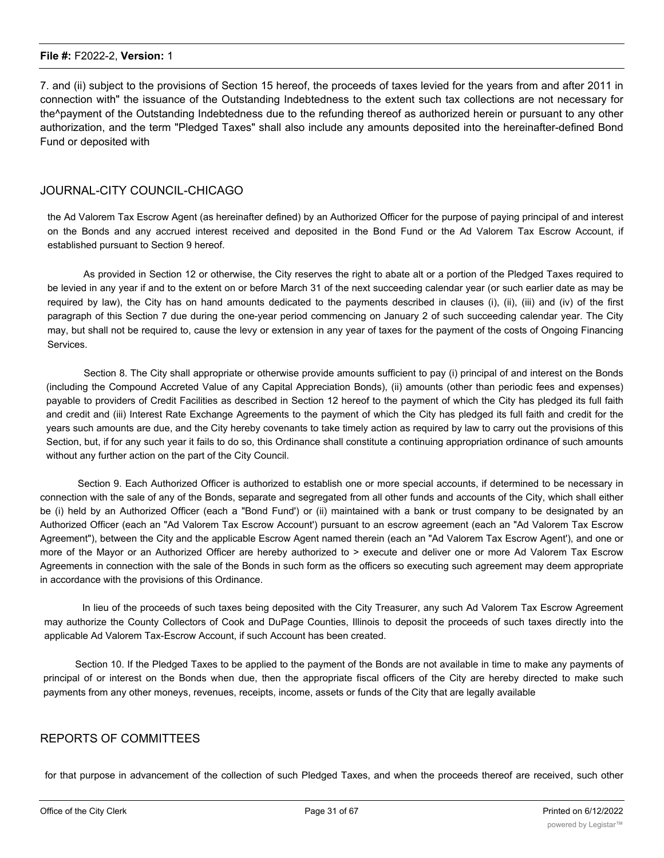7. and (ii) subject to the provisions of Section 15 hereof, the proceeds of taxes levied for the years from and after 2011 in connection with" the issuance of the Outstanding Indebtedness to the extent such tax collections are not necessary for the^payment of the Outstanding Indebtedness due to the refunding thereof as authorized herein or pursuant to any other authorization, and the term "Pledged Taxes" shall also include any amounts deposited into the hereinafter-defined Bond Fund or deposited with

#### JOURNAL-CITY COUNCIL-CHICAGO

the Ad Valorem Tax Escrow Agent (as hereinafter defined) by an Authorized Officer for the purpose of paying principal of and interest on the Bonds and any accrued interest received and deposited in the Bond Fund or the Ad Valorem Tax Escrow Account, if established pursuant to Section 9 hereof.

As provided in Section 12 or otherwise, the City reserves the right to abate alt or a portion of the Pledged Taxes required to be levied in any year if and to the extent on or before March 31 of the next succeeding calendar year (or such earlier date as may be required by law), the City has on hand amounts dedicated to the payments described in clauses (i), (ii), (iii) and (iv) of the first paragraph of this Section 7 due during the one-year period commencing on January 2 of such succeeding calendar year. The City may, but shall not be required to, cause the levy or extension in any year of taxes for the payment of the costs of Ongoing Financing Services.

Section 8. The City shall appropriate or otherwise provide amounts sufficient to pay (i) principal of and interest on the Bonds (including the Compound Accreted Value of any Capital Appreciation Bonds), (ii) amounts (other than periodic fees and expenses) payable to providers of Credit Facilities as described in Section 12 hereof to the payment of which the City has pledged its full faith and credit and (iii) Interest Rate Exchange Agreements to the payment of which the City has pledged its full faith and credit for the years such amounts are due, and the City hereby covenants to take timely action as required by law to carry out the provisions of this Section, but, if for any such year it fails to do so, this Ordinance shall constitute a continuing appropriation ordinance of such amounts without any further action on the part of the City Council.

Section 9. Each Authorized Officer is authorized to establish one or more special accounts, if determined to be necessary in connection with the sale of any of the Bonds, separate and segregated from all other funds and accounts of the City, which shall either be (i) held by an Authorized Officer (each a "Bond Fund') or (ii) maintained with a bank or trust company to be designated by an Authorized Officer (each an "Ad Valorem Tax Escrow Account') pursuant to an escrow agreement (each an "Ad Valorem Tax Escrow Agreement"), between the City and the applicable Escrow Agent named therein (each an "Ad Valorem Tax Escrow Agent'), and one or more of the Mayor or an Authorized Officer are hereby authorized to > execute and deliver one or more Ad Valorem Tax Escrow Agreements in connection with the sale of the Bonds in such form as the officers so executing such agreement may deem appropriate in accordance with the provisions of this Ordinance.

In lieu of the proceeds of such taxes being deposited with the City Treasurer, any such Ad Valorem Tax Escrow Agreement may authorize the County Collectors of Cook and DuPage Counties, Illinois to deposit the proceeds of such taxes directly into the applicable Ad Valorem Tax-Escrow Account, if such Account has been created.

Section 10. If the Pledged Taxes to be applied to the payment of the Bonds are not available in time to make any payments of principal of or interest on the Bonds when due, then the appropriate fiscal officers of the City are hereby directed to make such payments from any other moneys, revenues, receipts, income, assets or funds of the City that are legally available

#### REPORTS OF COMMITTEES

for that purpose in advancement of the collection of such Pledged Taxes, and when the proceeds thereof are received, such other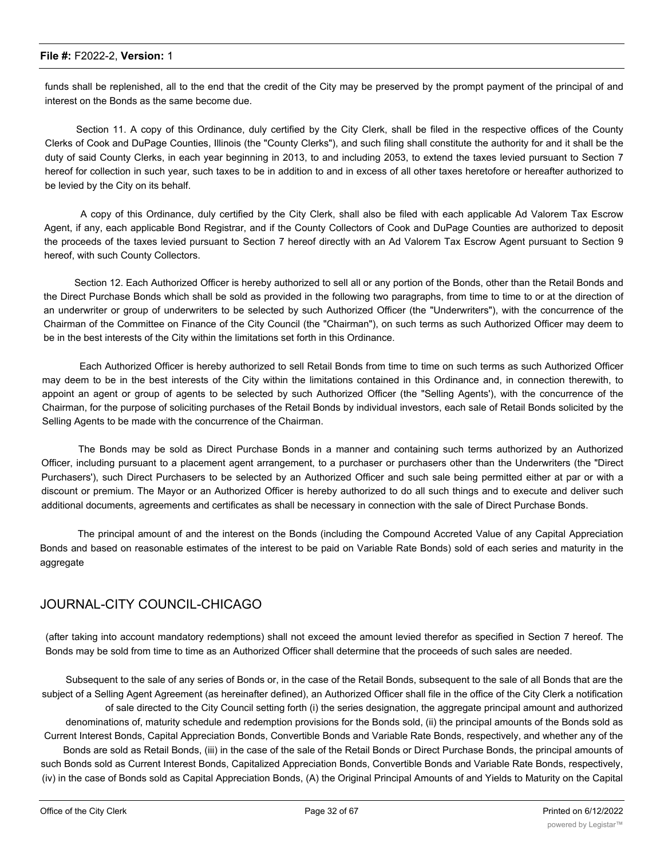funds shall be replenished, all to the end that the credit of the City may be preserved by the prompt payment of the principal of and interest on the Bonds as the same become due.

Section 11. A copy of this Ordinance, duly certified by the City Clerk, shall be filed in the respective offices of the County Clerks of Cook and DuPage Counties, Illinois (the "County Clerks"), and such filing shall constitute the authority for and it shall be the duty of said County Clerks, in each year beginning in 2013, to and including 2053, to extend the taxes levied pursuant to Section 7 hereof for collection in such year, such taxes to be in addition to and in excess of all other taxes heretofore or hereafter authorized to be levied by the City on its behalf.

A copy of this Ordinance, duly certified by the City Clerk, shall also be filed with each applicable Ad Valorem Tax Escrow Agent, if any, each applicable Bond Registrar, and if the County Collectors of Cook and DuPage Counties are authorized to deposit the proceeds of the taxes levied pursuant to Section 7 hereof directly with an Ad Valorem Tax Escrow Agent pursuant to Section 9 hereof, with such County Collectors.

Section 12. Each Authorized Officer is hereby authorized to sell all or any portion of the Bonds, other than the Retail Bonds and the Direct Purchase Bonds which shall be sold as provided in the following two paragraphs, from time to time to or at the direction of an underwriter or group of underwriters to be selected by such Authorized Officer (the "Underwriters"), with the concurrence of the Chairman of the Committee on Finance of the City Council (the "Chairman"), on such terms as such Authorized Officer may deem to be in the best interests of the City within the limitations set forth in this Ordinance.

Each Authorized Officer is hereby authorized to sell Retail Bonds from time to time on such terms as such Authorized Officer may deem to be in the best interests of the City within the limitations contained in this Ordinance and, in connection therewith, to appoint an agent or group of agents to be selected by such Authorized Officer (the "Selling Agents'), with the concurrence of the Chairman, for the purpose of soliciting purchases of the Retail Bonds by individual investors, each sale of Retail Bonds solicited by the Selling Agents to be made with the concurrence of the Chairman.

The Bonds may be sold as Direct Purchase Bonds in a manner and containing such terms authorized by an Authorized Officer, including pursuant to a placement agent arrangement, to a purchaser or purchasers other than the Underwriters (the "Direct Purchasers'), such Direct Purchasers to be selected by an Authorized Officer and such sale being permitted either at par or with a discount or premium. The Mayor or an Authorized Officer is hereby authorized to do all such things and to execute and deliver such additional documents, agreements and certificates as shall be necessary in connection with the sale of Direct Purchase Bonds.

The principal amount of and the interest on the Bonds (including the Compound Accreted Value of any Capital Appreciation Bonds and based on reasonable estimates of the interest to be paid on Variable Rate Bonds) sold of each series and maturity in the aggregate

### JOURNAL-CITY COUNCIL-CHICAGO

(after taking into account mandatory redemptions) shall not exceed the amount levied therefor as specified in Section 7 hereof. The Bonds may be sold from time to time as an Authorized Officer shall determine that the proceeds of such sales are needed.

Subsequent to the sale of any series of Bonds or, in the case of the Retail Bonds, subsequent to the sale of all Bonds that are the subject of a Selling Agent Agreement (as hereinafter defined), an Authorized Officer shall file in the office of the City Clerk a notification of sale directed to the City Council setting forth (i) the series designation, the aggregate principal amount and authorized denominations of, maturity schedule and redemption provisions for the Bonds sold, (ii) the principal amounts of the Bonds sold as Current Interest Bonds, Capital Appreciation Bonds, Convertible Bonds and Variable Rate Bonds, respectively, and whether any of the Bonds are sold as Retail Bonds, (iii) in the case of the sale of the Retail Bonds or Direct Purchase Bonds, the principal amounts of such Bonds sold as Current Interest Bonds, Capitalized Appreciation Bonds, Convertible Bonds and Variable Rate Bonds, respectively, (iv) in the case of Bonds sold as Capital Appreciation Bonds, (A) the Original Principal Amounts of and Yields to Maturity on the Capital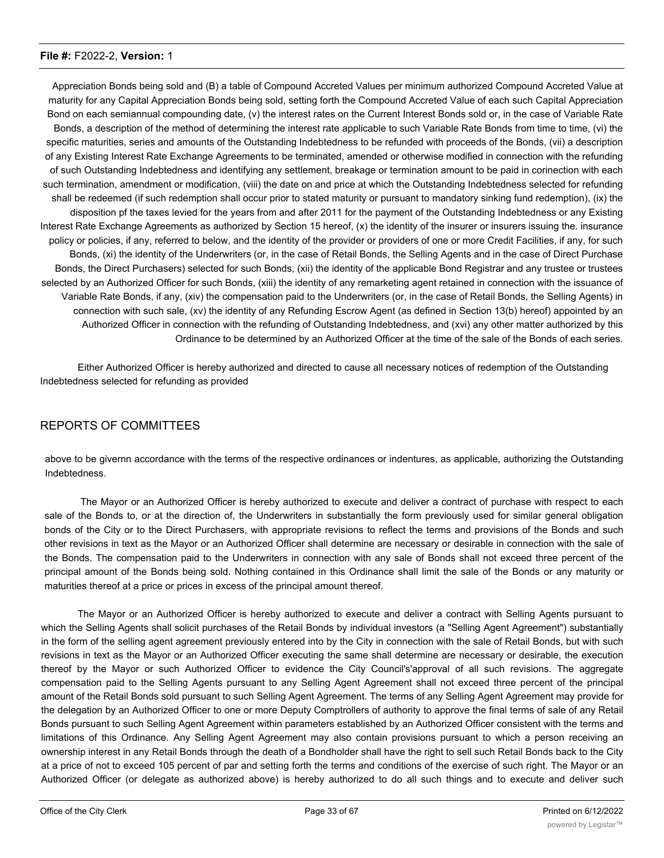Appreciation Bonds being sold and (B) a table of Compound Accreted Values per minimum authorized Compound Accreted Value at maturity for any Capital Appreciation Bonds being sold, setting forth the Compound Accreted Value of each such Capital Appreciation Bond on each semiannual compounding date, (v) the interest rates on the Current Interest Bonds sold or, in the case of Variable Rate Bonds, a description of the method of determining the interest rate applicable to such Variable Rate Bonds from time to time, (vi) the specific maturities, series and amounts of the Outstanding Indebtedness to be refunded with proceeds of the Bonds, (vii) a description of any Existing Interest Rate Exchange Agreements to be terminated, amended or otherwise modified in connection with the refunding of such Outstanding Indebtedness and identifying any settlement, breakage or termination amount to be paid in corinection with each such termination, amendment or modification, (viii) the date on and price at which the Outstanding Indebtedness selected for refunding shall be redeemed (if such redemption shall occur prior to stated maturity or pursuant to mandatory sinking fund redemption), (ix) the disposition pf the taxes levied for the years from and after 2011 for the payment of the Outstanding Indebtedness or any Existing Interest Rate Exchange Agreements as authorized by Section 15 hereof, (x) the identity of the insurer or insurers issuing the. insurance policy or policies, if any, referred to below, and the identity of the provider or providers of one or more Credit Facilities, if any, for such Bonds, (xi) the identity of the Underwriters (or, in the case of Retail Bonds, the Selling Agents and in the case of Direct Purchase Bonds, the Direct Purchasers) selected for such Bonds, (xii) the identity of the applicable Bond Registrar and any trustee or trustees selected by an Authorized Officer for such Bonds, (xiii) the identity of any remarketing agent retained in connection with the issuance of Variable Rate Bonds, if any, (xiv) the compensation paid to the Underwriters (or, in the case of Retail Bonds, the Selling Agents) in connection with such sale, (xv) the identity of any Refunding Escrow Agent (as defined in Section 13(b) hereof) appointed by an Authorized Officer in connection with the refunding of Outstanding Indebtedness, and (xvi) any other matter authorized by this Ordinance to be determined by an Authorized Officer at the time of the sale of the Bonds of each series.

Either Authorized Officer is hereby authorized and directed to cause all necessary notices of redemption of the Outstanding Indebtedness selected for refunding as provided

### REPORTS OF COMMITTEES

above to be givernn accordance with the terms of the respective ordinances or indentures, as applicable, authorizing the Outstanding Indebtedness.

The Mayor or an Authorized Officer is hereby authorized to execute and deliver a contract of purchase with respect to each sale of the Bonds to, or at the direction of, the Underwriters in substantially the form previously used for similar general obligation bonds of the City or to the Direct Purchasers, with appropriate revisions to reflect the terms and provisions of the Bonds and such other revisions in text as the Mayor or an Authorized Officer shall determine are necessary or desirable in connection with the sale of the Bonds. The compensation paid to the Underwriters in connection with any sale of Bonds shall not exceed three percent of the principal amount of the Bonds being sold. Nothing contained in this Ordinance shall limit the sale of the Bonds or any maturity or maturities thereof at a price or prices in excess of the principal amount thereof.

The Mayor or an Authorized Officer is hereby authorized to execute and deliver a contract with Selling Agents pursuant to which the Selling Agents shall solicit purchases of the Retail Bonds by individual investors (a "Selling Agent Agreement") substantially in the form of the selling agent agreement previously entered into by the City in connection with the sale of Retail Bonds, but with such revisions in text as the Mayor or an Authorized Officer executing the same shall determine are necessary or desirable, the execution thereof by the Mayor or such Authorized Officer to evidence the City Council's'approval of all such revisions. The aggregate compensation paid to the Selling Agents pursuant to any Selling Agent Agreement shall not exceed three percent of the principal amount of the Retail Bonds sold pursuant to such Selling Agent Agreement. The terms of any Selling Agent Agreement may provide for the delegation by an Authorized Officer to one or more Deputy Comptrollers of authority to approve the final terms of sale of any Retail Bonds pursuant to such Selling Agent Agreement within parameters established by an Authorized Officer consistent with the terms and limitations of this Ordinance. Any Selling Agent Agreement may also contain provisions pursuant to which a person receiving an ownership interest in any Retail Bonds through the death of a Bondholder shall have the right to sell such Retail Bonds back to the City at a price of not to exceed 105 percent of par and setting forth the terms and conditions of the exercise of such right. The Mayor or an Authorized Officer (or delegate as authorized above) is hereby authorized to do all such things and to execute and deliver such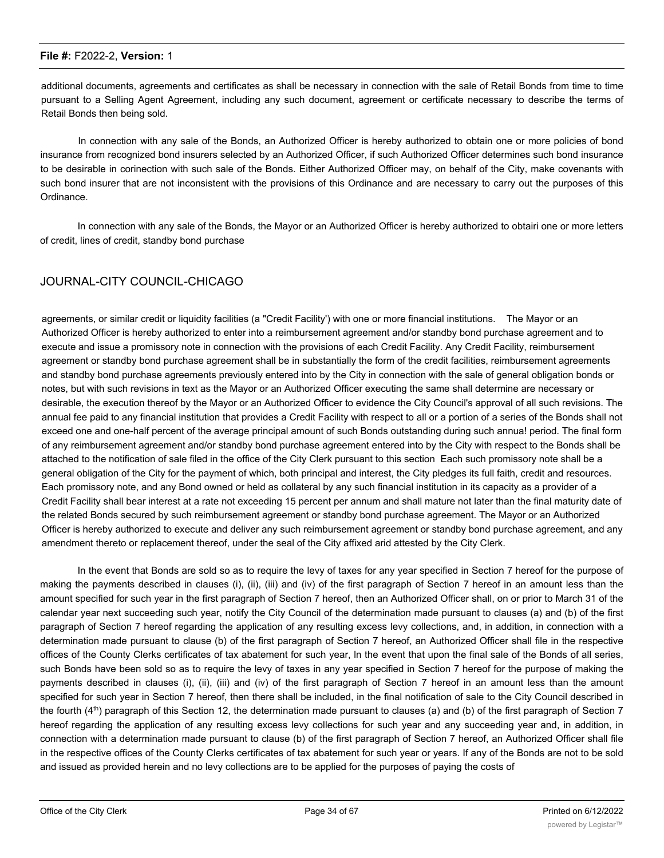additional documents, agreements and certificates as shall be necessary in connection with the sale of Retail Bonds from time to time pursuant to a Selling Agent Agreement, including any such document, agreement or certificate necessary to describe the terms of Retail Bonds then being sold.

In connection with any sale of the Bonds, an Authorized Officer is hereby authorized to obtain one or more policies of bond insurance from recognized bond insurers selected by an Authorized Officer, if such Authorized Officer determines such bond insurance to be desirable in corinection with such sale of the Bonds. Either Authorized Officer may, on behalf of the City, make covenants with such bond insurer that are not inconsistent with the provisions of this Ordinance and are necessary to carry out the purposes of this Ordinance.

In connection with any sale of the Bonds, the Mayor or an Authorized Officer is hereby authorized to obtairi one or more letters of credit, lines of credit, standby bond purchase

### JOURNAL-CITY COUNCIL-CHICAGO

agreements, or similar credit or liquidity facilities (a "Credit Facility') with one or more financial institutions. The Mayor or an Authorized Officer is hereby authorized to enter into a reimbursement agreement and/or standby bond purchase agreement and to execute and issue a promissory note in connection with the provisions of each Credit Facility. Any Credit Facility, reimbursement agreement or standby bond purchase agreement shall be in substantially the form of the credit facilities, reimbursement agreements and standby bond purchase agreements previously entered into by the City in connection with the sale of general obligation bonds or notes, but with such revisions in text as the Mayor or an Authorized Officer executing the same shall determine are necessary or desirable, the execution thereof by the Mayor or an Authorized Officer to evidence the City Council's approval of all such revisions. The annual fee paid to any financial institution that provides a Credit Facility with respect to all or a portion of a series of the Bonds shall not exceed one and one-half percent of the average principal amount of such Bonds outstanding during such annua! period. The final form of any reimbursement agreement and/or standby bond purchase agreement entered into by the City with respect to the Bonds shall be attached to the notification of sale filed in the office of the City Clerk pursuant to this section Each such promissory note shall be a general obligation of the City for the payment of which, both principal and interest, the City pledges its full faith, credit and resources. Each promissory note, and any Bond owned or held as collateral by any such financial institution in its capacity as a provider of a Credit Facility shall bear interest at a rate not exceeding 15 percent per annum and shall mature not later than the final maturity date of the related Bonds secured by such reimbursement agreement or standby bond purchase agreement. The Mayor or an Authorized Officer is hereby authorized to execute and deliver any such reimbursement agreement or standby bond purchase agreement, and any amendment thereto or replacement thereof, under the seal of the City affixed arid attested by the City Clerk.

In the event that Bonds are sold so as to require the levy of taxes for any year specified in Section 7 hereof for the purpose of making the payments described in clauses (i), (ii), (iii) and (iv) of the first paragraph of Section 7 hereof in an amount less than the amount specified for such year in the first paragraph of Section 7 hereof, then an Authorized Officer shall, on or prior to March 31 of the calendar year next succeeding such year, notify the City Council of the determination made pursuant to clauses (a) and (b) of the first paragraph of Section 7 hereof regarding the application of any resulting excess levy collections, and, in addition, in connection with a determination made pursuant to clause (b) of the first paragraph of Section 7 hereof, an Authorized Officer shall file in the respective offices of the County Clerks certificates of tax abatement for such year, ln the event that upon the final sale of the Bonds of all series, such Bonds have been sold so as to require the levy of taxes in any year specified in Section 7 hereof for the purpose of making the payments described in clauses (i), (ii), (iii) and (iv) of the first paragraph of Section 7 hereof in an amount less than the amount specified for such year in Section 7 hereof, then there shall be included, in the final notification of sale to the City Council described in the fourth  $(4<sup>th</sup>)$  paragraph of this Section 12, the determination made pursuant to clauses (a) and (b) of the first paragraph of Section 7 hereof regarding the application of any resulting excess levy collections for such year and any succeeding year and, in addition, in connection with a determination made pursuant to clause (b) of the first paragraph of Section 7 hereof, an Authorized Officer shall file in the respective offices of the County Clerks certificates of tax abatement for such year or years. If any of the Bonds are not to be sold and issued as provided herein and no levy collections are to be applied for the purposes of paying the costs of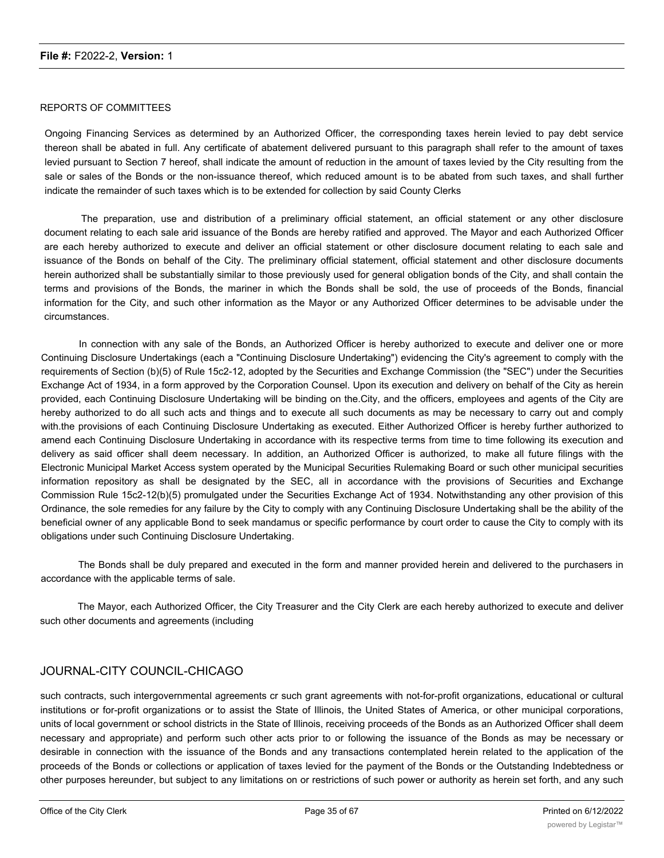#### REPORTS OF COMMITTEES

Ongoing Financing Services as determined by an Authorized Officer, the corresponding taxes herein levied to pay debt service thereon shall be abated in full. Any certificate of abatement delivered pursuant to this paragraph shall refer to the amount of taxes levied pursuant to Section 7 hereof, shall indicate the amount of reduction in the amount of taxes levied by the City resulting from the sale or sales of the Bonds or the non-issuance thereof, which reduced amount is to be abated from such taxes, and shall further indicate the remainder of such taxes which is to be extended for collection by said County Clerks

The preparation, use and distribution of a preliminary official statement, an official statement or any other disclosure document relating to each sale arid issuance of the Bonds are hereby ratified and approved. The Mayor and each Authorized Officer are each hereby authorized to execute and deliver an official statement or other disclosure document relating to each sale and issuance of the Bonds on behalf of the City. The preliminary official statement, official statement and other disclosure documents herein authorized shall be substantially similar to those previously used for general obligation bonds of the City, and shall contain the terms and provisions of the Bonds, the mariner in which the Bonds shall be sold, the use of proceeds of the Bonds, financial information for the City, and such other information as the Mayor or any Authorized Officer determines to be advisable under the circumstances.

In connection with any sale of the Bonds, an Authorized Officer is hereby authorized to execute and deliver one or more Continuing Disclosure Undertakings (each a "Continuing Disclosure Undertaking") evidencing the City's agreement to comply with the requirements of Section (b)(5) of Rule 15c2-12, adopted by the Securities and Exchange Commission (the "SEC") under the Securities Exchange Act of 1934, in a form approved by the Corporation Counsel. Upon its execution and delivery on behalf of the City as herein provided, each Continuing Disclosure Undertaking will be binding on the.City, and the officers, employees and agents of the City are hereby authorized to do all such acts and things and to execute all such documents as may be necessary to carry out and comply with.the provisions of each Continuing Disclosure Undertaking as executed. Either Authorized Officer is hereby further authorized to amend each Continuing Disclosure Undertaking in accordance with its respective terms from time to time following its execution and delivery as said officer shall deem necessary. In addition, an Authorized Officer is authorized, to make all future filings with the Electronic Municipal Market Access system operated by the Municipal Securities Rulemaking Board or such other municipal securities information repository as shall be designated by the SEC, all in accordance with the provisions of Securities and Exchange Commission Rule 15c2-12(b)(5) promulgated under the Securities Exchange Act of 1934. Notwithstanding any other provision of this Ordinance, the sole remedies for any failure by the City to comply with any Continuing Disclosure Undertaking shall be the ability of the beneficial owner of any applicable Bond to seek mandamus or specific performance by court order to cause the City to comply with its obligations under such Continuing Disclosure Undertaking.

The Bonds shall be duly prepared and executed in the form and manner provided herein and delivered to the purchasers in accordance with the applicable terms of sale.

The Mayor, each Authorized Officer, the City Treasurer and the City Clerk are each hereby authorized to execute and deliver such other documents and agreements (including

#### JOURNAL-CITY COUNCIL-CHICAGO

such contracts, such intergovernmental agreements cr such grant agreements with not-for-profit organizations, educational or cultural institutions or for-profit organizations or to assist the State of Illinois, the United States of America, or other municipal corporations, units of local government or school districts in the State of Illinois, receiving proceeds of the Bonds as an Authorized Officer shall deem necessary and appropriate) and perform such other acts prior to or following the issuance of the Bonds as may be necessary or desirable in connection with the issuance of the Bonds and any transactions contemplated herein related to the application of the proceeds of the Bonds or collections or application of taxes levied for the payment of the Bonds or the Outstanding Indebtedness or other purposes hereunder, but subject to any limitations on or restrictions of such power or authority as herein set forth, and any such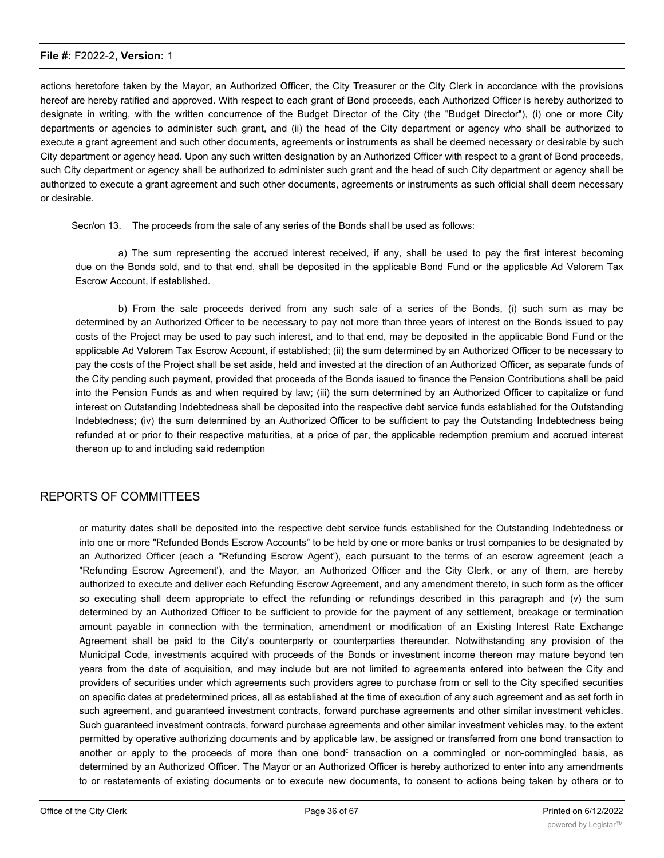actions heretofore taken by the Mayor, an Authorized Officer, the City Treasurer or the City Clerk in accordance with the provisions hereof are hereby ratified and approved. With respect to each grant of Bond proceeds, each Authorized Officer is hereby authorized to designate in writing, with the written concurrence of the Budget Director of the City (the "Budget Director"), (i) one or more City departments or agencies to administer such grant, and (ii) the head of the City department or agency who shall be authorized to execute a grant agreement and such other documents, agreements or instruments as shall be deemed necessary or desirable by such City department or agency head. Upon any such written designation by an Authorized Officer with respect to a grant of Bond proceeds, such City department or agency shall be authorized to administer such grant and the head of such City department or agency shall be authorized to execute a grant agreement and such other documents, agreements or instruments as such official shall deem necessary or desirable.

Secr/on 13. The proceeds from the sale of any series of the Bonds shall be used as follows:

a) The sum representing the accrued interest received, if any, shall be used to pay the first interest becoming due on the Bonds sold, and to that end, shall be deposited in the applicable Bond Fund or the applicable Ad Valorem Tax Escrow Account, if established.

b) From the sale proceeds derived from any such sale of a series of the Bonds, (i) such sum as may be determined by an Authorized Officer to be necessary to pay not more than three years of interest on the Bonds issued to pay costs of the Project may be used to pay such interest, and to that end, may be deposited in the applicable Bond Fund or the applicable Ad Valorem Tax Escrow Account, if established; (ii) the sum determined by an Authorized Officer to be necessary to pay the costs of the Project shall be set aside, held and invested at the direction of an Authorized Officer, as separate funds of the City pending such payment, provided that proceeds of the Bonds issued to finance the Pension Contributions shall be paid into the Pension Funds as and when required by law; (iii) the sum determined by an Authorized Officer to capitalize or fund interest on Outstanding Indebtedness shall be deposited into the respective debt service funds established for the Outstanding Indebtedness; (iv) the sum determined by an Authorized Officer to be sufficient to pay the Outstanding Indebtedness being refunded at or prior to their respective maturities, at a price of par, the applicable redemption premium and accrued interest thereon up to and including said redemption

#### REPORTS OF COMMITTEES

or maturity dates shall be deposited into the respective debt service funds established for the Outstanding Indebtedness or into one or more "Refunded Bonds Escrow Accounts" to be held by one or more banks or trust companies to be designated by an Authorized Officer (each a "Refunding Escrow Agent'), each pursuant to the terms of an escrow agreement (each a "Refunding Escrow Agreement'), and the Mayor, an Authorized Officer and the City Clerk, or any of them, are hereby authorized to execute and deliver each Refunding Escrow Agreement, and any amendment thereto, in such form as the officer so executing shall deem appropriate to effect the refunding or refundings described in this paragraph and (v) the sum determined by an Authorized Officer to be sufficient to provide for the payment of any settlement, breakage or termination amount payable in connection with the termination, amendment or modification of an Existing Interest Rate Exchange Agreement shall be paid to the City's counterparty or counterparties thereunder. Notwithstanding any provision of the Municipal Code, investments acquired with proceeds of the Bonds or investment income thereon may mature beyond ten years from the date of acquisition, and may include but are not limited to agreements entered into between the City and providers of securities under which agreements such providers agree to purchase from or sell to the City specified securities on specific dates at predetermined prices, all as established at the time of execution of any such agreement and as set forth in such agreement, and guaranteed investment contracts, forward purchase agreements and other similar investment vehicles. Such guaranteed investment contracts, forward purchase agreements and other similar investment vehicles may, to the extent permitted by operative authorizing documents and by applicable law, be assigned or transferred from one bond transaction to another or apply to the proceeds of more than one bond<sup>c</sup> transaction on a commingled or non-commingled basis, as determined by an Authorized Officer. The Mayor or an Authorized Officer is hereby authorized to enter into any amendments to or restatements of existing documents or to execute new documents, to consent to actions being taken by others or to

obtain the consent of other parties, as may be necessary or desirable in this respect. Investment income derived from Bond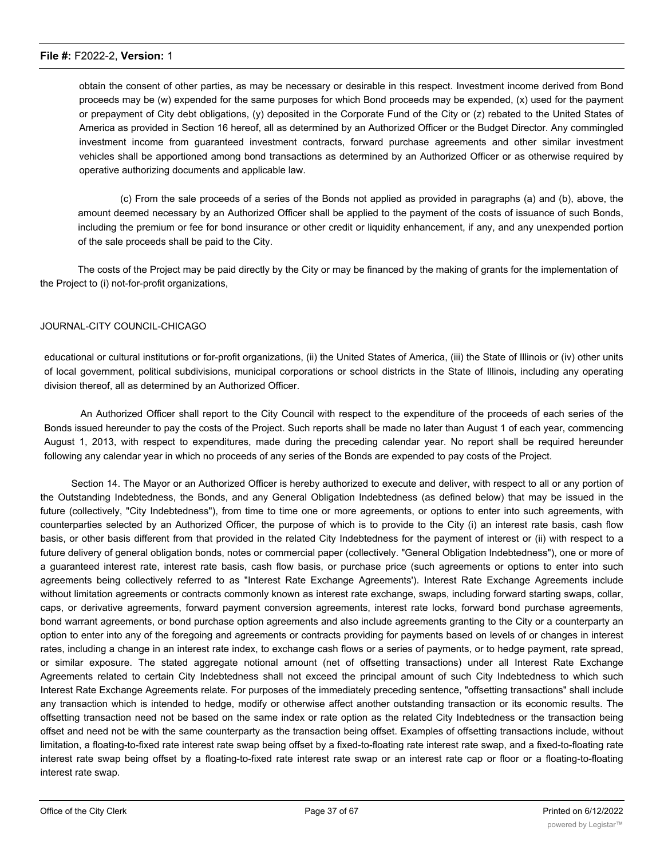obtain the consent of other parties, as may be necessary or desirable in this respect. Investment income derived from Bond proceeds may be (w) expended for the same purposes for which Bond proceeds may be expended, (x) used for the payment or prepayment of City debt obligations, (y) deposited in the Corporate Fund of the City or (z) rebated to the United States of America as provided in Section 16 hereof, all as determined by an Authorized Officer or the Budget Director. Any commingled investment income from guaranteed investment contracts, forward purchase agreements and other similar investment vehicles shall be apportioned among bond transactions as determined by an Authorized Officer or as otherwise required by operative authorizing documents and applicable law.

(c) From the sale proceeds of a series of the Bonds not applied as provided in paragraphs (a) and (b), above, the amount deemed necessary by an Authorized Officer shall be applied to the payment of the costs of issuance of such Bonds, including the premium or fee for bond insurance or other credit or liquidity enhancement, if any, and any unexpended portion of the sale proceeds shall be paid to the City.

The costs of the Project may be paid directly by the City or may be financed by the making of grants for the implementation of the Project to (i) not-for-profit organizations,

#### JOURNAL-CITY COUNCIL-CHICAGO

educational or cultural institutions or for-profit organizations, (ii) the United States of America, (iii) the State of Illinois or (iv) other units of local government, political subdivisions, municipal corporations or school districts in the State of Illinois, including any operating division thereof, all as determined by an Authorized Officer.

An Authorized Officer shall report to the City Council with respect to the expenditure of the proceeds of each series of the Bonds issued hereunder to pay the costs of the Project. Such reports shall be made no later than August 1 of each year, commencing August 1, 2013, with respect to expenditures, made during the preceding calendar year. No report shall be required hereunder following any calendar year in which no proceeds of any series of the Bonds are expended to pay costs of the Project.

Section 14. The Mayor or an Authorized Officer is hereby authorized to execute and deliver, with respect to all or any portion of the Outstanding Indebtedness, the Bonds, and any General Obligation Indebtedness (as defined below) that may be issued in the future (collectively, "City Indebtedness"), from time to time one or more agreements, or options to enter into such agreements, with counterparties selected by an Authorized Officer, the purpose of which is to provide to the City (i) an interest rate basis, cash flow basis, or other basis different from that provided in the related City Indebtedness for the payment of interest or (ii) with respect to a future delivery of general obligation bonds, notes or commercial paper (collectively. "General Obligation Indebtedness"), one or more of a guaranteed interest rate, interest rate basis, cash flow basis, or purchase price (such agreements or options to enter into such agreements being collectively referred to as "Interest Rate Exchange Agreements'). Interest Rate Exchange Agreements include without limitation agreements or contracts commonly known as interest rate exchange, swaps, including forward starting swaps, collar, caps, or derivative agreements, forward payment conversion agreements, interest rate locks, forward bond purchase agreements, bond warrant agreements, or bond purchase option agreements and also include agreements granting to the City or a counterparty an option to enter into any of the foregoing and agreements or contracts providing for payments based on levels of or changes in interest rates, including a change in an interest rate index, to exchange cash flows or a series of payments, or to hedge payment, rate spread, or similar exposure. The stated aggregate notional amount (net of offsetting transactions) under all Interest Rate Exchange Agreements related to certain City Indebtedness shall not exceed the principal amount of such City Indebtedness to which such Interest Rate Exchange Agreements relate. For purposes of the immediately preceding sentence, "offsetting transactions" shall include any transaction which is intended to hedge, modify or otherwise affect another outstanding transaction or its economic results. The offsetting transaction need not be based on the same index or rate option as the related City Indebtedness or the transaction being offset and need not be with the same counterparty as the transaction being offset. Examples of offsetting transactions include, without limitation, a floating-to-fixed rate interest rate swap being offset by a fixed-to-floating rate interest rate swap, and a fixed-to-floating rate interest rate swap being offset by a floating-to-fixed rate interest rate swap or an interest rate cap or floor or a floating-to-floating interest rate swap.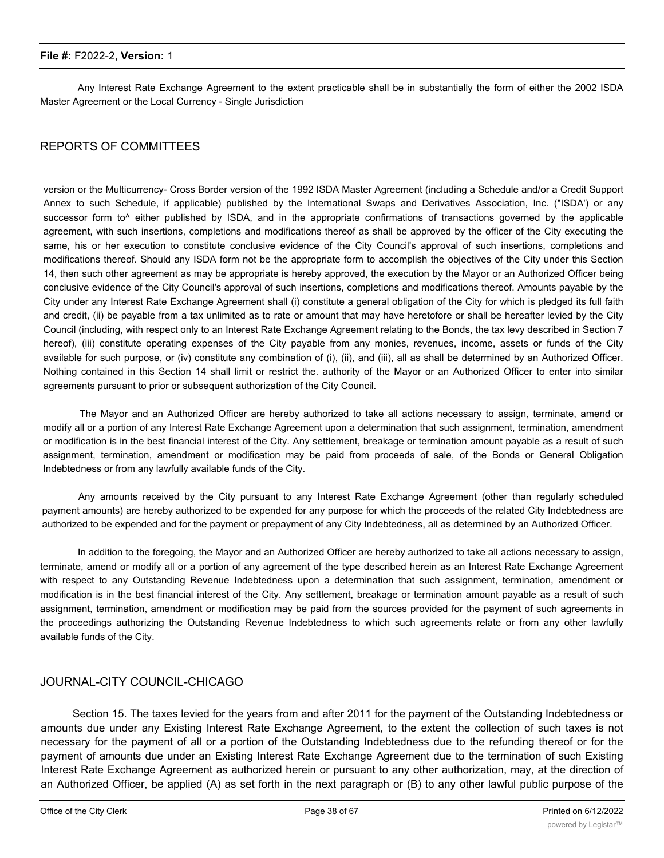Any Interest Rate Exchange Agreement to the extent practicable shall be in substantially the form of either the 2002 ISDA Master Agreement or the Local Currency - Single Jurisdiction

#### REPORTS OF COMMITTEES

version or the Multicurrency- Cross Border version of the 1992 ISDA Master Agreement (including a Schedule and/or a Credit Support Annex to such Schedule, if applicable) published by the International Swaps and Derivatives Association, Inc. ("ISDA') or any successor form to<sup>^</sup> either published by ISDA, and in the appropriate confirmations of transactions governed by the applicable agreement, with such insertions, completions and modifications thereof as shall be approved by the officer of the City executing the same, his or her execution to constitute conclusive evidence of the City Council's approval of such insertions, completions and modifications thereof. Should any ISDA form not be the appropriate form to accomplish the objectives of the City under this Section 14, then such other agreement as may be appropriate is hereby approved, the execution by the Mayor or an Authorized Officer being conclusive evidence of the City Council's approval of such insertions, completions and modifications thereof. Amounts payable by the City under any Interest Rate Exchange Agreement shall (i) constitute a general obligation of the City for which is pledged its full faith and credit, (ii) be payable from a tax unlimited as to rate or amount that may have heretofore or shall be hereafter levied by the City Council (including, with respect only to an Interest Rate Exchange Agreement relating to the Bonds, the tax levy described in Section 7 hereof), (iii) constitute operating expenses of the City payable from any monies, revenues, income, assets or funds of the City available for such purpose, or (iv) constitute any combination of (i), (ii), and (iii), all as shall be determined by an Authorized Officer. Nothing contained in this Section 14 shall limit or restrict the. authority of the Mayor or an Authorized Officer to enter into similar agreements pursuant to prior or subsequent authorization of the City Council.

The Mayor and an Authorized Officer are hereby authorized to take all actions necessary to assign, terminate, amend or modify all or a portion of any Interest Rate Exchange Agreement upon a determination that such assignment, termination, amendment or modification is in the best financial interest of the City. Any settlement, breakage or termination amount payable as a result of such assignment, termination, amendment or modification may be paid from proceeds of sale, of the Bonds or General Obligation Indebtedness or from any lawfully available funds of the City.

Any amounts received by the City pursuant to any Interest Rate Exchange Agreement (other than regularly scheduled payment amounts) are hereby authorized to be expended for any purpose for which the proceeds of the related City Indebtedness are authorized to be expended and for the payment or prepayment of any City Indebtedness, all as determined by an Authorized Officer.

In addition to the foregoing, the Mayor and an Authorized Officer are hereby authorized to take all actions necessary to assign, terminate, amend or modify all or a portion of any agreement of the type described herein as an Interest Rate Exchange Agreement with respect to any Outstanding Revenue Indebtedness upon a determination that such assignment, termination, amendment or modification is in the best financial interest of the City. Any settlement, breakage or termination amount payable as a result of such assignment, termination, amendment or modification may be paid from the sources provided for the payment of such agreements in the proceedings authorizing the Outstanding Revenue Indebtedness to which such agreements relate or from any other lawfully available funds of the City.

#### JOURNAL-CITY COUNCIL-CHICAGO

Section 15. The taxes levied for the years from and after 2011 for the payment of the Outstanding Indebtedness or amounts due under any Existing Interest Rate Exchange Agreement, to the extent the collection of such taxes is not necessary for the payment of all or a portion of the Outstanding Indebtedness due to the refunding thereof or for the payment of amounts due under an Existing Interest Rate Exchange Agreement due to the termination of such Existing Interest Rate Exchange Agreement as authorized herein or pursuant to any other authorization, may, at the direction of an Authorized Officer, be applied (A) as set forth in the next paragraph or (B) to any other lawful public purpose of the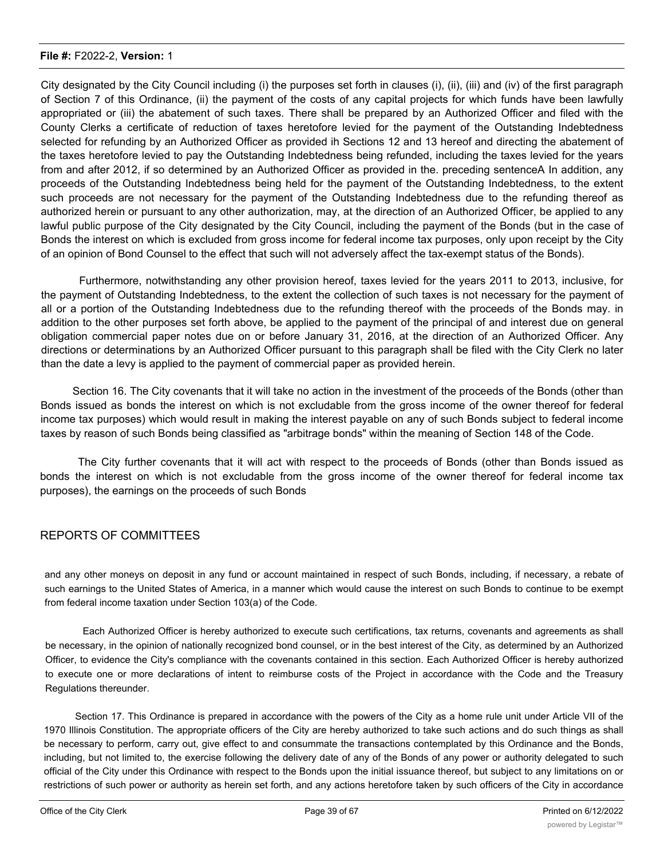City designated by the City Council including (i) the purposes set forth in clauses (i), (ii), (iii) and (iv) of the first paragraph of Section 7 of this Ordinance, (ii) the payment of the costs of any capital projects for which funds have been lawfully appropriated or (iii) the abatement of such taxes. There shall be prepared by an Authorized Officer and filed with the County Clerks a certificate of reduction of taxes heretofore levied for the payment of the Outstanding Indebtedness selected for refunding by an Authorized Officer as provided ih Sections 12 and 13 hereof and directing the abatement of the taxes heretofore levied to pay the Outstanding Indebtedness being refunded, including the taxes levied for the years from and after 2012, if so determined by an Authorized Officer as provided in the. preceding sentenceA In addition, any proceeds of the Outstanding Indebtedness being held for the payment of the Outstanding Indebtedness, to the extent such proceeds are not necessary for the payment of the Outstanding Indebtedness due to the refunding thereof as authorized herein or pursuant to any other authorization, may, at the direction of an Authorized Officer, be applied to any lawful public purpose of the City designated by the City Council, including the payment of the Bonds (but in the case of Bonds the interest on which is excluded from gross income for federal income tax purposes, only upon receipt by the City of an opinion of Bond Counsel to the effect that such will not adversely affect the tax-exempt status of the Bonds).

Furthermore, notwithstanding any other provision hereof, taxes levied for the years 2011 to 2013, inclusive, for the payment of Outstanding Indebtedness, to the extent the collection of such taxes is not necessary for the payment of all or a portion of the Outstanding Indebtedness due to the refunding thereof with the proceeds of the Bonds may. in addition to the other purposes set forth above, be applied to the payment of the principal of and interest due on general obligation commercial paper notes due on or before January 31, 2016, at the direction of an Authorized Officer. Any directions or determinations by an Authorized Officer pursuant to this paragraph shall be filed with the City Clerk no later than the date a levy is applied to the payment of commercial paper as provided herein.

Section 16. The City covenants that it will take no action in the investment of the proceeds of the Bonds (other than Bonds issued as bonds the interest on which is not excludable from the gross income of the owner thereof for federal income tax purposes) which would result in making the interest payable on any of such Bonds subject to federal income taxes by reason of such Bonds being classified as "arbitrage bonds" within the meaning of Section 148 of the Code.

The City further covenants that it will act with respect to the proceeds of Bonds (other than Bonds issued as bonds the interest on which is not excludable from the gross income of the owner thereof for federal income tax purposes), the earnings on the proceeds of such Bonds

#### REPORTS OF COMMITTEES

and any other moneys on deposit in any fund or account maintained in respect of such Bonds, including, if necessary, a rebate of such earnings to the United States of America, in a manner which would cause the interest on such Bonds to continue to be exempt from federal income taxation under Section 103(a) of the Code.

Each Authorized Officer is hereby authorized to execute such certifications, tax returns, covenants and agreements as shall be necessary, in the opinion of nationally recognized bond counsel, or in the best interest of the City, as determined by an Authorized Officer, to evidence the City's compliance with the covenants contained in this section. Each Authorized Officer is hereby authorized to execute one or more declarations of intent to reimburse costs of the Project in accordance with the Code and the Treasury Regulations thereunder.

Section 17. This Ordinance is prepared in accordance with the powers of the City as a home rule unit under Article VII of the 1970 Illinois Constitution. The appropriate officers of the City are hereby authorized to take such actions and do such things as shall be necessary to perform, carry out, give effect to and consummate the transactions contemplated by this Ordinance and the Bonds, including, but not limited to, the exercise following the delivery date of any of the Bonds of any power or authority delegated to such official of the City under this Ordinance with respect to the Bonds upon the initial issuance thereof, but subject to any limitations on or restrictions of such power or authority as herein set forth, and any actions heretofore taken by such officers of the City in accordance

with the provisions of this Ordinance are hereby ratified and approximately ratified and approximately results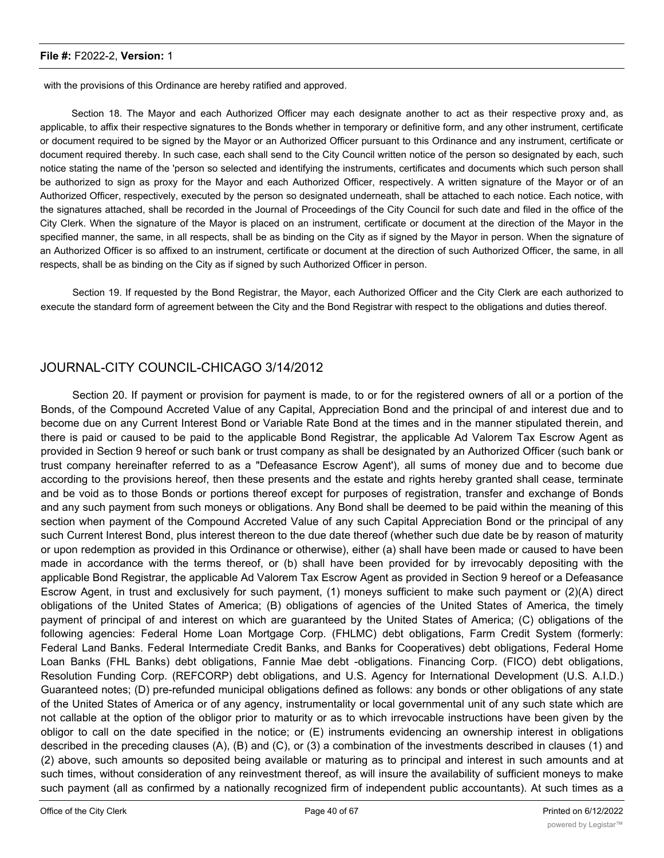with the provisions of this Ordinance are hereby ratified and approved.

Section 18. The Mayor and each Authorized Officer may each designate another to act as their respective proxy and, as applicable, to affix their respective signatures to the Bonds whether in temporary or definitive form, and any other instrument, certificate or document required to be signed by the Mayor or an Authorized Officer pursuant to this Ordinance and any instrument, certificate or document required thereby. In such case, each shall send to the City Council written notice of the person so designated by each, such notice stating the name of the 'person so selected and identifying the instruments, certificates and documents which such person shall be authorized to sign as proxy for the Mayor and each Authorized Officer, respectively. A written signature of the Mayor or of an Authorized Officer, respectively, executed by the person so designated underneath, shall be attached to each notice. Each notice, with the signatures attached, shall be recorded in the Journal of Proceedings of the City Council for such date and filed in the office of the City Clerk. When the signature of the Mayor is placed on an instrument, certificate or document at the direction of the Mayor in the specified manner, the same, in all respects, shall be as binding on the City as if signed by the Mayor in person. When the signature of an Authorized Officer is so affixed to an instrument, certificate or document at the direction of such Authorized Officer, the same, in all respects, shall be as binding on the City as if signed by such Authorized Officer in person.

Section 19. If requested by the Bond Registrar, the Mayor, each Authorized Officer and the City Clerk are each authorized to execute the standard form of agreement between the City and the Bond Registrar with respect to the obligations and duties thereof.

#### JOURNAL-CITY COUNCIL-CHICAGO 3/14/2012

Section 20. If payment or provision for payment is made, to or for the registered owners of all or a portion of the Bonds, of the Compound Accreted Value of any Capital, Appreciation Bond and the principal of and interest due and to become due on any Current Interest Bond or Variable Rate Bond at the times and in the manner stipulated therein, and there is paid or caused to be paid to the applicable Bond Registrar, the applicable Ad Valorem Tax Escrow Agent as provided in Section 9 hereof or such bank or trust company as shall be designated by an Authorized Officer (such bank or trust company hereinafter referred to as a "Defeasance Escrow Agent'), all sums of money due and to become due according to the provisions hereof, then these presents and the estate and rights hereby granted shall cease, terminate and be void as to those Bonds or portions thereof except for purposes of registration, transfer and exchange of Bonds and any such payment from such moneys or obligations. Any Bond shall be deemed to be paid within the meaning of this section when payment of the Compound Accreted Value of any such Capital Appreciation Bond or the principal of any such Current Interest Bond, plus interest thereon to the due date thereof (whether such due date be by reason of maturity or upon redemption as provided in this Ordinance or otherwise), either (a) shall have been made or caused to have been made in accordance with the terms thereof, or (b) shall have been provided for by irrevocably depositing with the applicable Bond Registrar, the applicable Ad Valorem Tax Escrow Agent as provided in Section 9 hereof or a Defeasance Escrow Agent, in trust and exclusively for such payment, (1) moneys sufficient to make such payment or (2)(A) direct obligations of the United States of America; (B) obligations of agencies of the United States of America, the timely payment of principal of and interest on which are guaranteed by the United States of America; (C) obligations of the following agencies: Federal Home Loan Mortgage Corp. (FHLMC) debt obligations, Farm Credit System (formerly: Federal Land Banks. Federal Intermediate Credit Banks, and Banks for Cooperatives) debt obligations, Federal Home Loan Banks (FHL Banks) debt obligations, Fannie Mae debt -obligations. Financing Corp. (FICO) debt obligations, Resolution Funding Corp. (REFCORP) debt obligations, and U.S. Agency for International Development (U.S. A.I.D.) Guaranteed notes; (D) pre-refunded municipal obligations defined as follows: any bonds or other obligations of any state of the United States of America or of any agency, instrumentality or local governmental unit of any such state which are not callable at the option of the obligor prior to maturity or as to which irrevocable instructions have been given by the obligor to call on the date specified in the notice; or (E) instruments evidencing an ownership interest in obligations described in the preceding clauses (A), (B) and (C), or (3) a combination of the investments described in clauses (1) and (2) above, such amounts so deposited being available or maturing as to principal and interest in such amounts and at such times, without consideration of any reinvestment thereof, as will insure the availability of sufficient moneys to make such payment (all as confirmed by a nationally recognized firm of independent public accountants). At such times as a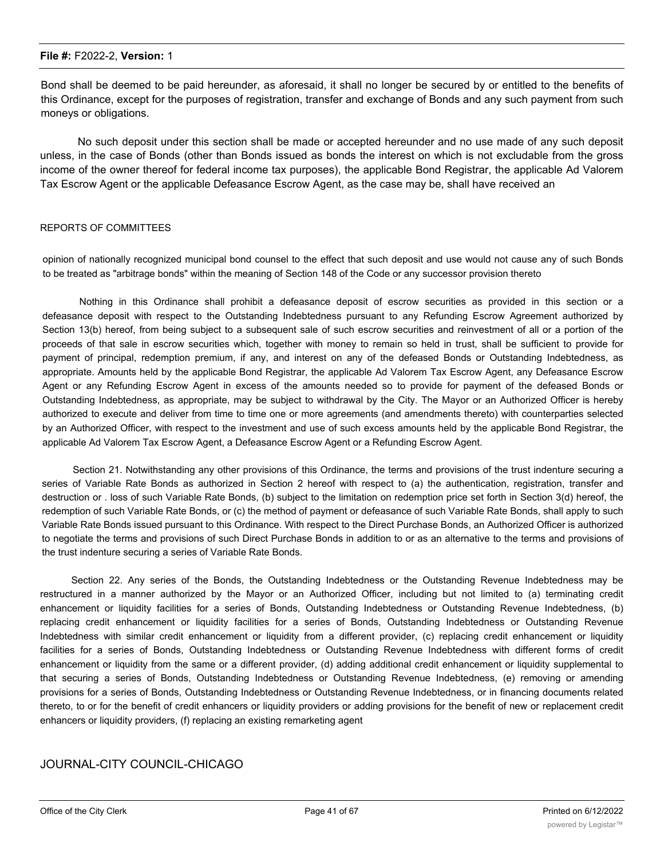Bond shall be deemed to be paid hereunder, as aforesaid, it shall no longer be secured by or entitled to the benefits of this Ordinance, except for the purposes of registration, transfer and exchange of Bonds and any such payment from such moneys or obligations.

No such deposit under this section shall be made or accepted hereunder and no use made of any such deposit unless, in the case of Bonds (other than Bonds issued as bonds the interest on which is not excludable from the gross income of the owner thereof for federal income tax purposes), the applicable Bond Registrar, the applicable Ad Valorem Tax Escrow Agent or the applicable Defeasance Escrow Agent, as the case may be, shall have received an

#### REPORTS OF COMMITTEES

opinion of nationally recognized municipal bond counsel to the effect that such deposit and use would not cause any of such Bonds to be treated as "arbitrage bonds" within the meaning of Section 148 of the Code or any successor provision thereto

Nothing in this Ordinance shall prohibit a defeasance deposit of escrow securities as provided in this section or a defeasance deposit with respect to the Outstanding Indebtedness pursuant to any Refunding Escrow Agreement authorized by Section 13(b) hereof, from being subject to a subsequent sale of such escrow securities and reinvestment of all or a portion of the proceeds of that sale in escrow securities which, together with money to remain so held in trust, shall be sufficient to provide for payment of principal, redemption premium, if any, and interest on any of the defeased Bonds or Outstanding Indebtedness, as appropriate. Amounts held by the applicable Bond Registrar, the applicable Ad Valorem Tax Escrow Agent, any Defeasance Escrow Agent or any Refunding Escrow Agent in excess of the amounts needed so to provide for payment of the defeased Bonds or Outstanding Indebtedness, as appropriate, may be subject to withdrawal by the City. The Mayor or an Authorized Officer is hereby authorized to execute and deliver from time to time one or more agreements (and amendments thereto) with counterparties selected by an Authorized Officer, with respect to the investment and use of such excess amounts held by the applicable Bond Registrar, the applicable Ad Valorem Tax Escrow Agent, a Defeasance Escrow Agent or a Refunding Escrow Agent.

Section 21. Notwithstanding any other provisions of this Ordinance, the terms and provisions of the trust indenture securing a series of Variable Rate Bonds as authorized in Section 2 hereof with respect to (a) the authentication, registration, transfer and destruction or . loss of such Variable Rate Bonds, (b) subject to the limitation on redemption price set forth in Section 3(d) hereof, the redemption of such Variable Rate Bonds, or (c) the method of payment or defeasance of such Variable Rate Bonds, shall apply to such Variable Rate Bonds issued pursuant to this Ordinance. With respect to the Direct Purchase Bonds, an Authorized Officer is authorized to negotiate the terms and provisions of such Direct Purchase Bonds in addition to or as an alternative to the terms and provisions of the trust indenture securing a series of Variable Rate Bonds.

Section 22. Any series of the Bonds, the Outstanding Indebtedness or the Outstanding Revenue Indebtedness may be restructured in a manner authorized by the Mayor or an Authorized Officer, including but not limited to (a) terminating credit enhancement or liquidity facilities for a series of Bonds, Outstanding Indebtedness or Outstanding Revenue Indebtedness, (b) replacing credit enhancement or liquidity facilities for a series of Bonds, Outstanding Indebtedness or Outstanding Revenue Indebtedness with similar credit enhancement or liquidity from a different provider, (c) replacing credit enhancement or liquidity facilities for a series of Bonds, Outstanding Indebtedness or Outstanding Revenue Indebtedness with different forms of credit enhancement or liquidity from the same or a different provider, (d) adding additional credit enhancement or liquidity supplemental to that securing a series of Bonds, Outstanding Indebtedness or Outstanding Revenue Indebtedness, (e) removing or amending provisions for a series of Bonds, Outstanding Indebtedness or Outstanding Revenue Indebtedness, or in financing documents related thereto, to or for the benefit of credit enhancers or liquidity providers or adding provisions for the benefit of new or replacement credit enhancers or liquidity providers, (f) replacing an existing remarketing agent

#### JOURNAL-CITY COUNCIL-CHICAGO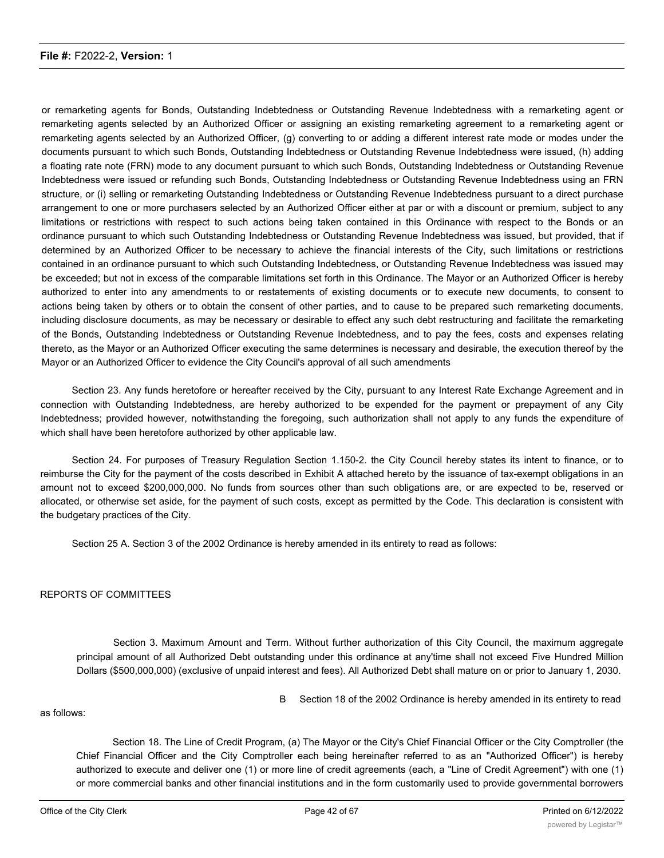or remarketing agents for Bonds, Outstanding Indebtedness or Outstanding Revenue Indebtedness with a remarketing agent or remarketing agents selected by an Authorized Officer or assigning an existing remarketing agreement to a remarketing agent or remarketing agents selected by an Authorized Officer, (g) converting to or adding a different interest rate mode or modes under the documents pursuant to which such Bonds, Outstanding Indebtedness or Outstanding Revenue Indebtedness were issued, (h) adding a floating rate note (FRN) mode to any document pursuant to which such Bonds, Outstanding Indebtedness or Outstanding Revenue Indebtedness were issued or refunding such Bonds, Outstanding Indebtedness or Outstanding Revenue Indebtedness using an FRN structure, or (i) selling or remarketing Outstanding Indebtedness or Outstanding Revenue Indebtedness pursuant to a direct purchase arrangement to one or more purchasers selected by an Authorized Officer either at par or with a discount or premium, subject to any limitations or restrictions with respect to such actions being taken contained in this Ordinance with respect to the Bonds or an ordinance pursuant to which such Outstanding Indebtedness or Outstanding Revenue Indebtedness was issued, but provided, that if determined by an Authorized Officer to be necessary to achieve the financial interests of the City, such limitations or restrictions contained in an ordinance pursuant to which such Outstanding Indebtedness, or Outstanding Revenue Indebtedness was issued may be exceeded; but not in excess of the comparable limitations set forth in this Ordinance. The Mayor or an Authorized Officer is hereby authorized to enter into any amendments to or restatements of existing documents or to execute new documents, to consent to actions being taken by others or to obtain the consent of other parties, and to cause to be prepared such remarketing documents, including disclosure documents, as may be necessary or desirable to effect any such debt restructuring and facilitate the remarketing of the Bonds, Outstanding Indebtedness or Outstanding Revenue Indebtedness, and to pay the fees, costs and expenses relating thereto, as the Mayor or an Authorized Officer executing the same determines is necessary and desirable, the execution thereof by the Mayor or an Authorized Officer to evidence the City Council's approval of all such amendments

Section 23. Any funds heretofore or hereafter received by the City, pursuant to any Interest Rate Exchange Agreement and in connection with Outstanding Indebtedness, are hereby authorized to be expended for the payment or prepayment of any City Indebtedness; provided however, notwithstanding the foregoing, such authorization shall not apply to any funds the expenditure of which shall have been heretofore authorized by other applicable law.

Section 24. For purposes of Treasury Regulation Section 1.150-2. the City Council hereby states its intent to finance, or to reimburse the City for the payment of the costs described in Exhibit A attached hereto by the issuance of tax-exempt obligations in an amount not to exceed \$200,000,000. No funds from sources other than such obligations are, or are expected to be, reserved or allocated, or otherwise set aside, for the payment of such costs, except as permitted by the Code. This declaration is consistent with the budgetary practices of the City.

Section 25 A. Section 3 of the 2002 Ordinance is hereby amended in its entirety to read as follows:

#### REPORTS OF COMMITTEES

Section 3. Maximum Amount and Term. Without further authorization of this City Council, the maximum aggregate principal amount of all Authorized Debt outstanding under this ordinance at any'time shall not exceed Five Hundred Million Dollars (\$500,000,000) (exclusive of unpaid interest and fees). All Authorized Debt shall mature on or prior to January 1, 2030.

B Section 18 of the 2002 Ordinance is hereby amended in its entirety to read

as follows:

Section 18. The Line of Credit Program, (a) The Mayor or the City's Chief Financial Officer or the City Comptroller (the Chief Financial Officer and the City Comptroller each being hereinafter referred to as an "Authorized Officer") is hereby authorized to execute and deliver one (1) or more line of credit agreements (each, a "Line of Credit Agreement") with one (1) or more commercial banks and other financial institutions and in the form customarily used to provide governmental borrowers

with a revolving line of credit to meet their need for working capital or interim financing for capital project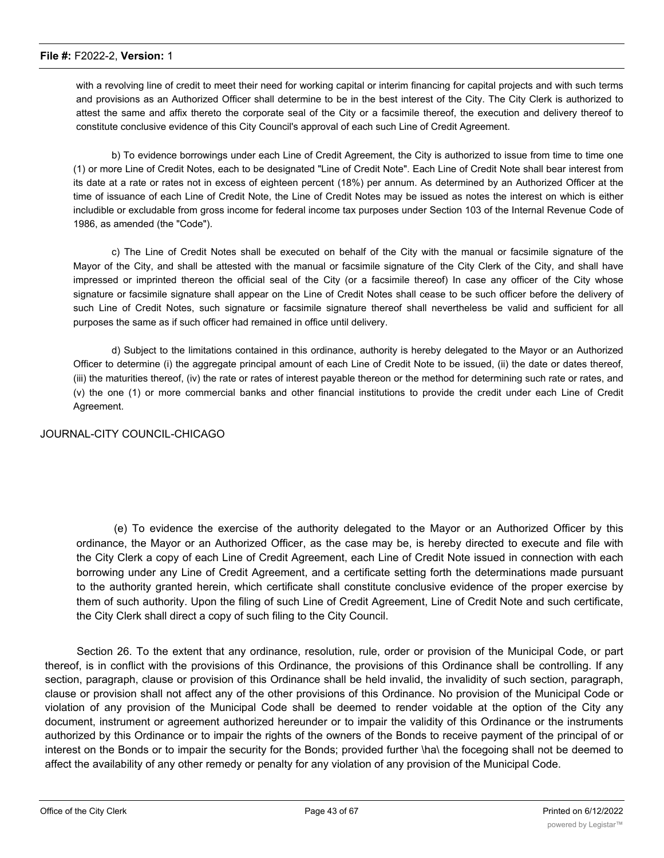with a revolving line of credit to meet their need for working capital or interim financing for capital projects and with such terms and provisions as an Authorized Officer shall determine to be in the best interest of the City. The City Clerk is authorized to attest the same and affix thereto the corporate seal of the City or a facsimile thereof, the execution and delivery thereof to constitute conclusive evidence of this City Council's approval of each such Line of Credit Agreement.

b) To evidence borrowings under each Line of Credit Agreement, the City is authorized to issue from time to time one (1) or more Line of Credit Notes, each to be designated "Line of Credit Note". Each Line of Credit Note shall bear interest from its date at a rate or rates not in excess of eighteen percent (18%) per annum. As determined by an Authorized Officer at the time of issuance of each Line of Credit Note, the Line of Credit Notes may be issued as notes the interest on which is either includible or excludable from gross income for federal income tax purposes under Section 103 of the Internal Revenue Code of 1986, as amended (the "Code").

c) The Line of Credit Notes shall be executed on behalf of the City with the manual or facsimile signature of the Mayor of the City, and shall be attested with the manual or facsimile signature of the City Clerk of the City, and shall have impressed or imprinted thereon the official seal of the City (or a facsimile thereof) In case any officer of the City whose signature or facsimile signature shall appear on the Line of Credit Notes shall cease to be such officer before the delivery of such Line of Credit Notes, such signature or facsimile signature thereof shall nevertheless be valid and sufficient for all purposes the same as if such officer had remained in office until delivery.

d) Subject to the limitations contained in this ordinance, authority is hereby delegated to the Mayor or an Authorized Officer to determine (i) the aggregate principal amount of each Line of Credit Note to be issued, (ii) the date or dates thereof, (iii) the maturities thereof, (iv) the rate or rates of interest payable thereon or the method for determining such rate or rates, and (v) the one (1) or more commercial banks and other financial institutions to provide the credit under each Line of Credit Agreement.

#### JOURNAL-CITY COUNCIL-CHICAGO

(e) To evidence the exercise of the authority delegated to the Mayor or an Authorized Officer by this ordinance, the Mayor or an Authorized Officer, as the case may be, is hereby directed to execute and file with the City Clerk a copy of each Line of Credit Agreement, each Line of Credit Note issued in connection with each borrowing under any Line of Credit Agreement, and a certificate setting forth the determinations made pursuant to the authority granted herein, which certificate shall constitute conclusive evidence of the proper exercise by them of such authority. Upon the filing of such Line of Credit Agreement, Line of Credit Note and such certificate, the City Clerk shall direct a copy of such filing to the City Council.

Section 26. To the extent that any ordinance, resolution, rule, order or provision of the Municipal Code, or part thereof, is in conflict with the provisions of this Ordinance, the provisions of this Ordinance shall be controlling. If any section, paragraph, clause or provision of this Ordinance shall be held invalid, the invalidity of such section, paragraph, clause or provision shall not affect any of the other provisions of this Ordinance. No provision of the Municipal Code or violation of any provision of the Municipal Code shall be deemed to render voidable at the option of the City any document, instrument or agreement authorized hereunder or to impair the validity of this Ordinance or the instruments authorized by this Ordinance or to impair the rights of the owners of the Bonds to receive payment of the principal of or interest on the Bonds or to impair the security for the Bonds; provided further \ha\ the focegoing shall not be deemed to affect the availability of any other remedy or penalty for any violation of any provision of the Municipal Code.

Section 27. This Ordinance shall be published by the City Clerk, by causing to be printed in special pamphlet form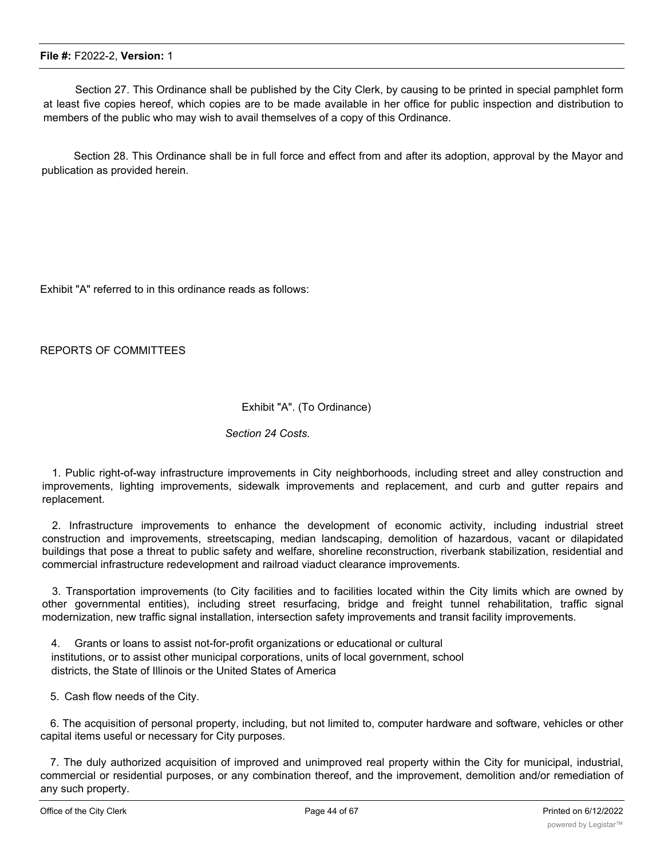Section 27. This Ordinance shall be published by the City Clerk, by causing to be printed in special pamphlet form at least five copies hereof, which copies are to be made available in her office for public inspection and distribution to members of the public who may wish to avail themselves of a copy of this Ordinance.

Section 28. This Ordinance shall be in full force and effect from and after its adoption, approval by the Mayor and publication as provided herein.

Exhibit "A" referred to in this ordinance reads as follows:

REPORTS OF COMMITTEES

#### Exhibit "A". (To Ordinance)

#### *Section 24 Costs.*

1. Public right-of-way infrastructure improvements in City neighborhoods, including street and alley construction and improvements, lighting improvements, sidewalk improvements and replacement, and curb and gutter repairs and replacement.

2. Infrastructure improvements to enhance the development of economic activity, including industrial street construction and improvements, streetscaping, median landscaping, demolition of hazardous, vacant or dilapidated buildings that pose a threat to public safety and welfare, shoreline reconstruction, riverbank stabilization, residential and commercial infrastructure redevelopment and railroad viaduct clearance improvements.

3. Transportation improvements (to City facilities and to facilities located within the City limits which are owned by other governmental entities), including street resurfacing, bridge and freight tunnel rehabilitation, traffic signal modernization, new traffic signal installation, intersection safety improvements and transit facility improvements.

4. Grants or loans to assist not-for-profit organizations or educational or cultural institutions, or to assist other municipal corporations, units of local government, school districts, the State of Illinois or the United States of America

5. Cash flow needs of the City.

6. The acquisition of personal property, including, but not limited to, computer hardware and software, vehicles or other capital items useful or necessary for City purposes.

7. The duly authorized acquisition of improved and unimproved real property within the City for municipal, industrial, commercial or residential purposes, or any combination thereof, and the improvement, demolition and/or remediation of any such property.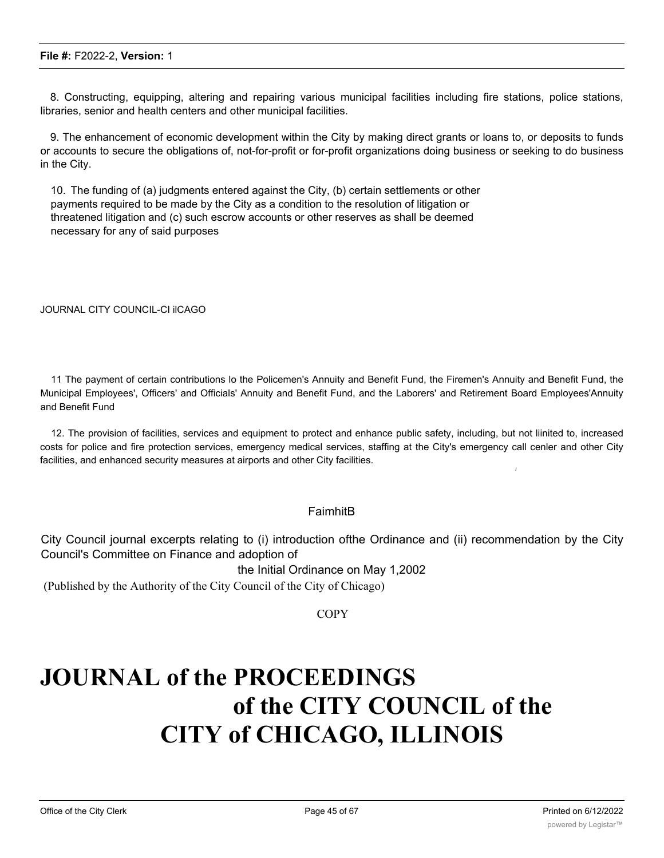8. Constructing, equipping, altering and repairing various municipal facilities including fire stations, police stations, libraries, senior and health centers and other municipal facilities.

9. The enhancement of economic development within the City by making direct grants or loans to, or deposits to funds or accounts to secure the obligations of, not-for-profit or for-profit organizations doing business or seeking to do business in the City.

10. The funding of (a) judgments entered against the City, (b) certain settlements or other payments required to be made by the City as a condition to the resolution of litigation or threatened litigation and (c) such escrow accounts or other reserves as shall be deemed necessary for any of said purposes

JOURNAL CITY COUNCIL-CI ilCAGO

11 The payment of certain contributions lo the Policemen's Annuity and Benefit Fund, the Firemen's Annuity and Benefit Fund, the Municipal Employees', Officers' and Officials' Annuity and Benefit Fund, and the Laborers' and Retirement Board Employees'Annuity and Benefit Fund

12. The provision of facilities, services and equipment to protect and enhance public safety, including, but not liinited to, increased costs for police and fire protection services, emergency medical services, staffing at the City's emergency call cenler and other City facilities, and enhanced security measures at airports and other City facilities.

#### FaimhitB

City Council journal excerpts relating to (i) introduction ofthe Ordinance and (ii) recommendation by the City Council's Committee on Finance and adoption of

the Initial Ordinance on May 1,2002

(Published by the Authority of the City Council of the City of Chicago)

**COPY** 

## **JOURNAL of the PROCEEDINGS of the CITY COUNCIL of the CITY of CHICAGO, ILLINOIS**

*I*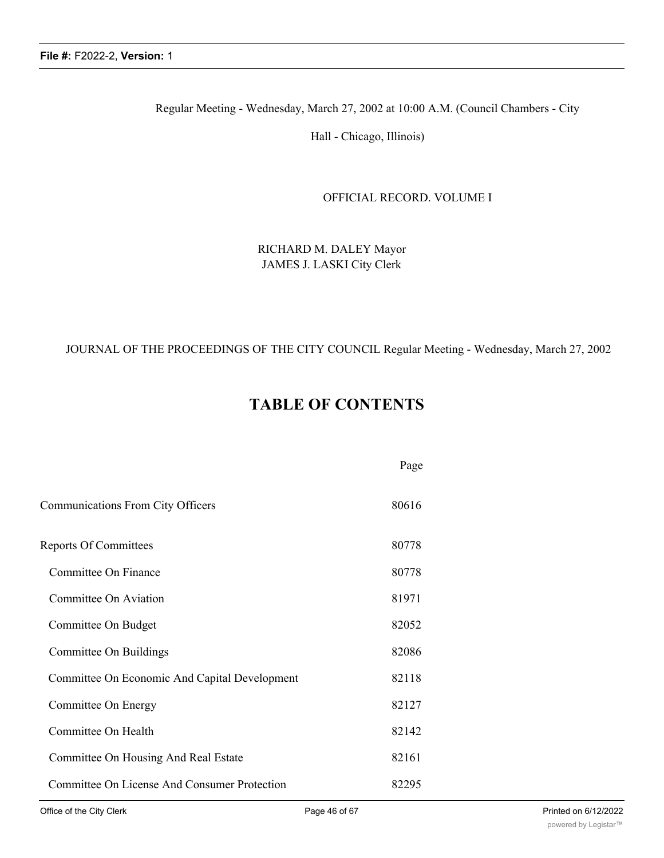Regular Meeting - Wednesday, March 27, 2002 at 10:00 A.M. (Council Chambers - City

Hall - Chicago, Illinois)

OFFICIAL RECORD. VOLUME I

RICHARD M. DALEY Mayor JAMES J. LASKI City Clerk

#### JOURNAL OF THE PROCEEDINGS OF THE CITY COUNCIL Regular Meeting - Wednesday, March 27, 2002

## **TABLE OF CONTENTS**

|                                               | Page  |
|-----------------------------------------------|-------|
| Communications From City Officers             | 80616 |
| <b>Reports Of Committees</b>                  | 80778 |
| Committee On Finance                          | 80778 |
| Committee On Aviation                         | 81971 |
| Committee On Budget                           | 82052 |
| Committee On Buildings                        | 82086 |
| Committee On Economic And Capital Development | 82118 |
| Committee On Energy                           | 82127 |
| Committee On Health                           | 82142 |
| Committee On Housing And Real Estate          | 82161 |
| Committee On License And Consumer Protection  | 82295 |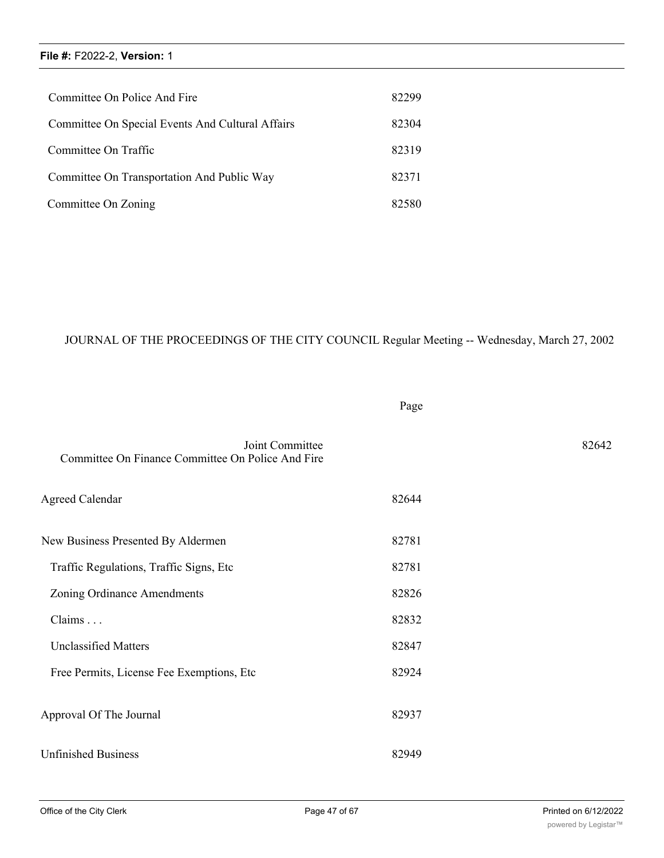| Committee On Police And Fire                     | 82299 |
|--------------------------------------------------|-------|
| Committee On Special Events And Cultural Affairs | 82304 |
| Committee On Traffic                             | 82319 |
| Committee On Transportation And Public Way       | 82371 |
| Committee On Zoning                              | 82580 |

### JOURNAL OF THE PROCEEDINGS OF THE CITY COUNCIL Regular Meeting -- Wednesday, March 27, 2002

Page

| Committee On Finance Committee On Police And Fire | Joint Committee |       | 82642 |
|---------------------------------------------------|-----------------|-------|-------|
| <b>Agreed Calendar</b>                            |                 | 82644 |       |
| New Business Presented By Aldermen                |                 | 82781 |       |
| Traffic Regulations, Traffic Signs, Etc           |                 | 82781 |       |
| Zoning Ordinance Amendments                       |                 | 82826 |       |
| Claims                                            |                 | 82832 |       |
| <b>Unclassified Matters</b>                       |                 | 82847 |       |
| Free Permits, License Fee Exemptions, Etc.        |                 | 82924 |       |
| Approval Of The Journal                           |                 | 82937 |       |
| <b>Unfinished Business</b>                        |                 | 82949 |       |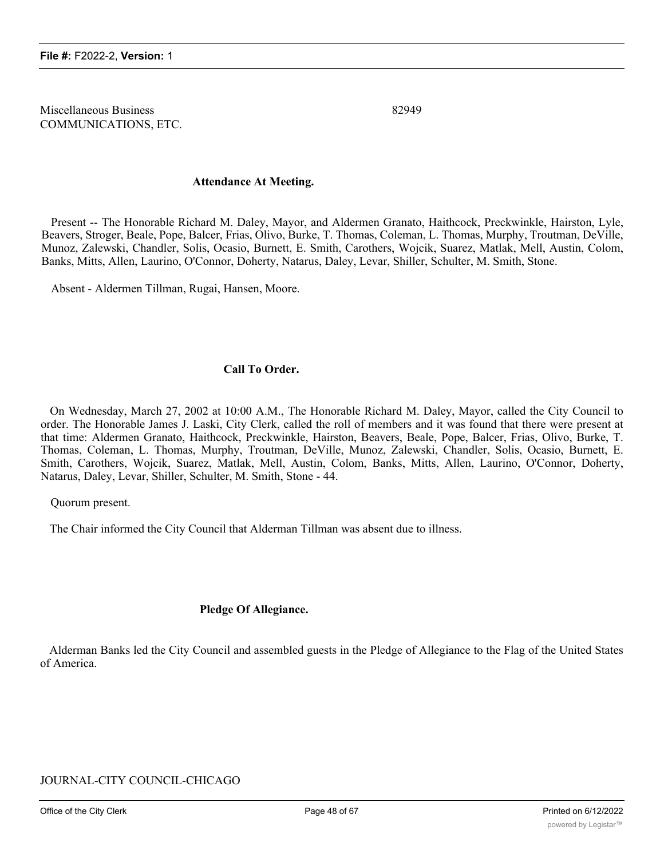Miscellaneous Business 82949 COMMUNICATIONS, ETC.

#### **Attendance At Meeting.**

Present -- The Honorable Richard M. Daley, Mayor, and Aldermen Granato, Haithcock, Preckwinkle, Hairston, Lyle, Beavers, Stroger, Beale, Pope, Balcer, Frias, Olivo, Burke, T. Thomas, Coleman, L. Thomas, Murphy, Troutman, DeVille, Munoz, Zalewski, Chandler, Solis, Ocasio, Burnett, E. Smith, Carothers, Wojcik, Suarez, Matlak, Mell, Austin, Colom, Banks, Mitts, Allen, Laurino, O'Connor, Doherty, Natarus, Daley, Levar, Shiller, Schulter, M. Smith, Stone.

Absent - Aldermen Tillman, Rugai, Hansen, Moore.

#### **Call To Order.**

On Wednesday, March 27, 2002 at 10:00 A.M., The Honorable Richard M. Daley, Mayor, called the City Council to order. The Honorable James J. Laski, City Clerk, called the roll of members and it was found that there were present at that time: Aldermen Granato, Haithcock, Preckwinkle, Hairston, Beavers, Beale, Pope, Balcer, Frias, Olivo, Burke, T. Thomas, Coleman, L. Thomas, Murphy, Troutman, DeVille, Munoz, Zalewski, Chandler, Solis, Ocasio, Burnett, E. Smith, Carothers, Wojcik, Suarez, Matlak, Mell, Austin, Colom, Banks, Mitts, Allen, Laurino, O'Connor, Doherty, Natarus, Daley, Levar, Shiller, Schulter, M. Smith, Stone - 44.

Quorum present.

The Chair informed the City Council that Alderman Tillman was absent due to illness.

#### **Pledge Of Allegiance.**

Alderman Banks led the City Council and assembled guests in the Pledge of Allegiance to the Flag of the United States of America.

#### JOURNAL-CITY COUNCIL-CHICAGO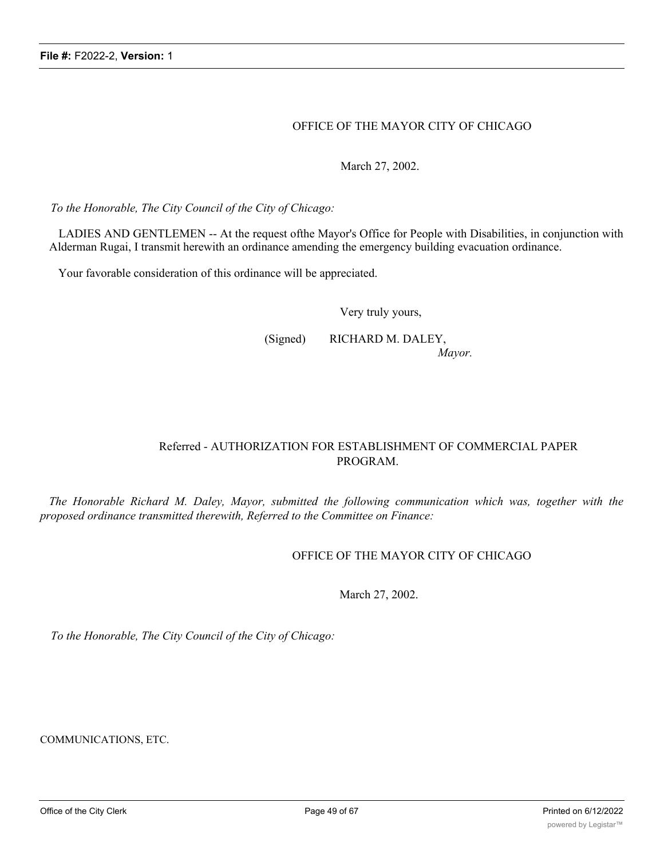#### OFFICE OF THE MAYOR CITY OF CHICAGO

March 27, 2002.

*To the Honorable, The City Council of the City of Chicago:*

LADIES AND GENTLEMEN -- At the request ofthe Mayor's Office for People with Disabilities, in conjunction with Alderman Rugai, I transmit herewith an ordinance amending the emergency building evacuation ordinance.

Your favorable consideration of this ordinance will be appreciated.

Very truly yours,

(Signed) RICHARD M. DALEY,

*Mayor.*

#### Referred - AUTHORIZATION FOR ESTABLISHMENT OF COMMERCIAL PAPER PROGRAM.

*The Honorable Richard M. Daley, Mayor, submitted the following communication which was, together with the proposed ordinance transmitted therewith, Referred to the Committee on Finance:*

#### OFFICE OF THE MAYOR CITY OF CHICAGO

March 27, 2002.

*To the Honorable, The City Council of the City of Chicago:*

COMMUNICATIONS, ETC.

LADIES AND GENTLEMEN - At the request of the Chief Financial Officer, I transmit herewith an ordinance authorizing the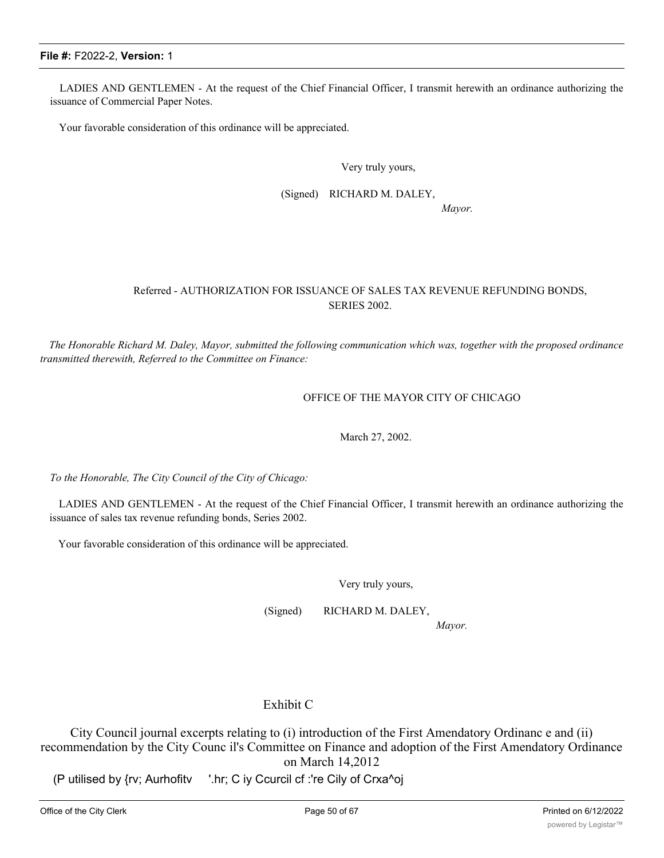LADIES AND GENTLEMEN - At the request of the Chief Financial Officer, I transmit herewith an ordinance authorizing the issuance of Commercial Paper Notes.

Your favorable consideration of this ordinance will be appreciated.

Very truly yours,

(Signed) RICHARD M. DALEY,

*Mayor.*

#### Referred - AUTHORIZATION FOR ISSUANCE OF SALES TAX REVENUE REFUNDING BONDS, SERIES 2002.

The Honorable Richard M. Daley, Mayor, submitted the following communication which was, together with the proposed ordinance *transmitted therewith, Referred to the Committee on Finance:*

OFFICE OF THE MAYOR CITY OF CHICAGO

March 27, 2002.

*To the Honorable, The City Council of the City of Chicago:*

LADIES AND GENTLEMEN - At the request of the Chief Financial Officer, I transmit herewith an ordinance authorizing the issuance of sales tax revenue refunding bonds, Series 2002.

Your favorable consideration of this ordinance will be appreciated.

Very truly yours,

(Signed) RICHARD M. DALEY,

*Mayor.*

#### Exhibit C

City Council journal excerpts relating to (i) introduction of the First Amendatory Ordinanc e and (ii) recommendation by the City Counc il's Committee on Finance and adoption of the First Amendatory Ordinance on March 14,2012

(P utilised by {rv; Aurhofitv '.hr; C iy Ccurcil cf :'re Cily of Crxa^oj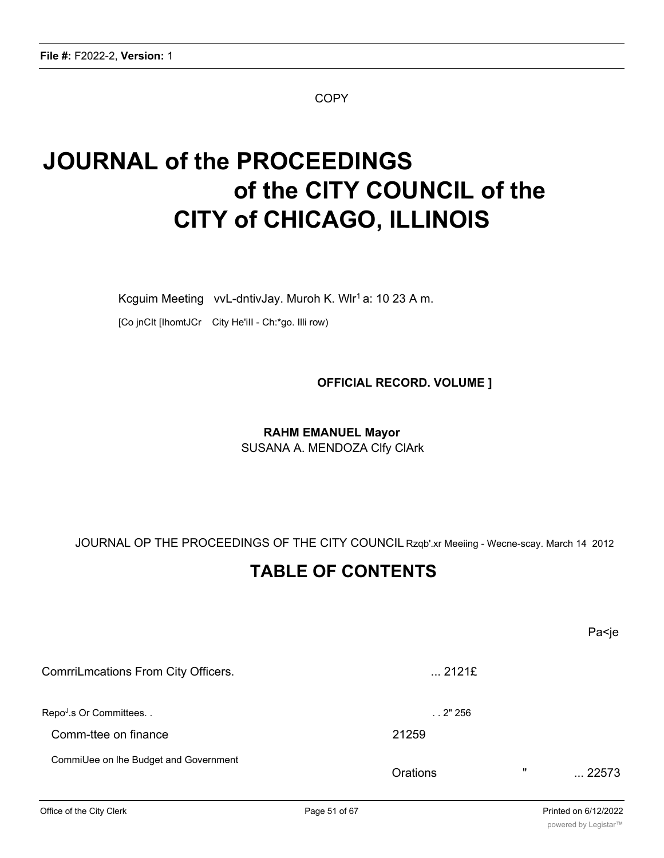**COPY** 

# **JOURNAL of the PROCEEDINGS of the CITY COUNCIL of the CITY of CHICAGO, ILLINOIS**

Kcguim Meeting vvL-dntivJay. Muroh K. Wlr<sup>1</sup> a: 10 23 A m.

[Co jnCIt [IhomtJCr City He'iII - Ch:\*go. Illi row)

**OFFICIAL RECORD. VOLUME ]**

## **RAHM EMANUEL Mayor** SUSANA A. MENDOZA Clfy ClArk

JOURNAL OP THE PROCEEDINGS OF THE CITY COUNCIL Rzqb'.xr Meeiing - Wecne-scay. March 14 2012

## **TABLE OF CONTENTS**

Pa<je ComrriLmcations From City Officers. .... 2121£ RepoJ .s Or Committees. . . . 2" 256 Comm-ttee on finance 21259 CommiUee on lhe Budget and Government Orations " ... 22573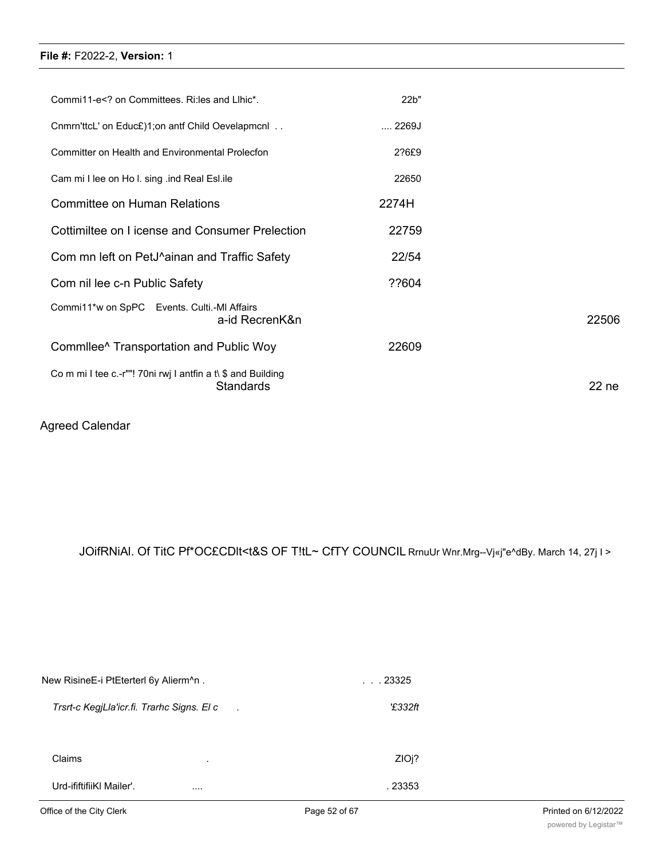| Commi11-e on Committees. Ri: les and Lihic*.</td <td>22b"</td> <td></td>         | 22b"          |                  |
|----------------------------------------------------------------------------------|---------------|------------------|
| Cnmrn'ttcL' on Educ£)1;on antf Child Oevelapmcnl                                 | $\dots$ 2269J |                  |
| Committer on Health and Environmental Prolecfon                                  | 2?6£9         |                  |
| Cam mi I lee on Ho I. sing .ind Real Esl.ile                                     | 22650         |                  |
| Committee on Human Relations                                                     | 2274H         |                  |
| Cottimiltee on I icense and Consumer Prelection                                  | 22759         |                  |
| Com mn left on PetJ^ainan and Traffic Safety                                     | 22/54         |                  |
| Com nil lee c-n Public Safety                                                    | ??604         |                  |
| Commi11*w on SpPC Events. Culti.-MI Affairs<br>a-id RecrenK&n                    |               | 22506            |
| Commilee <sup>^</sup> Transportation and Public Woy                              | 22609         |                  |
| Co m mi I tee c.-r""! 70ni rwj I antfin a t\ \$ and Building<br><b>Standards</b> |               | 22 <sub>ne</sub> |

## Agreed Calendar

## JOifRNiAl. Of TitC Pf\*OC£CDlt<t&S OF T!tL~ CfTY COUNCIL RrnuUr Wnr.Mrg--Vj«j"e^dBy. March 14, 27j I >

| New RisineE-i PtEterterl 6y Alierm^n.                        | $\ldots$ 23325 |  |
|--------------------------------------------------------------|----------------|--|
| Trsrt-c KegjLla'icr.fi. Trarhc Signs. El c<br>$\overline{a}$ | '£332ft        |  |
|                                                              |                |  |
| Claims                                                       | ZIOj?          |  |
| Urd-ififtifiiKI Mailer'.<br>                                 | . 23353        |  |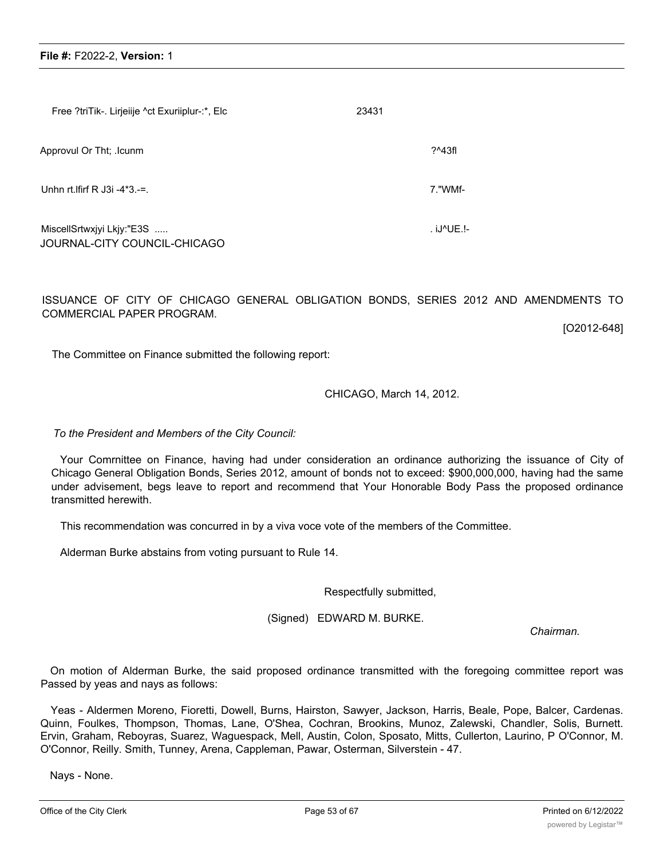| Free ?triTik-. Lirjeiije ^ct Exuriiplur-:*, Elc           | 23431 |            |
|-----------------------------------------------------------|-------|------------|
| Approvul Or Tht; .Icunm                                   |       | $?^43f1$   |
| Unhn rt. If irf R J3i $-4*3$ .                            |       | 7."WMf-    |
| MiscellSrtwxjyi Lkjy:"E3S<br>JOURNAL-CITY COUNCIL-CHICAGO |       | . iJ^UE.!- |

ISSUANCE OF CITY OF CHICAGO GENERAL OBLIGATION BONDS, SERIES 2012 AND AMENDMENTS TO COMMERCIAL PAPER PROGRAM.

[O2012-648]

The Committee on Finance submitted the following report:

#### CHICAGO, March 14, 2012.

*To the President and Members of the City Council:*

Your Comrnittee on Finance, having had under consideration an ordinance authorizing the issuance of City of Chicago General Obligation Bonds, Series 2012, amount of bonds not to exceed: \$900,000,000, having had the same under advisement, begs leave to report and recommend that Your Honorable Body Pass the proposed ordinance transmitted herewith.

This recommendation was concurred in by a viva voce vote of the members of the Committee.

Alderman Burke abstains from voting pursuant to Rule 14.

Respectfully submitted,

(Signed) EDWARD M. BURKE.

*Chairman.*

On motion of Alderman Burke, the said proposed ordinance transmitted with the foregoing committee report was Passed by yeas and nays as follows:

Yeas - Aldermen Moreno, Fioretti, Dowell, Burns, Hairston, Sawyer, Jackson, Harris, Beale, Pope, Balcer, Cardenas. Quinn, Foulkes, Thompson, Thomas, Lane, O'Shea, Cochran, Brookins, Munoz, Zalewski, Chandler, Solis, Burnett. Ervin, Graham, Reboyras, Suarez, Waguespack, Mell, Austin, Colon, Sposato, Mitts, Cullerton, Laurino, P O'Connor, M. O'Connor, Reilly. Smith, Tunney, Arena, Cappleman, Pawar, Osterman, Silverstein - 47.

Nays - None.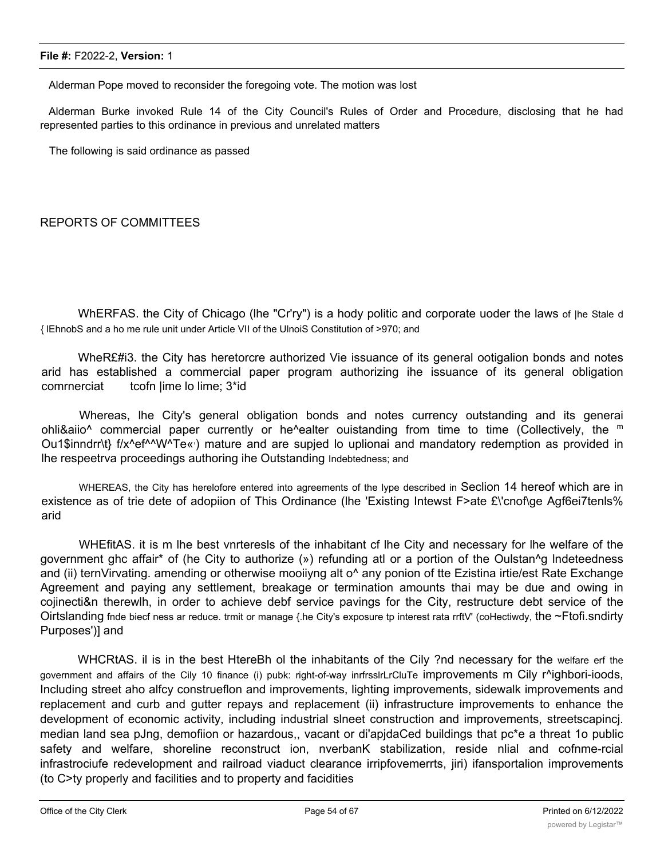Alderman Pope moved to reconsider the foregoing vote. The motion was lost

Alderman Burke invoked Rule 14 of the City Council's Rules of Order and Procedure, disclosing that he had represented parties to this ordinance in previous and unrelated matters

The following is said ordinance as passed

#### REPORTS OF COMMITTEES

WhERFAS. the City of Chicago (lhe "Cr'ry") is a hody politic and corporate uoder the laws of |he Stale d { lEhnobS and a ho me rule unit under Article VII of the UlnoiS Constitution of >970; and

WheR£#i3. the City has heretorcre authorized Vie issuance of its general ootigalion bonds and notes arid has established a commercial paper program authorizing ihe issuance of its general obligation comrnerciat tcofn |ime lo lime; 3\*id

Whereas, lhe City's general obligation bonds and notes currency outstanding and its generai ohli&aiio<sup> $\wedge$ </sup> commercial paper currently or he^ealter ouistanding from time to time (Collectively, the <sup>m</sup> Ou1\$inndrr\t} f/x^ef^^W^Te«) mature and are supjed lo uplionai and mandatory redemption as provided in lhe respeetrva proceedings authoring ihe Outstanding Indebtedness; and

WHEREAS, the City has herelofore entered into agreements of the lype described in Seclion 14 hereof which are in existence as of trie dete of adopiion of This Ordinance (lhe 'Existing Intewst F>ate £\'cnof\ge Agf6ei7tenls% arid

WHEfitAS. it is m lhe best vnrteresls of the inhabitant cf lhe City and necessary for lhe welfare of the government ghc affair\* of (he City to authorize (») refunding atl or a portion of the Oulstan^g lndeteedness and (ii) ternVirvating. amending or otherwise mooiiyng alt o<sup>^</sup> any ponion of tte Ezistina irtie/est Rate Exchange Agreement and paying any settlement, breakage or termination amounts thai may be due and owing in cojinecti&n therewlh, in order to achieve debf service pavings for the City, restructure debt service of the Oirtslanding finde biecf ness ar reduce. trmit or manage {.he City's exposure tp interest rata rrftV' (coHectiwdy, the ~Ftofi.sndirty Purposes')] and

WHCRtAS. il is in the best HtereBh ol the inhabitants of the Cily ?nd necessary for the welfare erf the government and affairs of the Cily 10 finance (i) pubk: right-of-way inrfrsslrLrCluTe improvements m Cily r^ighbori-ioods, Including street aho alfcy construeflon and improvements, lighting improvements, sidewalk improvements and replacement and curb and gutter repays and replacement (ii) infrastructure improvements to enhance the development of economic activity, including industrial slneet construction and improvements, streetscapincj. median land sea pJng, demofiion or hazardous,, vacant or di'apjdaCed buildings that pc\*e a threat 1o public safety and welfare, shoreline reconstruct ion, nverbanK stabilization, reside nlial and cofnme-rcial infrastrociufe redevelopment and railroad viaduct clearance irripfovemerrts, jiri) ifansportalion improvements (to C>ty properly and facilities and to property and facidities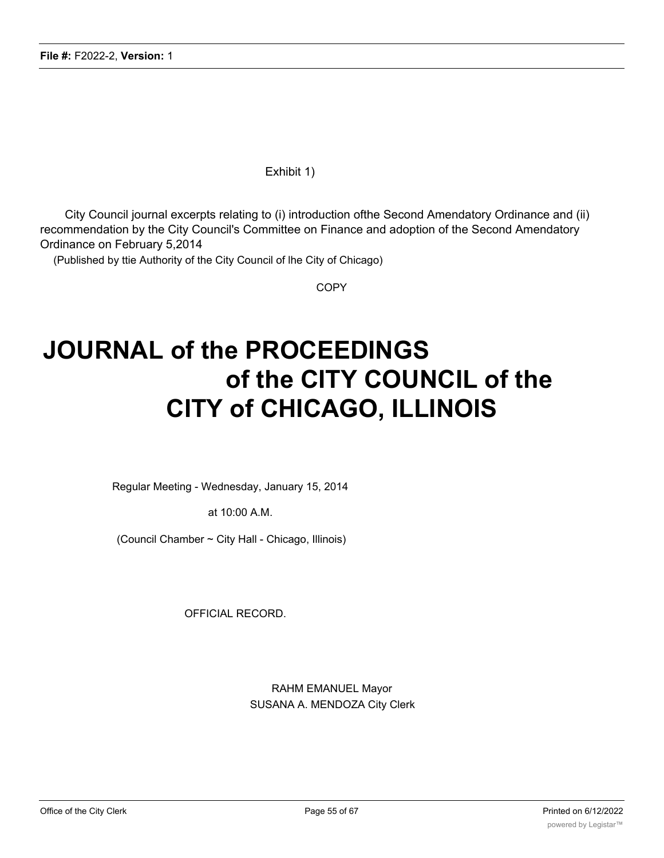Exhibit 1)

City Council journal excerpts relating to (i) introduction ofthe Second Amendatory Ordinance and (ii) recommendation by the City Council's Committee on Finance and adoption of the Second Amendatory Ordinance on February 5,2014

(Published by ttie Authority of the City Council of lhe City of Chicago)

**COPY** 

# **JOURNAL of the PROCEEDINGS of the CITY COUNCIL of the CITY of CHICAGO, ILLINOIS**

Regular Meeting - Wednesday, January 15, 2014

at 10:00 A.M.

(Council Chamber ~ City Hall - Chicago, Illinois)

OFFICIAL RECORD.

RAHM EMANUEL Mayor SUSANA A. MENDOZA City Clerk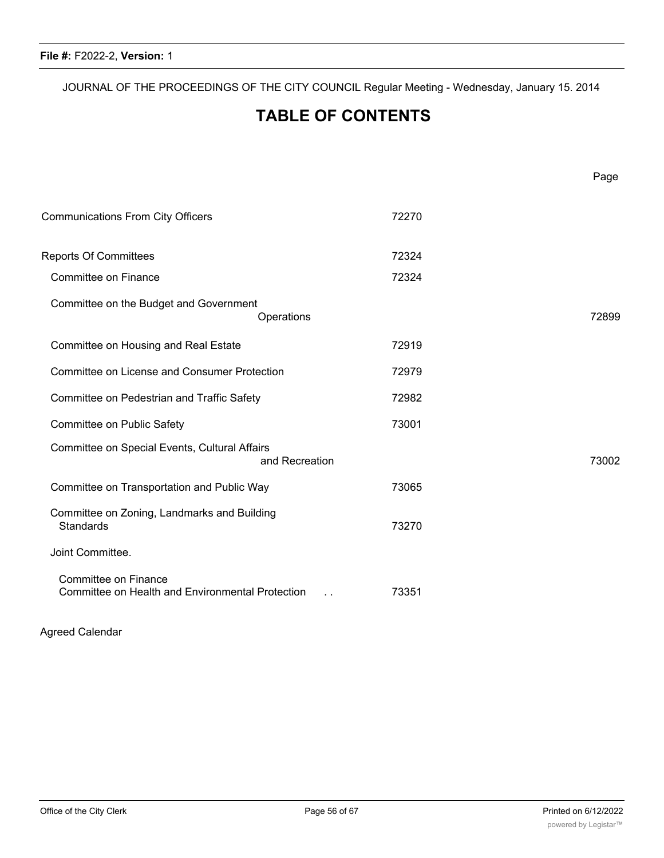JOURNAL OF THE PROCEEDINGS OF THE CITY COUNCIL Regular Meeting - Wednesday, January 15. 2014

## **TABLE OF CONTENTS**

| <b>Communications From City Officers</b>                                        |                | 72270 |       |
|---------------------------------------------------------------------------------|----------------|-------|-------|
| <b>Reports Of Committees</b>                                                    |                | 72324 |       |
| Committee on Finance                                                            |                | 72324 |       |
| Committee on the Budget and Government                                          | Operations     |       | 72899 |
| Committee on Housing and Real Estate                                            |                | 72919 |       |
| <b>Committee on License and Consumer Protection</b>                             |                | 72979 |       |
| Committee on Pedestrian and Traffic Safety                                      |                | 72982 |       |
| Committee on Public Safety                                                      |                | 73001 |       |
| Committee on Special Events, Cultural Affairs                                   | and Recreation |       | 73002 |
| Committee on Transportation and Public Way                                      |                | 73065 |       |
| Committee on Zoning, Landmarks and Building<br><b>Standards</b>                 |                | 73270 |       |
| Joint Committee.                                                                |                |       |       |
| <b>Committee on Finance</b><br>Committee on Health and Environmental Protection |                | 73351 |       |

Agreed Calendar

JOURNAL OF THE PROCEEDINGS OF THE CITY COUNCIL Regular Meeting - Wednesday, January 15. 2014

Page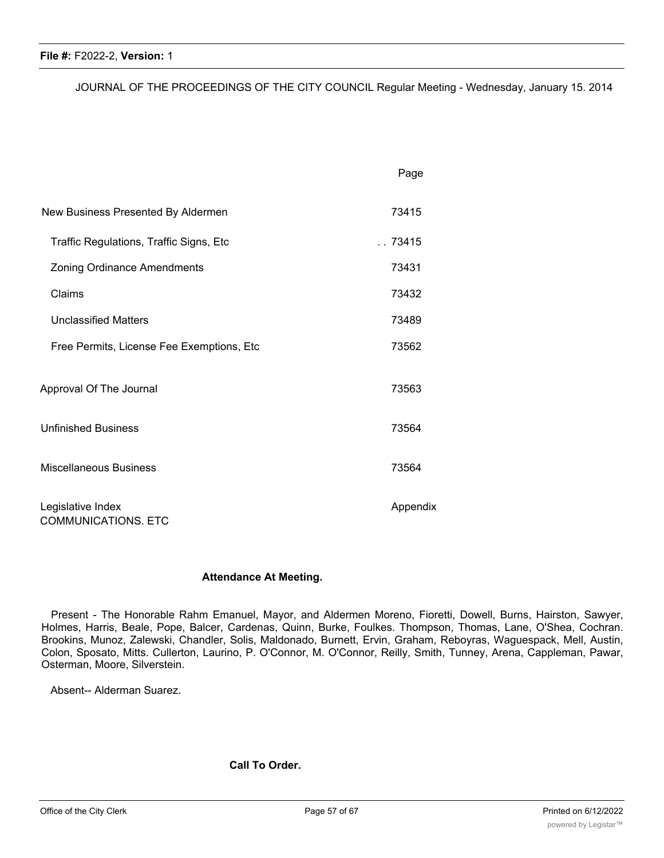JOURNAL OF THE PROCEEDINGS OF THE CITY COUNCIL Regular Meeting - Wednesday, January 15. 2014

|                                                 | Page     |
|-------------------------------------------------|----------|
| New Business Presented By Aldermen              | 73415    |
| Traffic Regulations, Traffic Signs, Etc         | . .73415 |
| <b>Zoning Ordinance Amendments</b>              | 73431    |
| Claims                                          | 73432    |
| <b>Unclassified Matters</b>                     | 73489    |
| Free Permits, License Fee Exemptions, Etc       | 73562    |
| Approval Of The Journal                         | 73563    |
| <b>Unfinished Business</b>                      | 73564    |
| <b>Miscellaneous Business</b>                   | 73564    |
| Legislative Index<br><b>COMMUNICATIONS. ETC</b> | Appendix |

#### **Attendance At Meeting.**

Present - The Honorable Rahm Emanuel, Mayor, and Aldermen Moreno, Fioretti, Dowell, Burns, Hairston, Sawyer, Holmes, Harris, Beale, Pope, Balcer, Cardenas, Quinn, Burke, Foulkes. Thompson, Thomas, Lane, O'Shea, Cochran. Brookins, Munoz, Zalewski, Chandler, Solis, Maldonado, Burnett, Ervin, Graham, Reboyras, Waguespack, Mell, Austin, Colon, Sposato, Mitts. Cullerton, Laurino, P. O'Connor, M. O'Connor, Reilly, Smith, Tunney, Arena, Cappleman, Pawar, Osterman, Moore, Silverstein.

Absent-- Alderman Suarez.

#### **Call To Order.**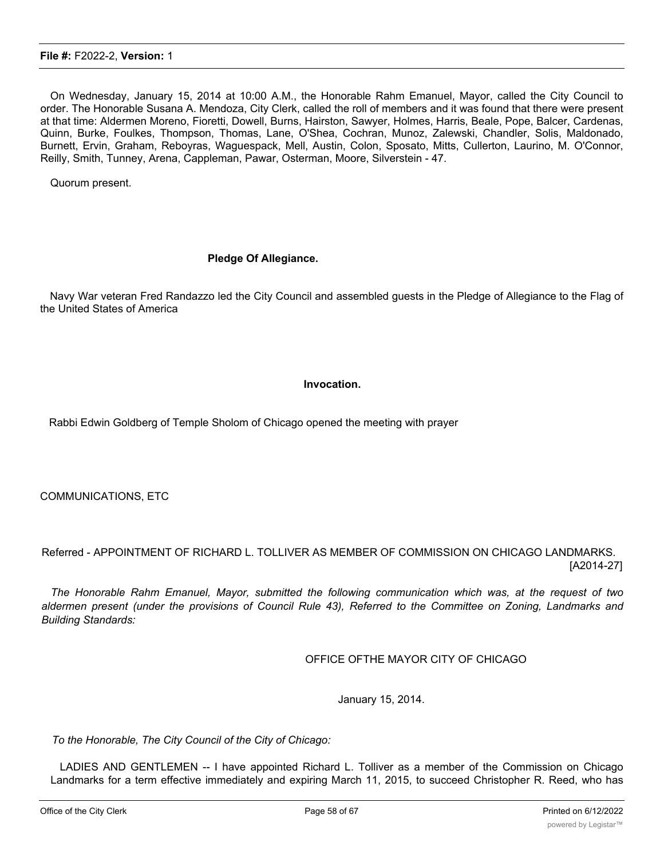On Wednesday, January 15, 2014 at 10:00 A.M., the Honorable Rahm Emanuel, Mayor, called the City Council to order. The Honorable Susana A. Mendoza, City Clerk, called the roll of members and it was found that there were present at that time: Aldermen Moreno, Fioretti, Dowell, Burns, Hairston, Sawyer, Holmes, Harris, Beale, Pope, Balcer, Cardenas, Quinn, Burke, Foulkes, Thompson, Thomas, Lane, O'Shea, Cochran, Munoz, Zalewski, Chandler, Solis, Maldonado, Burnett, Ervin, Graham, Reboyras, Waguespack, Mell, Austin, Colon, Sposato, Mitts, Cullerton, Laurino, M. O'Connor, Reilly, Smith, Tunney, Arena, Cappleman, Pawar, Osterman, Moore, Silverstein - 47.

Quorum present.

#### **Pledge Of Allegiance.**

Navy War veteran Fred Randazzo led the City Council and assembled guests in the Pledge of Allegiance to the Flag of the United States of America

#### **Invocation.**

Rabbi Edwin Goldberg of Temple Sholom of Chicago opened the meeting with prayer

COMMUNICATIONS, ETC

Referred - APPOINTMENT OF RICHARD L. TOLLIVER AS MEMBER OF COMMISSION ON CHICAGO LANDMARKS. [A2014-27]

*The Honorable Rahm Emanuel, Mayor, submitted the following communication which was, at the request of two* aldermen present (under the provisions of Council Rule 43), Referred to the Committee on Zoning, Landmarks and *Building Standards:*

OFFICE OFTHE MAYOR CITY OF CHICAGO

January 15, 2014.

*To the Honorable, The City Council of the City of Chicago:*

LADIES AND GENTLEMEN -- I have appointed Richard L. Tolliver as a member of the Commission on Chicago Landmarks for a term effective immediately and expiring March 11, 2015, to succeed Christopher R. Reed, who has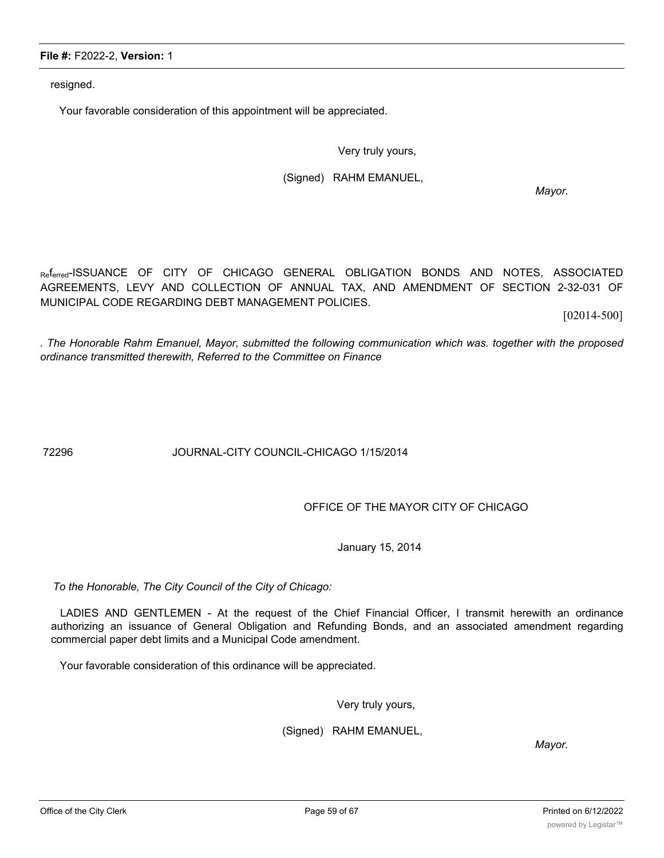Office of the City Clerk **Page 59 of 67** Page 59 of 67 Printed on 6/12/2022

#### **File #:** F2022-2, **Version:** 1

resigned.

Your favorable consideration of this appointment will be appreciated.

Very truly yours,

(Signed) RAHM EMANUEL,

*Mayor.*

Referred-ISSUANCE OF CITY OF CHICAGO GENERAL OBLIGATION BONDS AND NOTES, ASSOCIATED AGREEMENTS, LEVY AND COLLECTION OF ANNUAL TAX, AND AMENDMENT OF SECTION 2-32-031 OF MUNICIPAL CODE REGARDING DEBT MANAGEMENT POLICIES.

[02014-500]

*. The Honorable Rahm Emanuel, Mayor, submitted the following communication which was. together with the proposed ordinance transmitted therewith, Referred to the Committee on Finance*

72296 JOURNAL-CITY COUNCIL-CHICAGO 1/15/2014

OFFICE OF THE MAYOR CITY OF CHICAGO

January 15, 2014

*To the Honorable, The City Council of the City of Chicago:*

LADIES AND GENTLEMEN - At the request of the Chief Financial Officer, I transmit herewith an ordinance authorizing an issuance of General Obligation and Refunding Bonds, and an associated amendment regarding commercial paper debt limits and a Municipal Code amendment.

Your favorable consideration of this ordinance will be appreciated.

Very truly yours,

(Signed) RAHM EMANUEL,

*Mayor.*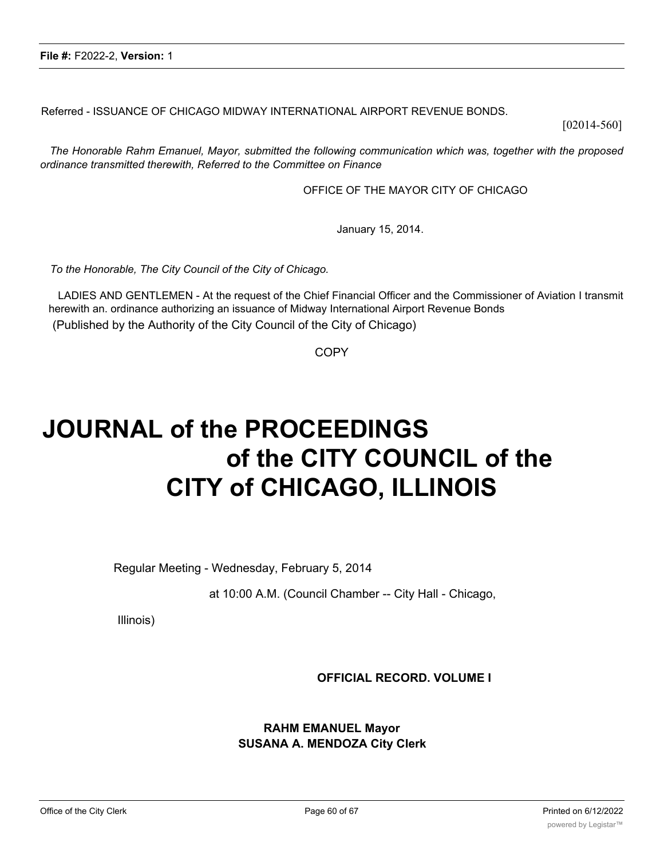Referred - ISSUANCE OF CHICAGO MIDWAY INTERNATIONAL AIRPORT REVENUE BONDS.

[02014-560]

*The Honorable Rahm Emanuel, Mayor, submitted the following communication which was, together with the proposed ordinance transmitted therewith, Referred to the Committee on Finance*

OFFICE OF THE MAYOR CITY OF CHICAGO

January 15, 2014.

*To the Honorable, The City Council of the City of Chicago.*

LADIES AND GENTLEMEN - At the request of the Chief Financial Officer and the Commissioner of Aviation I transmit herewith an. ordinance authorizing an issuance of Midway International Airport Revenue Bonds (Published by the Authority of the City Council of the City of Chicago)

COPY

# **JOURNAL of the PROCEEDINGS of the CITY COUNCIL of the CITY of CHICAGO, ILLINOIS**

Regular Meeting - Wednesday, February 5, 2014

at 10:00 A.M. (Council Chamber -- City Hall - Chicago,

Illinois)

**OFFICIAL RECORD. VOLUME I**

**RAHM EMANUEL Mayor SUSANA A. MENDOZA City Clerk**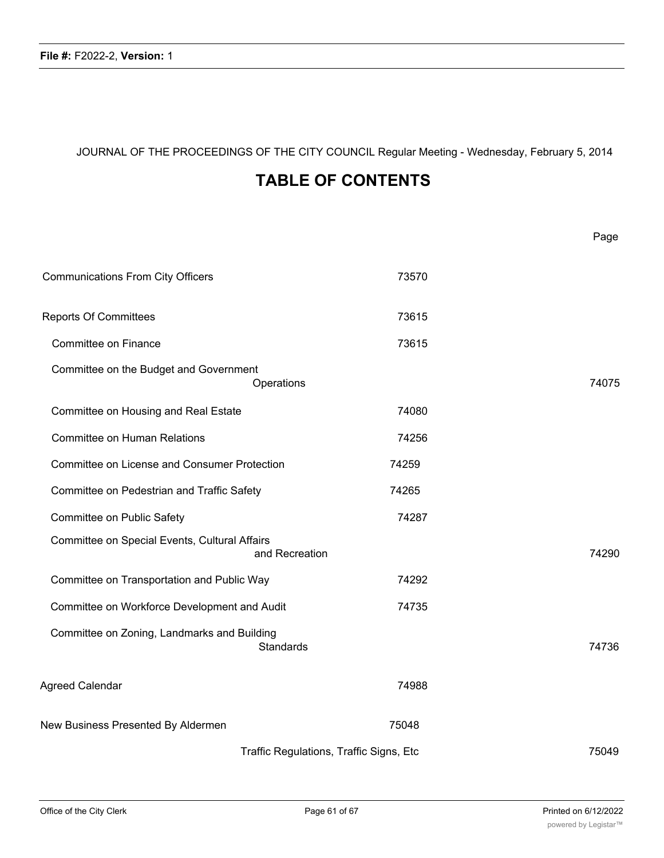JOURNAL OF THE PROCEEDINGS OF THE CITY COUNCIL Regular Meeting - Wednesday, February 5, 2014

## **TABLE OF CONTENTS**

|                                                                 |                                         | Page  |
|-----------------------------------------------------------------|-----------------------------------------|-------|
| <b>Communications From City Officers</b>                        | 73570                                   |       |
| <b>Reports Of Committees</b>                                    | 73615                                   |       |
| Committee on Finance                                            | 73615                                   |       |
| Committee on the Budget and Government<br>Operations            |                                         | 74075 |
| Committee on Housing and Real Estate                            | 74080                                   |       |
| <b>Committee on Human Relations</b>                             | 74256                                   |       |
| <b>Committee on License and Consumer Protection</b>             | 74259                                   |       |
| Committee on Pedestrian and Traffic Safety                      | 74265                                   |       |
| Committee on Public Safety                                      | 74287                                   |       |
| Committee on Special Events, Cultural Affairs<br>and Recreation |                                         | 74290 |
| Committee on Transportation and Public Way                      | 74292                                   |       |
| Committee on Workforce Development and Audit                    | 74735                                   |       |
| Committee on Zoning, Landmarks and Building<br><b>Standards</b> |                                         | 74736 |
| Agreed Calendar                                                 | 74988                                   |       |
| New Business Presented By Aldermen                              | 75048                                   |       |
|                                                                 | Traffic Regulations, Traffic Signs, Etc | 75049 |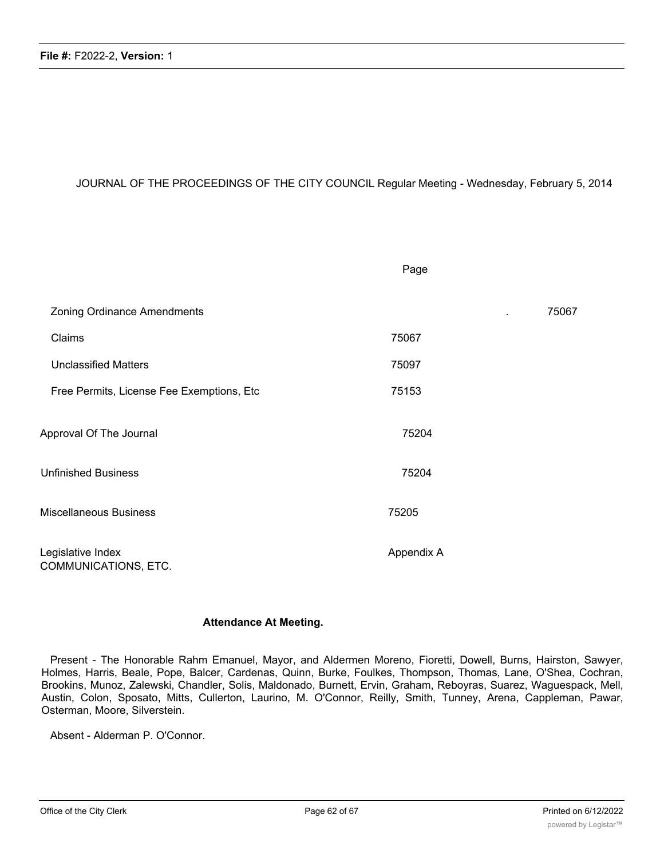#### JOURNAL OF THE PROCEEDINGS OF THE CITY COUNCIL Regular Meeting - Wednesday, February 5, 2014

|                                           | Page       |       |
|-------------------------------------------|------------|-------|
| <b>Zoning Ordinance Amendments</b>        |            | 75067 |
| Claims                                    | 75067      |       |
| <b>Unclassified Matters</b>               | 75097      |       |
| Free Permits, License Fee Exemptions, Etc | 75153      |       |
| Approval Of The Journal                   | 75204      |       |
| <b>Unfinished Business</b>                | 75204      |       |
| Miscellaneous Business                    | 75205      |       |
| Legislative Index<br>COMMUNICATIONS, ETC. | Appendix A |       |

#### **Attendance At Meeting.**

Present - The Honorable Rahm Emanuel, Mayor, and Aldermen Moreno, Fioretti, Dowell, Burns, Hairston, Sawyer, Holmes, Harris, Beale, Pope, Balcer, Cardenas, Quinn, Burke, Foulkes, Thompson, Thomas, Lane, O'Shea, Cochran, Brookins, Munoz, Zalewski, Chandler, Solis, Maldonado, Burnett, Ervin, Graham, Reboyras, Suarez, Waguespack, Mell, Austin, Colon, Sposato, Mitts, Cullerton, Laurino, M. O'Connor, Reilly, Smith, Tunney, Arena, Cappleman, Pawar, Osterman, Moore, Silverstein.

Absent - Alderman P. O'Connor.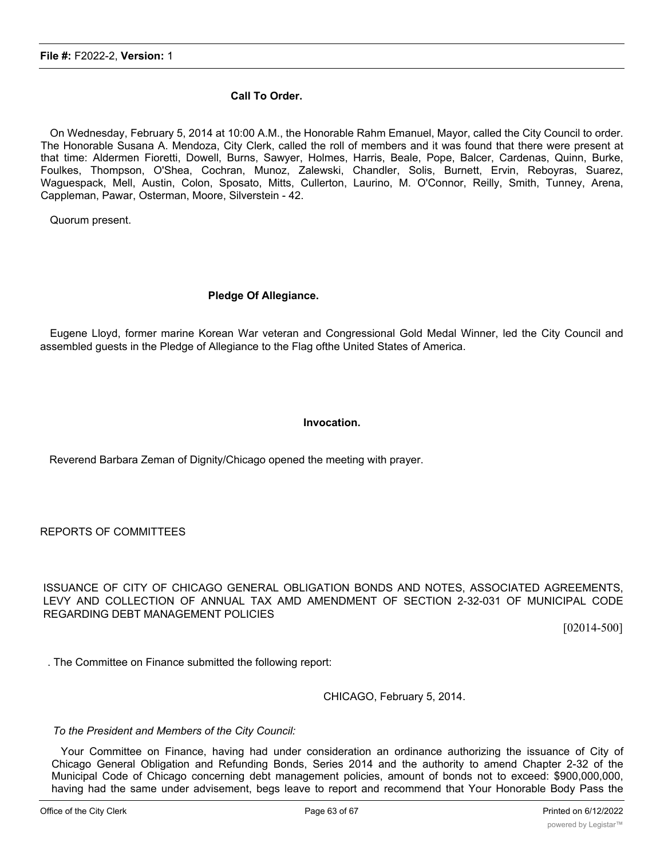#### **Call To Order.**

On Wednesday, February 5, 2014 at 10:00 A.M., the Honorable Rahm Emanuel, Mayor, called the City Council to order. The Honorable Susana A. Mendoza, City Clerk, called the roll of members and it was found that there were present at that time: Aldermen Fioretti, Dowell, Burns, Sawyer, Holmes, Harris, Beale, Pope, Balcer, Cardenas, Quinn, Burke, Foulkes, Thompson, O'Shea, Cochran, Munoz, Zalewski, Chandler, Solis, Burnett, Ervin, Reboyras, Suarez, Waguespack, Mell, Austin, Colon, Sposato, Mitts, Cullerton, Laurino, M. O'Connor, Reilly, Smith, Tunney, Arena, Cappleman, Pawar, Osterman, Moore, Silverstein - 42.

Quorum present.

#### **Pledge Of Allegiance.**

Eugene Lloyd, former marine Korean War veteran and Congressional Gold Medal Winner, led the City Council and assembled guests in the Pledge of Allegiance to the Flag ofthe United States of America.

#### **Invocation.**

Reverend Barbara Zeman of Dignity/Chicago opened the meeting with prayer.

REPORTS OF COMMITTEES

ISSUANCE OF CITY OF CHICAGO GENERAL OBLIGATION BONDS AND NOTES, ASSOCIATED AGREEMENTS, LEVY AND COLLECTION OF ANNUAL TAX AMD AMENDMENT OF SECTION 2-32-031 OF MUNICIPAL CODE REGARDING DEBT MANAGEMENT POLICIES

[02014-500]

. The Committee on Finance submitted the following report:

CHICAGO, February 5, 2014.

*To the President and Members of the City Council:*

Your Committee on Finance, having had under consideration an ordinance authorizing the issuance of City of Chicago General Obligation and Refunding Bonds, Series 2014 and the authority to amend Chapter 2-32 of the Municipal Code of Chicago concerning debt management policies, amount of bonds not to exceed: \$900,000,000, having had the same under advisement, begs leave to report and recommend that Your Honorable Body Pass the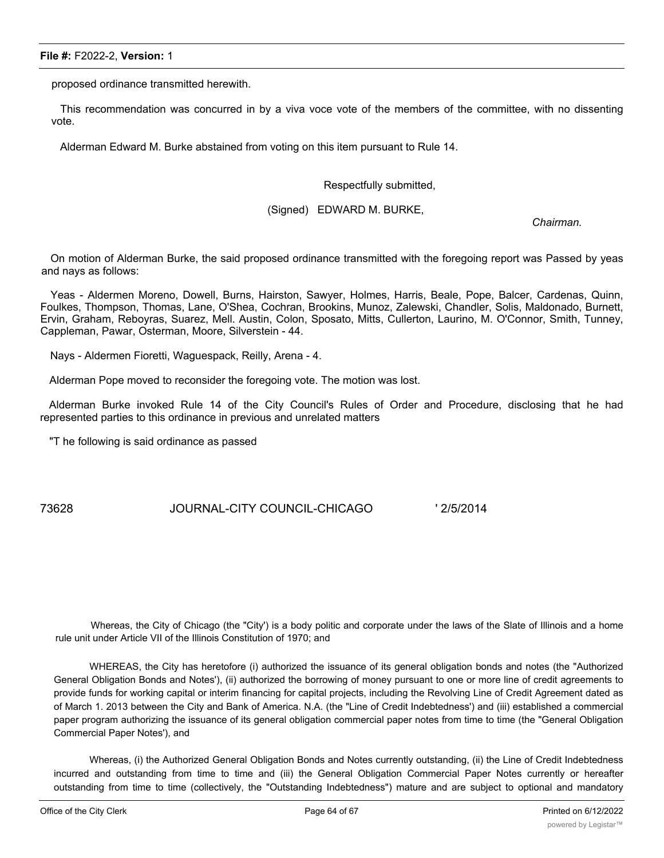proposed ordinance transmitted herewith.

This recommendation was concurred in by a viva voce vote of the members of the committee, with no dissenting vote.

Alderman Edward M. Burke abstained from voting on this item pursuant to Rule 14.

Respectfully submitted,

(Signed) EDWARD M. BURKE,

*Chairman.*

On motion of Alderman Burke, the said proposed ordinance transmitted with the foregoing report was Passed by yeas and nays as follows:

Yeas - Aldermen Moreno, Dowell, Burns, Hairston, Sawyer, Holmes, Harris, Beale, Pope, Balcer, Cardenas, Quinn, Foulkes, Thompson, Thomas, Lane, O'Shea, Cochran, Brookins, Munoz, Zalewski, Chandler, Solis, Maldonado, Burnett, Ervin, Graham, Reboyras, Suarez, Mell. Austin, Colon, Sposato, Mitts, Cullerton, Laurino, M. O'Connor, Smith, Tunney, Cappleman, Pawar, Osterman, Moore, Silverstein - 44.

Nays - Aldermen Fioretti, Waguespack, Reilly, Arena - 4.

Alderman Pope moved to reconsider the foregoing vote. The motion was lost.

Alderman Burke invoked Rule 14 of the City Council's Rules of Order and Procedure, disclosing that he had represented parties to this ordinance in previous and unrelated matters

"T he following is said ordinance as passed

73628 JOURNAL-CITY COUNCIL-CHICAGO ' 2/5/2014

Whereas, the City of Chicago (the "City') is a body politic and corporate under the laws of the Slate of Illinois and a home rule unit under Article VII of the Illinois Constitution of 1970; and

WHEREAS, the City has heretofore (i) authorized the issuance of its general obligation bonds and notes (the "Authorized General Obligation Bonds and Notes'), (ii) authorized the borrowing of money pursuant to one or more line of credit agreements to provide funds for working capital or interim financing for capital projects, including the Revolving Line of Credit Agreement dated as of March 1. 2013 between the City and Bank of America. N.A. (the "Line of Credit Indebtedness') and (iii) established a commercial paper program authorizing the issuance of its general obligation commercial paper notes from time to time (the "General Obligation Commercial Paper Notes'), and

Whereas, (i) the Authorized General Obligation Bonds and Notes currently outstanding, (ii) the Line of Credit Indebtedness incurred and outstanding from time to time and (iii) the General Obligation Commercial Paper Notes currently or hereafter outstanding from time to time (collectively, the "Outstanding Indebtedness") mature and are subject to optional and mandatory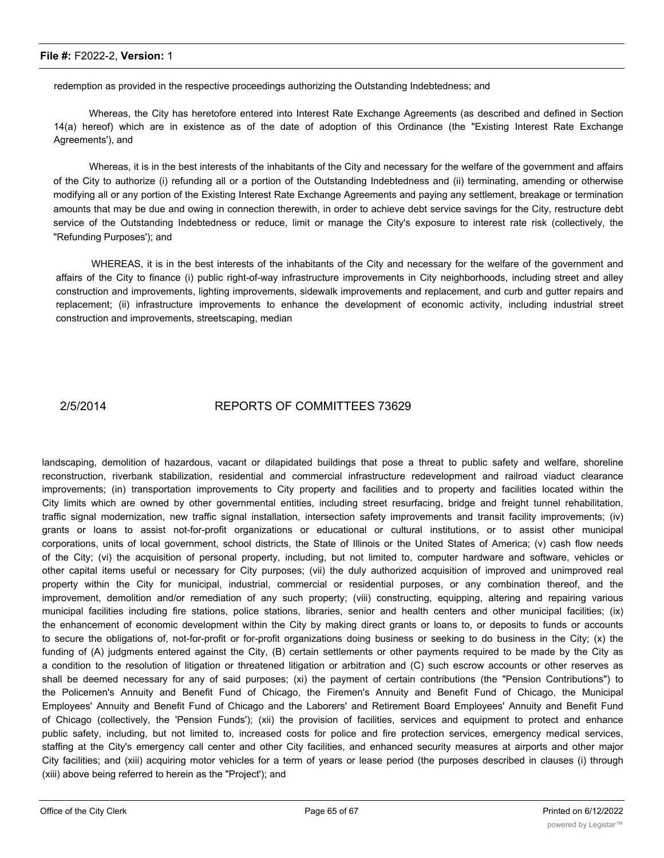redemption as provided in the respective proceedings authorizing the Outstanding Indebtedness; and

Whereas, the City has heretofore entered into Interest Rate Exchange Agreements (as described and defined in Section 14(a) hereof) which are in existence as of the date of adoption of this Ordinance (the "Existing Interest Rate Exchange Agreements'), and

Whereas, it is in the best interests of the inhabitants of the City and necessary for the welfare of the government and affairs of the City to authorize (i) refunding all or a portion of the Outstanding Indebtedness and (ii) terminating, amending or otherwise modifying all or any portion of the Existing Interest Rate Exchange Agreements and paying any settlement, breakage or termination amounts that may be due and owing in connection therewith, in order to achieve debt service savings for the City, restructure debt service of the Outstanding Indebtedness or reduce, limit or manage the City's exposure to interest rate risk (collectively, the "Refunding Purposes'); and

WHEREAS, it is in the best interests of the inhabitants of the City and necessary for the welfare of the government and affairs of the City to finance (i) public right-of-way infrastructure improvements in City neighborhoods, including street and alley construction and improvements, lighting improvements, sidewalk improvements and replacement, and curb and gutter repairs and replacement; (ii) infrastructure improvements to enhance the development of economic activity, including industrial street construction and improvements, streetscaping, median

#### 2/5/2014 REPORTS OF COMMITTEES 73629

landscaping, demolition of hazardous, vacant or dilapidated buildings that pose a threat to public safety and welfare, shoreline reconstruction, riverbank stabilization, residential and commercial infrastructure redevelopment and railroad viaduct clearance improvements; (in) transportation improvements to City property and facilities and to property and facilities located within the City limits which are owned by other governmental entities, including street resurfacing, bridge and freight tunnel rehabilitation, traffic signal modernization, new traffic signal installation, intersection safety improvements and transit facility improvements; (iv) grants or loans to assist not-for-profit organizations or educational or cultural institutions, or to assist other municipal corporations, units of local government, school districts, the State of Illinois or the United States of America; (v) cash flow needs of the City; (vi) the acquisition of personal property, including, but not limited to, computer hardware and software, vehicles or other capital items useful or necessary for City purposes; (vii) the duly authorized acquisition of improved and unimproved real property within the City for municipal, industrial, commercial or residential purposes, or any combination thereof, and the improvement, demolition and/or remediation of any such property; (viii) constructing, equipping, altering and repairing various municipal facilities including fire stations, police stations, libraries, senior and health centers and other municipal facilities; (ix) the enhancement of economic development within the City by making direct grants or loans to, or deposits to funds or accounts to secure the obligations of, not-for-profit or for-profit organizations doing business or seeking to do business in the City; (x) the funding of (A) judgments entered against the City, (B) certain settlements or other payments required to be made by the City as a condition to the resolution of litigation or threatened litigation or arbitration and (C) such escrow accounts or other reserves as shall be deemed necessary for any of said purposes; (xi) the payment of certain contributions (the "Pension Contributions") to the Policemen's Annuity and Benefit Fund of Chicago, the Firemen's Annuity and Benefit Fund of Chicago, the Municipal Employees' Annuity and Benefit Fund of Chicago and the Laborers' and Retirement Board Employees' Annuity and Benefit Fund of Chicago (collectively, the 'Pension Funds'); (xii) the provision of facilities, services and equipment to protect and enhance public safety, including, but not limited to, increased costs for police and fire protection services, emergency medical services, staffing at the City's emergency call center and other City facilities, and enhanced security measures at airports and other major City facilities; and (xiii) acquiring motor vehicles for a term of years or lease period (the purposes described in clauses (i) through (xiii) above being referred to herein as the "Project'); and

Whereas, the cost of the Refunding Purposes and the Project is estimated to be not less than  $\mathcal{P}(\mathcal{A})$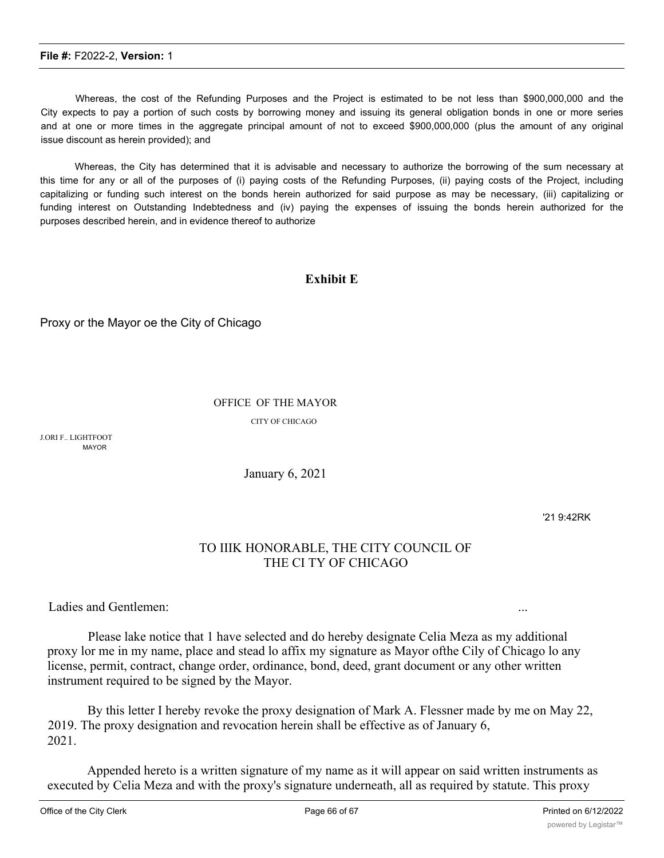Whereas, the cost of the Refunding Purposes and the Project is estimated to be not less than \$900,000,000 and the City expects to pay a portion of such costs by borrowing money and issuing its general obligation bonds in one or more series and at one or more times in the aggregate principal amount of not to exceed \$900,000,000 (plus the amount of any original issue discount as herein provided); and

Whereas, the City has determined that it is advisable and necessary to authorize the borrowing of the sum necessary at this time for any or all of the purposes of (i) paying costs of the Refunding Purposes, (ii) paying costs of the Project, including capitalizing or funding such interest on the bonds herein authorized for said purpose as may be necessary, (iii) capitalizing or funding interest on Outstanding Indebtedness and (iv) paying the expenses of issuing the bonds herein authorized for the purposes described herein, and in evidence thereof to authorize

#### **Exhibit E**

Proxy or the Mayor oe the City of Chicago

#### OFFICE OF THE MAYOR

CITY OF CHICAGO

J.ORI F.. LIGHTFOOT MAYOR

January 6, 2021

'21 9:42RK

### TO IIIK HONORABLE, THE CITY COUNCIL OF THE CI TY OF CHICAGO

Ladies and Gentlemen:

Please lake notice that 1 have selected and do hereby designate Celia Meza as my additional proxy lor me in my name, place and stead lo affix my signature as Mayor ofthe Cily of Chicago lo any license, permit, contract, change order, ordinance, bond, deed, grant document or any other written instrument required to be signed by the Mayor.

By this letter I hereby revoke the proxy designation of Mark A. Flessner made by me on May 22, 2019. The proxy designation and revocation herein shall be effective as of January 6, 2021.

Appended hereto is a written signature of my name as it will appear on said written instruments as executed by Celia Meza and with the proxy's signature underneath, all as required by statute. This proxy